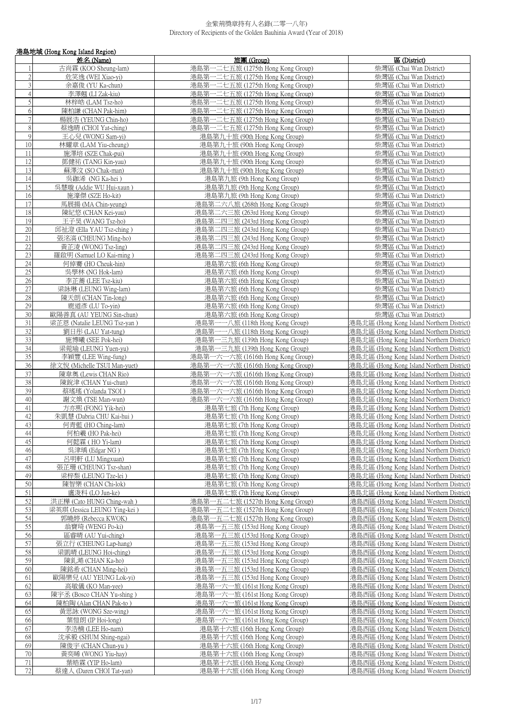|                                 | 港島地域 (Hong Kong Island Region)                  |                                                                        |                                                                                        |
|---------------------------------|-------------------------------------------------|------------------------------------------------------------------------|----------------------------------------------------------------------------------------|
|                                 | 姓名 (Name)                                       | 旅團 (Group)                                                             | 區 (District)                                                                           |
|                                 | 古尚霖 (KOO Sheung-lam)                            | 港島第一二七五旅 (1275th Hong Kong Group)                                      | 柴灣區 (Chai Wan District)                                                                |
| $\sqrt{2}$                      | 危笑逸 (WEI Xiao-vi)                               | 港島第一二七五旅 (1275th Hong Kong Group)                                      | 柴灣區 (Chai Wan District)                                                                |
| 3                               | 余嘉俊 (YU Ka-chun)                                | 港島第一二七五旅 (1275th Hong Kong Group)                                      | 柴灣區 (Chai Wan District)                                                                |
| $\overline{4}$<br>$\mathfrak s$ | 李澤翹 (LI Zak-kiu)<br>林梓皓 (LAM Tsz-ho)            | 港島第一二七五旅 (1275th Hong Kong Group)<br>港島第一二七五旅 (1275th Hong Kong Group) | 柴灣區 (Chai Wan District)<br>柴灣區 (Chai Wan District)                                     |
| $\sqrt{6}$                      | 陳柏謙 (CHAN Pak-him)                              | 港島第一二七五旅 (1275th Hong Kong Group)                                      | 柴灣區 (Chai Wan District)                                                                |
| $\tau$                          | 楊展浩 (YEUNG Chin-ho)                             | 港島第一二七五旅 (1275th Hong Kong Group)                                      | 柴灣區 (Chai Wan District)                                                                |
| 8                               | 蔡逸晴 (CHOI Yat-ching)                            | 港島第一二七五旅 (1275th Hong Kong Group)                                      | 柴灣區 (Chai Wan District)                                                                |
| 9                               | 王心兒 (WONG Sam-yi)                               | 港島第九十旅 (90th Hong Kong Group)                                          | 柴灣區 (Chai Wan District)                                                                |
| 10                              | 林耀章 (LAM Yiu-cheung)                            | 港島第九十旅 (90th Hong Kong Group)                                          | 柴灣區 (Chai Wan District)                                                                |
| 11                              | 施澤培 (SZE Chak-pui)                              | 港島第九十旅 (90th Hong Kong Group)                                          | 柴灣區 (Chai Wan District)                                                                |
| 12                              | 鄧健祐 (TANG Kin-yau)                              | 港島第九十旅 (90th Hong Kong Group)                                          | 柴灣區 (Chai Wan District)                                                                |
| 13                              | 蘇澤汶 (SO Chak-man)                               | 港島第九十旅 (90th Hong Kong Group)                                          | 柴灣區 (Chai Wan District)                                                                |
| 14<br>15                        | 吳鉫浠 (NG Ka-hei)<br>吳慧璇 (Addie WU Hui-xaun)      | 港島第九旅 (9th Hong Kong Group)<br>港島第九旅 (9th Hong Kong Group)             | 柴灣區 (Chai Wan District)<br>柴灣區 (Chai Wan District)                                     |
| 16                              | 施濠傑 (SZE Ho-kit)                                | 港島第九旅 (9th Hong Kong Group)                                            | 柴灣區 (Chai Wan District)                                                                |
| 17                              | 馬展揚 (MA Chin-yeung)                             | 港島第二六八旅 (268th Hong Kong Group)                                        | 柴灣區 (Chai Wan District)                                                                |
| 18                              | 陳紀悠 (CHAN Kei-vau)                              | 港島第二六三旅 (263rd Hong Kong Group)                                        | 柴灣區 (Chai Wan District)                                                                |
| 19                              | 王子昊 (WANG Tsz-ho)                               | 港島第二四三旅 (243rd Hong Kong Group)                                        | 柴灣區 (Chai Wan District)                                                                |
| 20                              | 邱祉澄 (Ella YAU Tsz-ching)                        | 港島第二四三旅 (243rd Hong Kong Group)                                        | 柴灣區 (Chai Wan District)                                                                |
| 21                              | 張洺滈 (CHEUNG Ming-ho)                            | 港島第二四三旅 (243rd Hong Kong Group)                                        | 柴灣區 (Chai Wan District)                                                                |
| 22                              | 黃芷淩 (WONG Tsz-ling)                             | 港島第二四三旅 (243rd Hong Kong Group)                                        | 柴灣區 (Chai Wan District)                                                                |
| 23<br>24                        | 羅啟明 (Samuel LO Kai-ming)                        | 港島第二四三旅 (243rd Hong Kong Group)                                        | 柴灣區 (Chai Wan District)                                                                |
| 25                              | 何倬騫 (HO Cheuk-hin)<br>吳學林 (NG Hok-lam)          | 港島第六旅 (6th Hong Kong Group)<br>港島第六旅 (6th Hong Kong Group)             | 柴灣區 (Chai Wan District)<br>柴灣區 (Chai Wan District)                                     |
| 26                              | 李芷蕎 (LEE Tsz-kiu)                               | 港島第六旅 (6th Hong Kong Group)                                            | 柴灣區 (Chai Wan District)                                                                |
| 27                              | 梁詠琳 (LEUNG Wing-lam)                            | 港島第六旅 (6th Hong Kong Group)                                            | 柴灣區 (Chai Wan District)                                                                |
| 28                              | 陳天朗 (CHAN Tin-long)                             | 港島第六旅 (6th Hong Kong Group)                                            | 柴灣區 (Chai Wan District)                                                                |
| 29                              | 鹿道彥 (LU To-yin)                                 | 港島第六旅 (6th Hong Kong Group)                                            | 柴灣區 (Chai Wan District)                                                                |
| 30                              | 歐陽善真 (AU YEUNG Sin-chun)                        | 港島第六旅 (6th Hong Kong Group)                                            | 柴灣區 (Chai Wan District)                                                                |
| 31                              | 梁芷恩 (Natalie LEUNG Tsz-yan)                     | 港島第一一八旅 (118th Hong Kong Group)                                        | 港島北區 (Hong Kong Island Northern District)                                              |
| 32                              | 劉日彤 (LAU Yat-tung)                              | 港島第一一八旅 (118th Hong Kong Group)                                        | 港島北區 (Hong Kong Island Northern District)                                              |
| 33<br>34                        | 施博曦 (SEE Pok-hei)<br>梁菀瑜 (LEUNG Yuen-yu)        | 港島第一三九旅 (139th Hong Kong Group)<br>港島第一三九旅 (139th Hong Kong Group)     | 港島北區 (Hong Kong Island Northern District)<br>港島北區 (Hong Kong Island Northern District) |
| $\overline{35}$                 | 李穎豐 (LEE Wing-fung)                             | 港島第一六一六旅 (1616th Hong Kong Group)                                      | 港島北區 (Hong Kong Island Northern District)                                              |
| 36                              | 徐文悦 (Michelle TSUI Man-yuet)                    | 港島第一六一六旅 (1616th Hong Kong Group)                                      | 港島北區 (Hong Kong Island Northern District)                                              |
| 37                              | 陳韋奧 (Lewis CHAN Rio)                            | 港島第一六一六旅 (1616th Hong Kong Group)                                      | 港島北區 (Hong Kong Island Northern District)                                              |
| 38                              | 陳銳津 (CHAN Yui-chun)                             | 港島第一六一六旅 (1616th Hong Kong Group)                                      | 港島北區 (Hong Kong Island Northern District)                                              |
| 39                              | 蔡瑤瑤 (Yolanda TSOI)                              | 港島第一六一六旅 (1616th Hong Kong Group)                                      | 港島北區 (Hong Kong Island Northern District)                                              |
| 40                              | 謝文煥 (TSE Man-wun)                               | 港島第一六一六旅 (1616th Hong Kong Group)                                      | 港島北區 (Hong Kong Island Northern District)                                              |
| 41<br>42                        | 方亦熙 (FONG Yik-hei)<br>朱凱慧 (Dabria CHU Kai-hui ) | 港島第七旅 (7th Hong Kong Group)<br>港島第七旅 (7th Hong Kong Group)             | 港島北區 (Hong Kong Island Northern District)<br>港島北區 (Hong Kong Island Northern District) |
| 43                              | 何青藍 (HO Ching-lam)                              | 港島第七旅 (7th Hong Kong Group)                                            | 港島北區 (Hong Kong Island Northern District)                                              |
| 44                              | 何柏羲 (HO Pak-hei)                                | 港島第七旅 (7th Hong Kong Group)                                            | 港島北區 (Hong Kong Island Northern District)                                              |
| 45                              | 何懿霖 ( HO Yi-lam)                                | 港島第七旅 (7th Hong Kong Group)                                            | 港島北區 (Hong Kong Island Northern District)                                              |
| 46                              | 吳津瑀 (Edgar NG)                                  | 港島第七旅 (7th Hong Kong Group)                                            | 港島北區 (Hong Kong Island Northern District)                                              |
| 47                              | 呂明軒 (LU Mingxuan)                               | 港島第七旅 (7th Hong Kong Group)                                            | 港島北區 (Hong Kong Island Northern District)                                              |
| 48                              | 張芷珊 (CHEUNG Tsz-shan)                           | 港島第七旅 (7th Hong Kong Group)                                            | 港島北區 (Hong Kong Island Northern District)                                              |
| 49                              | 梁梓梨 (LEUNG Tze-lei )                            | 港島第七旅 (7th Hong Kong Group)                                            | 港島北區 (Hong Kong Island Northern District)                                              |
| 50<br>51                        | 陳智樂 (CHAN Chi-lok)<br>盧浚科 (LO Jun-ke)           | 港島第七旅 (7th Hong Kong Group)<br>港島第七旅 (7th Hong Kong Group)             | 港島北區 (Hong Kong Island Northern District)<br>港島北區 (Hong Kong Island Northern District) |
| 52                              | 洪正樺 (Cato HUNG Ching-wah)                       | 港島第一五二七旅 (1527th Hong Kong Group)                                      | 港島西區 (Hong Kong Island Western District)                                               |
| 53                              | 梁英琪 (Jessica LEUNG Ying-kei)                    | 港島第一五二七旅 (1527th Hong Kong Group)                                      | 港島西區 (Hong Kong Island Western District)                                               |
| 54                              | 郭曉婷 (Rebecca KWOK)                              | 港島第一五二七旅 (1527th Hong Kong Group)                                      | 港島西區 (Hong Kong Island Western District)                                               |
| 55                              | 翁寶琦 (WENG Po-ki)                                | 港島第一五三旅 (153rd Hong Kong Group)                                        | 港島西區 (Hong Kong Island Western District)                                               |
| 56                              | 區睿晴 (AU Yui-ching)                              | 港島第一五三旅 (153rd Hong Kong Group)                                        | 港島西區 (Hong Kong Island Western District)                                               |
| 57                              | 張立行 (CHEUNG Lap-hang)                           | 港島第一五三旅 (153rd Hong Kong Group)                                        | 港島西區 (Hong Kong Island Western District)                                               |
| 58                              | 梁凱晴 (LEUNG Hoi-ching)                           | 一五三旅 (153rd Hong Kong Group)<br>港島第                                    | 港島西區 (Hong Kong Island Western District)                                               |
| 59<br>60                        | 陳釓澔 (CHAN Ka-ho)<br>陳銘希 (CHAN Ming-hei)         | 港島第一五三旅 (153rd Hong Kong Group)<br>港島第一五三旅 (153rd Hong Kong Group)     | 港島西區 (Hong Kong Island Western District)<br>港島西區 (Hong Kong Island Western District)   |
| 61                              | 歐陽樂兒 (AU YEUNG Lok-yi)                          | 港島第一五三旅 (153rd Hong Kong Group)                                        | 港島西區 (Hong Kong Island Western District)                                               |
| 62                              | 高敏儀 (KO Man-yee)                                | 港島第一六一旅 (161st Hong Kong Group)                                        | 港島西區 (Hong Kong Island Western District)                                               |
| 63                              | 陳宇丞 (Bosco CHAN Yu-shing)                       | 港島第一六一旅 (161st Hong Kong Group)                                        | 港島西區 (Hong Kong Island Western District)                                               |
| 64                              | 陳柏陶 (Alan CHAN Pak-to)                          | 港島第一六一旅 (161st Hong Kong Group)                                        | 港島西區 (Hong Kong Island Western District)                                               |
| 65                              | 黃思詠 (WONG Sze-wing)                             | 港島第一六一旅 (161st Hong Kong Group)                                        | 港島西區 (Hong Kong Island Western District)                                               |
| 66                              | 葉愷朗 (IP Hoi-long)                               | 港島第一六一旅 (161st Hong Kong Group)                                        | 港島西區 (Hong Kong Island Western District)                                               |
| 67                              | 李浩楠 (LEE Ho-nam)                                | 港島第十六旅 (16th Hong Kong Group)                                          | 港島西區 (Hong Kong Island Western District)                                               |
| 68<br>69                        | 沈承毅 (SHUM Shing-ngai)<br>陳俊宇 (CHAN Chun-yu )    | 港島第十六旅 (16th Hong Kong Group)<br>港島第十六旅 (16th Hong Kong Group)         | 港島西區 (Hong Kong Island Western District)<br>港島西區 (Hong Kong Island Western District)   |
| 70                              | 黃奕晞 (WONG Yiu-hay)                              | 港島第十六旅 (16th Hong Kong Group)                                          | 港島西區 (Hong Kong Island Western District)                                               |
| 71                              | 葉皓霖 (YIP Ho-lam)                                | 港島第十六旅 (16th Hong Kong Group)                                          | 港島西區 (Hong Kong Island Western District)                                               |
| 72                              | 蔡達人 (Daren CHOI Tat-yan)                        | 港島第十六旅 (16th Hong Kong Group)                                          | 港島西區 (Hong Kong Island Western District)                                               |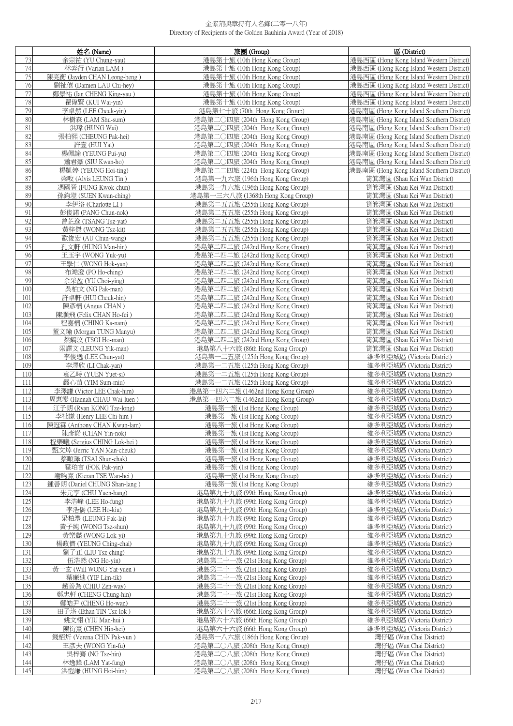|                 | 姓名 (Name)                                                | 旅團 (Group)                                                       | 區 (District)                                             |
|-----------------|----------------------------------------------------------|------------------------------------------------------------------|----------------------------------------------------------|
| 73              | 余宗祐 (YU Chung-yau)                                       | 港島第十旅 (10th Hong Kong Group)                                     | 港島西區 (Hong Kong Island Western District)                 |
| 74              | 林弈行 (Varian LAM)                                         | 港島第十旅 (10th Hong Kong Group)                                     | 港島西區 (Hong Kong Island Western District)                 |
| 75              | 陳亮衡 (Jayden CHAN Leong-heng)                             | 港島第十旅 (10th Hong Kong Group)                                     | 港島西區 (Hong Kong Island Western District)                 |
| 76              | 劉祉僖 (Damien LAU Chi-hey)                                 | 港島第十旅 (10th Hong Kong Group)                                     | 港島西區 (Hong Kong Island Western District)                 |
| 77              | 鄭景祐 (Ian CHENG King-yau)                                 | 港島第十旅 (10th Hong Kong Group)                                     | 港島西區 (Hong Kong Island Western District)                 |
| 78              | 瞿偉賢 (KUI Wai-yin)                                        | 港島第十旅 (10th Hong Kong Group)                                     | 港島西區 (Hong Kong Island Western District)                 |
| 79              | 李卓然 (LEE Cheuk-yin)                                      | 港島第七十旅 (70th Hong Kong Group)                                    | 港島南區 (Hong Kong Island Southern District)                |
| 80              | 林樹森 (LAM Shu-sum)                                        | 港島第二○四旅 (204th Hong Kong Group)                                  | 港島南區 (Hong Kong Island Southern District)                |
| 81              | 洪瑋 (HUNG Wai)                                            | 港島第二〇四旅 (204th Hong Kong Group)                                  | 港島南區 (Hong Kong Island Southern District)                |
| 82              | 張柏熙 (CHEUNG Pak-hei)                                     | 港島第二〇四旅 (204th Hong Kong Group)                                  | 港島南區 (Hong Kong Island Southern District)                |
| 83              |                                                          | 港島第二〇四旅 (204th Hong Kong Group)                                  | 港島南區 (Hong Kong Island Southern District)                |
|                 | 許壹 (HUI Yat)                                             |                                                                  |                                                          |
| 84              | 楊佩諭 (YEUNG Pui-yu)                                       | 港島第二○四旅 (204th Hong Kong Group)                                  | 港島南區 (Hong Kong Island Southern District)                |
| 85              | 蕭君豪 (SIU Kwan-ho)                                        | 港島第二○四旅 (204th Hong Kong Group)                                  | 港島南區 (Hong Kong Island Southern District)                |
| 86              | 楊凱婷 (YEUNG Hoi-ting)                                     | 港島第二二四旅 (224th Hong Kong Group)                                  | 港島南區 (Hong Kong Island Southern District)                |
| 87              | 梁畋 (Alvis LEUNG Tin)                                     | 港島第一九六旅 (196th Hong Kong Group)                                  | 筲箕灣區 (Shau Kei Wan District)                             |
| 88              | 馮國晉 (FUNG Kwok-chun)                                     | 港島第一九六旅 (196th Hong Kong Group)                                  | 筲箕灣區 (Shau Kei Wan District)                             |
| 89              | 孫鈞澄 (SUEN Kwan-ching)                                    | 港島第一三六八旅 (1368th Hong Kong Group)                                | 筲箕灣區 (Shau Kei Wan District)                             |
| 90              | 李伊洛 (Charlotte LI)                                       | 港島第二五五旅 (255th Hong Kong Group)                                  | 筲箕灣區 (Shau Kei Wan District)                             |
| 91              | 彭俊諾 (PANG Chun-nok)                                      | 港島第二五五旅 (255th Hong Kong Group)                                  | 笛箕灣區 (Shau Kei Wan District)                             |
| 92              | 曾芷逸 (TSANG Tsz-yat)                                      | 港島第二五五旅 (255th Hong Kong Group)                                  | 筲箕灣區 (Shau Kei Wan District)                             |
| 93              | 黃梓傑 (WONG Tsz-kit)                                       | 港島第二五五旅 (255th Hong Kong Group)                                  | 筲箕灣區 (Shau Kei Wan District)                             |
| 94              | 歐俊宏 (AU Chun-wang)                                       | 港島第二五五旅 (255th Hong Kong Group)                                  | 筲箕灣區 (Shau Kei Wan District)                             |
| $\overline{95}$ | 孔文軒 (HUNG Man-hin)                                       | 港島第二四二旅 (242nd Hong Kong Group)                                  | 筲箕灣區 (Shau Kei Wan District)                             |
| 96              | 王玉宇 (WONG Yuk-yu)                                        | 港島第二四二旅 (242nd Hong Kong Group)                                  | 筲箕灣區 (Shau Kei Wan District)                             |
| 97              | 王學仁 (WONG Hok-yan)                                       | 港島第二四二旅 (242nd Hong Kong Group)                                  | 筲箕灣區 (Shau Kei Wan District)                             |
| 98              | 布澔澄 (PO Ho-ching)                                        | 港島第二四二旅 (242nd Hong Kong Group)                                  | 筲箕灣區 (Shau Kei Wan District)                             |
| 99              | 余采盈 (YU Choi-ying)                                       | 港島第二四二旅 (242nd Hong Kong Group)                                  | 筲箕灣區 (Shau Kei Wan District)                             |
| 100             | 吳柏文 (NG Pak-man)                                         | 港島第二四二旅 (242nd Hong Kong Group)                                  | 筲箕灣區 (Shau Kei Wan District)                             |
| 101             | 許卓軒 (HUI Cheuk-hin)                                      | 港島第二四二旅 (242nd Hong Kong Group)                                  | 筲箕灣區 (Shau Kei Wan District)                             |
| 102             | 陳彥楠 (Angus CHAN)                                         | 港島第二四二旅 (242nd Hong Kong Group)                                  | 筲箕灣區 (Shau Kei Wan District)                             |
| 103             | 陳灝飛 (Felix CHAN Ho-fei)                                  | 港島第二四二旅 (242nd Hong Kong Group)                                  | 筲箕灣區 (Shau Kei Wan District)                             |
| 104             | 程嘉楠 (CHING Ka-nam)                                       | 港島第二四二旅 (242nd Hong Kong Group)                                  | 筲箕灣區 (Shau Kei Wan District)                             |
| 105             | 董文瑜 (Morgan TUNG Manyu)                                  | 港島第二四二旅 (242nd Hong Kong Group)                                  | 筲箕灣區 (Shau Kei Wan District)                             |
| 106             | 蔡鎬汶 (TSOI Ho-man)                                        | 港島第二四二旅 (242nd Hong Kong Group)                                  | 筲箕灣區 (Shau Kei Wan District)                             |
| 107             | 梁譯文 (LEUNG Yik-man)                                      | 港島第八十六旅 (86th Hong Kong Group)                                   | 筲箕灣區 (Shau Kei Wan District)                             |
| 108             | 李俊逸 (LEE Chun-yat)                                       | 港島第一二五旅 (125th Hong Kong Group)                                  | 維多利亞城區 (Victoria District)                               |
| 109             | 李澤欣 (LI Chak-yan)                                        | 港島第一二五旅 (125th Hong Kong Group)                                  | 維多利亞城區 (Victoria District)                               |
| 110             | 袁乙時 (YUEN Yuet-si)                                       | 港島第一二五旅 (125th Hong Kong Group)                                  | 維多利亞城區 (Victoria District)                               |
| 111             | 嚴心苗 (YIM Sum-miu)                                        | 港島第一二五旅 (125th Hong Kong Group)                                  | 維多利亞城區 (Victoria District)                               |
| 112             | 李澤謙 (Victor LEE Chak-him)                                | 港島第一四六二旅 (1462nd Hong Kong Group)                                | 維多利亞城區 (Victoria District)                               |
| 113             | 周惠鑾 (Hannah CHAU Wai-luen )                              | 港島第一四六二旅 (1462nd Hong Kong Group)                                | 維多利亞城區 (Victoria District)                               |
| 114             | 江子朗 (Ryan KONG Tze-long)                                 | 港島第一旅 (1st Hong Kong Group)                                      | 維多利亞城區 (Victoria District)                               |
| 115             | 李祉謙 (Henry LEE Chi-him)                                  | 港島第一旅 (1st Hong Kong Group)                                      | 維多利亞城區 (Victoria District)                               |
| 116             | 陳冠霖 (Anthony CHAN Kwun-lam)                              | 港島第一旅 (1st Hong Kong Group)                                      | 維多利亞城區 (Victoria District)                               |
| 117             | 陳彥諾 (CHAN Yin-nok)                                       | 港島第一旅 (1st Hong Kong Group)                                      | 維多利亞城區 (Victoria District)                               |
| 118             | 程樂曦 (Sergius CHING Lok-hei)                              | 港島第一旅 (1st Hong Kong Group)                                      | 維多利亞城區 (Victoria District)                               |
| 119             | 甄文焯 (Jerric YAN Man-cheuk)                               | 港島第一旅 (1st Hong Kong Group)                                      | 維多利亞城區 (Victoria District)                               |
| 120             | 蔡順澤 (TSAI Shun-chak)                                     | 港島第一旅 (1st Hong Kong Group)                                      | 維多利亞城區 (Victoria District)                               |
| 121             | 霍珀言 (FOK Pak-vin)                                        | 港島第一旅 (1st Hong Kong Group)                                      | 維多利亞城區 (Victoria District)                               |
|                 |                                                          |                                                                  |                                                          |
| 122<br>123      | 謝昀熹 (Kieran TSE Wan-hei)<br>鍾善朗 (Daniel CHUNG Shan-lang) | 港島第一旅 (1st Hong Kong Group)<br>港島第一旅 (1st Hong Kong Group)       | 維多利亞城區 (Victoria District)<br>維多利亞城區 (Victoria District) |
| 124             | 朱元亨 (CHU Yuen-hang)                                      | 港島第九十九旅 (99th Hong Kong Group)                                   | 維多利亞城區 (Victoria District)                               |
|                 |                                                          | 港島第九十九旅 (99th Hong Kong Group)                                   |                                                          |
| 125<br>126      | 李浩峰 (LEE Ho-fung)<br>李浩僑 (LEE Ho-kiu)                    | 港島第九十九旅 (99th Hong Kong Group)                                   | 維多利亞城區 (Victoria District)                               |
|                 | 梁柏澧 (LEUNG Pak-lai)                                      |                                                                  | 維多利亞城區 (Victoria District)                               |
| 127             | 黃子純 (WONG Tsz-shun)                                      | 港島第九十九旅 (99th Hong Kong Group)                                   | 維多利亞城區 (Victoria District)                               |
| 128             |                                                          | 港島第九十九旅 (99th Hong Kong Group)<br>港島第九十九旅 (99th Hong Kong Group) | 維多利亞城區 (Victoria District)                               |
| 129             | 黃樂懿 (WONG Lok-yi)                                        |                                                                  | 維多利亞城區 (Victoria District)                               |
| 130             | 楊政儕 (YEUNG Ching-chai)                                   | 港島第九十九旅 (99th Hong Kong Group)                                   | 維多利亞城區 (Victoria District)                               |
| 131             | 劉子正 (LIU Tsz-ching)                                      | 港島第九十九旅 (99th Hong Kong Group)                                   | 維多利亞城區 (Victoria District)                               |
| 132             | 伍浩然 (NG Ho-yin)                                          | 港島第二十一旅 (21st Hong Kong Group)                                   | 維多利亞城區 (Victoria District)                               |
| 133             | 黃一玄 (Will WONG Yat-yuen)                                 | 港島第二十一旅 (21st Hong Kong Group)                                   | 維多利亞城區 (Victoria District)                               |
| 134             | 葉廉迪 (YIP Lim-tik)                                        | 港島第二十一旅 (21st Hong Kong Group)                                   | 維多利亞城區 (Victoria District)                               |
| 135             | 趙善為 (CHIU Zen-way)                                       | 港島第二十一旅 (21st Hong Kong Group)                                   | 維多利亞城區 (Victoria District)                               |
| 136             | 鄭忠軒 (CHENG Chung-hin)                                    | 港島第二十一旅 (21st Hong Kong Group)                                   | 維多利亞城區 (Victoria District)                               |
| 137             | 鄭皓尹 (CHENG Ho-wan)                                       | 港島第二十一旅 (21st Hong Kong Group)                                   | 維多利亞城區 (Victoria District)                               |
| 138             | 田子洛 (Ethan TIN Tsz-lok)                                  | 港島第六十六旅 (66th Hong Kong Group)                                   | 維多利亞城區 (Victoria District)                               |
| 139             | 姚文栩 (YIU Man-hui)                                        | 港島第六十六旅 (66th Hong Kong Group)                                   | 維多利亞城區 (Victoria District)                               |
| 140             | 陳衍熹 (CHEN Hin-hei)                                       | 港島第六十六旅 (66th Hong Kong Group)                                   | 維多利亞城區 (Victoria District)                               |
| 141             | 錢栢炘 (Verena CHIN Pak-yun)                                | 港島第一八六旅 (186th Hong Kong Group)                                  | 灣仔區 (Wan Chai District)                                  |
| 142             | 王彥夫 (WONG Yin-fu)                                        | 港島第二〇八旅 (208th Hong Kong Group)                                  | 灣仔區 (Wan Chai District)                                  |
| 143             | 吳梓騫 (NG Tsz-hin)                                         | 港島第二〇八旅 (208th Hong Kong Group)                                  | 灣仔區 (Wan Chai District)                                  |
| 144             | 林逸鋒 (LAM Yat-fung)                                       | 港島第二〇八旅 (208th Hong Kong Group)                                  | 灣仔區 (Wan Chai District)                                  |
| 145             | 洪愷謙 (HUNG Hoi-him)                                       | 港島第二〇八旅 (208th Hong Kong Group)                                  | 灣仔區 (Wan Chai District)                                  |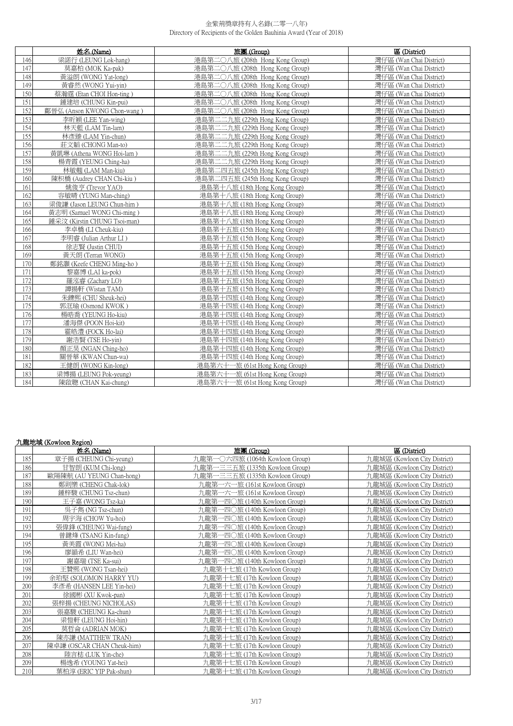|     | 姓名 (Name)                    | 旅團 (Group)                      | 區 (District)            |
|-----|------------------------------|---------------------------------|-------------------------|
| 146 | 梁諾行 (LEUNG Lok-hang)         | 港島第二〇八旅 (208th Hong Kong Group) | 灣仔區 (Wan Chai District) |
| 147 | 莫嘉柏 (MOK Ka-pak)             | 港島第二〇八旅 (208th Hong Kong Group) | 灣仔區 (Wan Chai District) |
| 148 | 黃溢朗 (WONG Yat-long)          | 港島第二〇八旅 (208th Hong Kong Group) | 灣仔區 (Wan Chai District) |
| 149 | 黃睿然 (WONG Yui-yin)           | 港島第二〇八旅 (208th Hong Kong Group) | 灣仔區 (Wan Chai District) |
| 150 | 蔡瀚霆 (Etan CHOI Hon-ting)     | 港島第二〇八旅 (208th Hong Kong Group) | 灣仔區 (Wan Chai District) |
| 151 | 鍾建培 (CHUNG Kin-pui)          | 港島第二〇八旅 (208th Hong Kong Group) | 灣仔區 (Wan Chai District) |
| 152 | 鄺晉弘 (Anson KWONG Chon-wang)  | 港島第二〇八旅 (208th Hong Kong Group) | 灣仔區 (Wan Chai District) |
| 153 | 李昕穎 (LEE Yan-wing)           | 港島第二二九旅 (229th Hong Kong Group) | 灣仔區 (Wan Chai District) |
| 154 | 林天藍 (LAM Tin-lam)            | 港島第二二九旅 (229th Hong Kong Group) | 灣仔區 (Wan Chai District) |
| 155 | 林彥臻 (LAM Yin-chun)           | 港島第二二九旅 (229th Hong Kong Group) | 灣仔區 (Wan Chai District) |
| 156 | 莊文韜 (CHONG Man-to)           | 港島第二二九旅 (229th Hong Kong Group) | 灣仔區 (Wan Chai District) |
| 157 | 黃凱琳 (Athena WONG Hoi-lam)    | 港島第二二九旅 (229th Hong Kong Group) | 灣仔區 (Wan Chai District) |
| 158 | 楊青霞 (YEUNG Ching-ha)         | 港島第二二九旅 (229th Hong Kong Group) | 灣仔區 (Wan Chai District) |
| 159 | 林敏翹 (LAM Man-kiu)            | 港島第二四五旅 (245th Hong Kong Group) | 灣仔區 (Wan Chai District) |
| 160 | 陳枳橋 (Audrey CHAN Chi-kiu)    | 港島第二四五旅 (245th Hong Kong Group) | 灣仔區 (Wan Chai District) |
| 161 | 姚俊亨 (Trevor YAO)             | 港島第十八旅 (18th Hong Kong Group)   | 灣仔區 (Wan Chai District) |
| 162 | 容敏晴 (YUNG Man-ching)         | 港島第十八旅 (18th Hong Kong Group)   | 灣仔區 (Wan Chai District) |
| 163 | 梁俊謙 (Jason LEUNG Chun-him)   | 港島第十八旅 (18th Hong Kong Group)   | 灣仔區 (Wan Chai District) |
| 164 | 黃志明 (Samuel WONG Chi-ming)   | 港島第十八旅 (18th Hong Kong Group)   | 灣仔區 (Wan Chai District) |
| 165 | 鍾采汶 (Kirstin CHUNG Tsoi-man) | 港島第十八旅 (18th Hong Kong Group)   | 灣仔區 (Wan Chai District) |
| 166 | 李卓橋 (LI Cheuk-kiu)           | 港島第十五旅 (15th Hong Kong Group)   | 灣仔區 (Wan Chai District) |
| 167 | 李明睿 (Julian Arthur LI)       | 港島第十五旅 (15th Hong Kong Group)   | 灣仔區 (Wan Chai District) |
| 168 | 徐志賢 (Justin CHUI)            | 港島第十五旅 (15th Hong Kong Group)   | 灣仔區 (Wan Chai District) |
| 169 | 黃天朗 (Terran WONG)            | 港島第十五旅 (15th Hong Kong Group)   | 灣仔區 (Wan Chai District) |
| 170 | 鄭銘灝 (Keefe CHENG Ming-ho)    | 港島第十五旅 (15th Hong Kong Group)   | 灣仔區 (Wan Chai District) |
| 171 | 黎嘉博 (LAI ka-pok)             | 港島第十五旅 (15th Hong Kong Group)   | 灣仔區 (Wan Chai District) |
| 172 | 羅泓睿 (Zachary LO)             | 港島第十五旅 (15th Hong Kong Group)   | 灣仔區 (Wan Chai District) |
| 173 | 譚揚軒 (Wistan TAM)             | 港島第十五旅 (15th Hong Kong Group)   | 灣仔區 (Wan Chai District) |
| 174 | 朱鑠熙 (CHU Sheuk-hei)          | 港島第十四旅 (14th Hong Kong Group)   | 灣仔區 (Wan Chai District) |
| 175 | 郭洭瑜 (Osmond KWOK)            | 港島第十四旅 (14th Hong Kong Group)   | 灣仔區 (Wan Chai District) |
| 176 | 楊晧喬 (YEUNG Ho-kiu)           | 港島第十四旅 (14th Hong Kong Group)   | 灣仔區 (Wan Chai District) |
| 177 | 潘海傑 (POON Hoi-kit)           | 港島第十四旅 (14th Hong Kong Group)   | 灣仔區 (Wan Chai District) |
| 178 | 霍皓澧 (FOCK Ho-lai)            | 港島第十四旅 (14th Hong Kong Group)   | 灣仔區 (Wan Chai District) |
| 179 | 謝浩賢 (TSE Ho-vin)             | 港島第十四旅 (14th Hong Kong Group)   | 灣仔區 (Wan Chai District) |
| 180 | 顏正昊 (NGAN Ching-ho)          | 港島第十四旅 (14th Hong Kong Group)   | 灣仔區 (Wan Chai District) |
| 181 | 關晉華 (KWAN Chun-wa)           | 港島第十四旅 (14th Hong Kong Group)   | 灣仔區 (Wan Chai District) |
| 182 | 王健朗 (WONG Kin-long)          | 港島第六十一旅 (61st Hong Kong Group)  | 灣仔區 (Wan Chai District) |
| 183 | 梁博揚 (LEUNG Pok-yeung)        | 港島第六十一旅 (61st Hong Kong Group)  | 灣仔區 (Wan Chai District) |
| 184 | 陳啟聰 (CHAN Kai-chung)         | 港島第六十一旅 (61st Hong Kong Group)  | 灣仔區 (Wan Chai District) |

|     | 九龍地域 (Kowloon Region)      |                                     |                              |
|-----|----------------------------|-------------------------------------|------------------------------|
|     | 姓名 (Name)                  | 旅團 (Group)                          | 區 (District)                 |
| 185 | 章子揚 (CHEUNG Chi-yeung)     | 九龍第-<br>○六四旅 (1064th Kowloon Group) | 九龍城區 (Kowloon City District) |
| 186 | 甘智朗 (KUM Chi-long)         | 九龍第一三三五旅 (1335th Kowloon Group)     | 九龍城區 (Kowloon City District) |
| 187 | 歐陽陳航 (AU YEUNG Chan-hong)  | 九龍第一三三五旅 (1335th Kowloon Group)     | 九龍城區 (Kowloon City District) |
| 188 | 鄭則樂 (CHENG Chak-lok)       | 九龍第一六一旅 (161st Kowloon Group)       | 九龍城區 (Kowloon City District) |
| 189 | 鍾梓駿 (CHUNG Tsz-chun)       | 九龍第一六一旅 (161st Kowloon Group)       | 九龍城區 (Kowloon City District) |
| 190 | 王子嘉 (WONG Tsz-ka)          | 九龍第一四〇旅 (140th Kowloon Group)       | 九龍城區 (Kowloon City District) |
| 191 | 吳子雋 (NG Tsz-chun)          | 九龍第一四〇旅 (140th Kowloon Group)       | 九龍城區 (Kowloon City District) |
| 192 | 周宇海 (CHOW Yu-hoi)          | 九龍第一四〇旅 (140th Kowloon Group)       | 九龍城區 (Kowloon City District) |
| 193 | 張偉鋒 (CHEUNG Wai-fung)      | -四〇旅 (140th Kowloon Group)<br>九龍第   | 九龍城區 (Kowloon City District) |
| 194 | 曾鍵烽 (TSANG Kin-fung)       | 九龍第-<br>-四〇旅 (140th Kowloon Group)  | 九龍城區 (Kowloon City District) |
| 195 | 黃美霞 (WONG Mei-ha)          | −四○旅 (140th Kowloon Group)<br>九龍第一  | 九龍城區 (Kowloon City District) |
| 196 | 廖韻希 (LIU Wan-hei)          | 九龍第<br>-四〇旅 (140th Kowloon Group)   | 九龍城區 (Kowloon City District) |
| 197 | 謝嘉瑞 (TSE Ka-sui)           | →四○旅 (140th Kowloon Group)<br>九龍第-  | 九龍城區 (Kowloon City District) |
| 198 | 王贊熙 (WONG Tsan-hei)        | 九龍第十七旅 (17th Kowloon Group)         | 九龍城區 (Kowloon City District) |
| 199 | 余珀堅 (SOLOMON HARRY YU)     | 九龍第十七旅 (17th Kowloon Group)         | 九龍城區 (Kowloon City District) |
| 200 | 李彥希 (HANSEN LEE Yin-hei)   | 九龍第十七旅 (17th Kowloon Group)         | 九龍城區 (Kowloon City District) |
| 201 | 徐國彬 (XU Kwok-pan)          | 九龍第十七旅 (17th Kowloon Group)         | 九龍城區 (Kowloon City District) |
| 202 | 張梓揚 (CHEUNG NICHOLAS)      | 九龍第十七旅 (17th Kowloon Group)         | 九龍城區 (Kowloon City District) |
| 203 | 張嘉駿 (CHEUNG Ka-chun)       | 九龍第十七旅 (17th Kowloon Group)         | 九龍城區 (Kowloon City District) |
| 204 | 梁愷軒 (LEUNG Hoi-hin)        | 九龍第十七旅 (17th Kowloon Group)         | 九龍城區 (Kowloon City District) |
| 205 | 莫哲侖 (ADRIAN MOK)           | 九龍第十七旅 (17th Kowloon Group)         | 九龍城區 (Kowloon City District) |
| 206 | 陳亦謙 (MATTHEW TRAN)         | 九龍第十七旅 (17th Kowloon Group)         | 九龍城區 (Kowloon City District) |
| 207 | 陳卓謙 (OSCAR CHAN Cheuk-him) | 九龍第十七旅 (17th Kowloon Group)         | 九龍城區 (Kowloon City District) |
| 208 | 陸言梽 (LUK Yin-che)          | 九龍第十七旅 (17th Kowloon Group)         | 九龍城區 (Kowloon City District) |
| 209 | 楊逸希 (YOUNG Yat-hei)        | 九龍第十七旅 (17th Kowloon Group)         | 九龍城區 (Kowloon City District) |
| 210 | 葉柏淳 (ERIC YIP Pak-shun)    | 九龍第十七旅 (17th Kowloon Group)         | 九龍城區 (Kowloon City District) |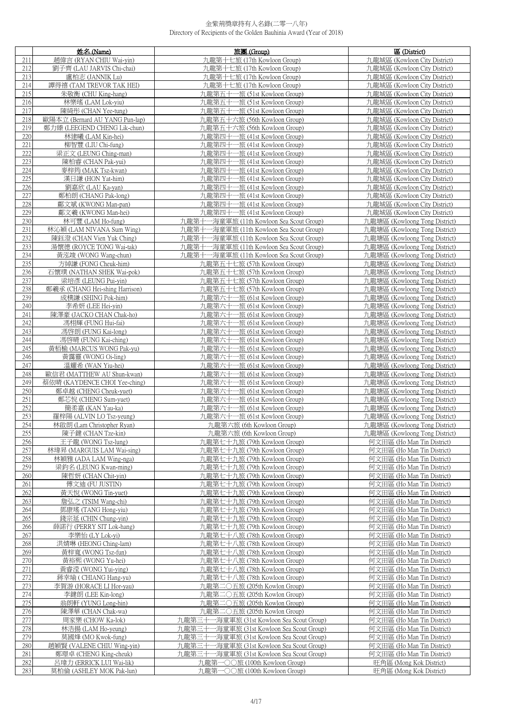|            | 姓名 (Name)                                        | 旅團 (Group)                                                   | 區 (District)                                                   |
|------------|--------------------------------------------------|--------------------------------------------------------------|----------------------------------------------------------------|
| 211        | 趙偉言 (RYAN CHIU Wai-yin)                          | 九龍第十七旅 (17th Kowloon Group)                                  | 九龍城區 (Kowloon City District)                                   |
| 212        | 劉子齊 (LAU JARVIS Chi-chai)                        | 九龍第十七旅 (17th Kowloon Group)                                  | 九龍城區 (Kowloon City District)                                   |
| 213        | 盧柏志 (JANNIK Lu)                                  | 九龍第十七旅 (17th Kowloon Group)                                  | 九龍城區 (Kowloon City District)                                   |
| 214        | 譚得禧 (TAM TREVOR TAK HEI)                         | 九龍第十七旅 (17th Kowloon Group)                                  | 九龍城區 (Kowloon City District)                                   |
| 215        | 朱敬衡 (CHU King-hang)                              | 九龍第五十一旅 (51st Kowloon Group)                                 | 九龍城區 (Kowloon City District)                                   |
| 216        | 林樂瑤 (LAM Lok-yiu)                                | 九龍第五十一旅 (51st Kowloon Group)                                 | 九龍城區 (Kowloon City District)                                   |
| 217        | 陳綺彤 (CHAN Yee-tung)                              | 九龍第五十一旅 (51st Kowloon Group)                                 | 九龍城區 (Kowloon City District)                                   |
| 218        | 歐陽本立 (Bernard AU YANG Pun-lap)                   | 九龍第五十六旅 (56th Kowloon Group)                                 | 九龍城區 (Kowloon City District)                                   |
| 219        | 鄭力臻 (LEEGEND CHENG Lik-chun)                     | 九龍第五十六旅 (56th Kowloon Group)                                 | 九龍城區 (Kowloon City District)                                   |
| 220        | 林建曦 (LAM Kin-hei)                                | 九龍第四十一旅 (41st Kowloon Group)                                 | 九龍城區 (Kowloon City District)                                   |
| 221<br>222 | 柳智豐 (LIU Chi-fung)<br>梁正文 (LEUNG Ching-man)      | 九龍第四十一旅 (41st Kowloon Group)<br>九龍第四十一旅 (41st Kowloon Group) | 力龍城區 (Kowloon City District)<br>九龍城區 (Kowloon City District)   |
| 223        | 陳柏睿 (CHAN Pak-yui)                               | 九龍第四十一旅 (41st Kowloon Group)                                 | 九龍城區 (Kowloon City District)                                   |
| 224        | 麥梓筠 (MAK Tsz-kwan)                               | 九龍第四十一旅 (41st Kowloon Group)                                 | 九龍城區 (Kowloon City District)                                   |
| 225        | 漢日謙 (HON Yat-him)                                | 九龍第四十一旅 (41st Kowloon Group)                                 | 九龍城區 (Kowloon City District)                                   |
| 226        | 劉嘉欣 (LAU Ka-yan)                                 | 九龍第四十一旅 (41st Kowloon Group)                                 | 九龍城區 (Kowloon City District)                                   |
| 227        | 鄭柏朗 (CHANG Pak-long)                             | 九龍第四十一旅 (41st Kowloon Group)                                 | 九龍城區 (Kowloon City District)                                   |
| 228        | 鄺文斌 (KWONG Man-pan)                              | 九龍第四十一旅 (41st Kowloon Group)                                 | 九龍城區 (Kowloon City District)                                   |
| 229        | 鄺文羲 (KWONG Man-hei)                              | 九龍第四十一旅 (41st Kowloon Group)                                 | 九龍城區 (Kowloon City District)                                   |
| 230        | 林可豐 (LAM Ho-fung)                                | 九龍第十一海童軍旅 (11th Kowloon Sea Scout Group)                     | 九龍塘區 (Kowloong Tong District)                                  |
| 231        | 林沁穎 (LAM NIVANA Sum Wing)                        | 九龍第十一海童軍旅 (11th Kowloon Sea Scout Group)                     | 九龍塘區 (Kowloong Tong District)                                  |
| 232        | 陳鈺澄 (CHAN Vien Yuk Ching)                        | 九龍第十一海童軍旅 (11th Kowloon Sea Scout Group)                     | 九龍塘區 (Kowloong Tong District)                                  |
| 233        | 湯懷德 (ROYCE TONG Wai-tak)                         | 九龍第十一海童軍旅 (11th Kowloon Sea Scout Group)                     | 九龍塘區 (Kowloong Tong District)                                  |
| 234        | 黃泓竣 (WONG Wang-chun)                             | 九龍第十一海童軍旅 (11th Kowloon Sea Scout Group)                     | 九龍塘區 (Kowloong Tong District)                                  |
| 235        | 方綽謙 (FONG Cheuk-him)                             | 九龍第五十七旅 (57th Kowloon Group)                                 | 九龍塘區 (Kowloong Tong District)                                  |
| 236<br>237 | 石懷璞 (NATHAN SHEK Wai-pok)<br>梁培彥 (LEUNG Pui-yin) | 九龍第五十七旅 (57th Kowloon Group)<br>九龍第五十七旅 (57th Kowloon Group) | 九龍塘區 (Kowloong Tong District)<br>九龍塘區 (Kowloong Tong District) |
| 238        | 鄭羲承 (CHANG Hei-shing Harrison)                   | 九龍第五十七旅 (57th Kowloon Group)                                 | 九龍塘區 (Kowloong Tong District)                                  |
| 239        | 成樸謙 (SHING Pok-him)                              | 九龍第六十一旅 (61st Kowloon Group)                                 | 九龍塘區 (Kowloong Tong District)                                  |
| 240        | 李希妍 (LEE Hei-yin)                                | 九龍第六十一旅 (61st Kowloon Group)                                 | 九龍塘區 (Kowloong Tong District)                                  |
| 241        | 陳澤豪 (JACKO CHAN Chak-ho)                         | 九龍第六十一旅 (61st Kowloon Group)                                 | 九龍塘區 (Kowloong Tong District)                                  |
| 242        | 馮栩輝 (FUNG Hui-fai)                               | 九龍第六十一旅 (61st Kowloon Group)                                 | 九龍塘區 (Kowloong Tong District)                                  |
| 243        | 馮啓朗 (FUNG Kai-long)                              | 九龍第六十一旅 (61st Kowloon Group)                                 | 九龍塘區 (Kowloong Tong District)                                  |
| 244        | 馮啓晴 (FUNG Kai-ching)                             | 九龍第六十一旅 (61st Kowloon Group)                                 | 九龍塘區 (Kowloong Tong District)                                  |
| 245        | 黃栢榆 (MARCUS WONG Pak-yu)                         | 九龍第六十一旅 (61st Kowloon Group)                                 | 九龍塘區 (Kowloong Tong District)                                  |
| 246        | 黃靄靈 (WONG Oi-ling)                               | 九龍第六十一旅 (61st Kowloon Group)                                 | 九龍塘區 (Kowloong Tong District)                                  |
| 247        | 溫耀希 (WAN Yiu-hei)                                | 九龍第六十一旅 (61st Kowloon Group)                                 | 九龍塘區 (Kowloong Tong District)                                  |
| 248        | 歐信君 (MATTHEW AU Shun-kwan)                       | 九龍第六十一旅 (61st Kowloon Group)                                 | 九龍塘區 (Kowloong Tong District)                                  |
| 249        | 蔡依晴 (KAYDENCE CHOI Yee-ching)                    | 九龍第六十一旅 (61st Kowloon Group)                                 | 九龍塘區 (Kowloong Tong District)                                  |
| 250<br>251 | 鄭卓越 (CHENG Cheuk-yuet)<br>鄭芯悅 (CHENG Sum-yuet)   | 九龍第六十一旅 (61st Kowloon Group)<br>九龍第六十一旅 (61st Kowloon Group) | 九龍塘區 (Kowloong Tong District)<br>九龍塘區 (Kowloong Tong District) |
| 252        | 簡柔嘉 (KAN Yau-ka)                                 | 九龍第六十一旅 (61st Kowloon Group)                                 | 九龍塘區 (Kowloong Tong District)                                  |
| 253        | 羅梓陽 (ALVIN LO Tsz-yeung)                         | 九龍第六十一旅 (61st Kowloon Group)                                 | 九龍塘區 (Kowloong Tong District)                                  |
| 254        | 林啟朗 (Lam Christopher Ryan)                       | 九龍第六旅 (6th Kowloon Group)                                    | 九龍塘區 (Kowloong Tong District)                                  |
| 255        | 陳子鍵 (CHAN Tze-kin)                               | 九龍第六旅 (6th Kowloon Group)                                    | 九龍塘區 (Kowloong Tong District)                                  |
| 256        | 王子龍 (WONG Tsz-lung)                              | 九龍第七十九旅 (79th Kowloon Group)                                 | 何文田區 (Ho Man Tin District)                                     |
| 257        | 林瑋昇 (MARGUIS LAM Wai-sing)                       | 九龍第七十九旅 (79th Kowloon Group)                                 | 何文田區 (Ho Man Tin District)                                     |
| 258        | 林穎雅 (ADA LAM Wing-nga)                           | 九龍第七十九旅 (79th Kowloon Group)                                 | 何文田區 (Ho Man Tin District)                                     |
| 259        | 梁鈞名 (LEUNG Kwan-ming)                            | 九龍第七十九旅 (79th Kowloon Group)                                 | 何文田區 (Ho Man Tin District)                                     |
| 260        | 陳哲妍 (CHAN Chit-vin)                              | 九龍第七十九旅 (79th Kowloon Group)                                 | 何文田區 (Ho Man Tin District)                                     |
| 261        | 傅文迪 (FU JUSTIN)                                  | 九龍第七十九旅 (79th Kowloon Group)                                 | 何文田區 (Ho Man Tin District)                                     |
| 262<br>263 | 黃天悅 (WONG Tin-yuet)<br>詹弘之 (TSIM Wang-chi)       | 九龍第七十九旅 (79th Kowloon Group)                                 | 何文田區 (Ho Man Tin District)                                     |
| 264        | 鄧康瑤 (TANG Hong-yiu)                              | 九龍第七十九旅 (79th Kowloon Group)<br>九龍第七十九旅 (79th Kowloon Group) | 何文田區 (Ho Man Tin District)<br>何文田區 (Ho Man Tin District)       |
| 265        | 錢宗延 (CHIN Chung-yin)                             | 九龍第七十九旅 (79th Kowloon Group)                                 | 何文田區 (Ho Man Tin District)                                     |
| 266        | 薛諾行 (PERRY SIT Lok-hang)                         | 九龍第七十九旅 (79th Kowloon Group)                                 | 何文田區 (Ho Man Tin District)                                     |
| 267        | 李樂怡 (LY Lok-yi)                                  | 九龍第七十八旅 (78th Kowloon Group)                                 | 何文田區 (Ho Man Tin District)                                     |
| 268        | 洪婧琳 (HEONG Ching-lam)                            | 九龍第七十八旅 (78th Kowloon Group)                                 | 何文田區 (Ho Man Tin District)                                     |
| 269        | 黃梓寬 (WONG Tsz-fun)                               | 九龍第七十八旅 (78th Kowloon Group)                                 | 何文田區 (Ho Man Tin District)                                     |
| 270        | 黃裕熙 (WONG Yu-hei)                                | 九龍第七十八旅 (78th Kowloon Group)                                 | 何文田區 (Ho Man Tin District)                                     |
| 271        | 黃睿滢 (WONG Yui-ying)                              | 九龍第七十八旅 (78th Kowloon Group)                                 | 何文田區 (Ho Man Tin District)                                     |
| 272        | 蔣幸瑜 ( CHIANG Hang-yu)                            | 九龍第七十八旅 (78th Kowloon Group)                                 | 何文田區 (Ho Man Tin District)                                     |
| 273        | 李賀游 (HORACE LI Hor-yau)                          | 九龍第二〇五旅 (205th Kowlon Group)                                 | 何文田區 (Ho Man Tin District)                                     |
| 274<br>275 | 李鍵朗 (LEE Kin-long)                               | 九龍第二〇五旅 (205th Kowlon Group)                                 | 何文田區 (Ho Man Tin District)                                     |
| 276        | 翁朗軒 (YUNG Long-hin)<br>陳澤華 (CHAN Chak-wa)        | 九龍第二〇五旅 (205th Kowlon Group)<br>九龍第二〇五旅 (205th Kowlon Group) | 何文田區 (Ho Man Tin District)<br>何文田區 (Ho Man Tin District)       |
| 277        | 周家樂 (CHOW Ka-lok)                                | 九龍第三十一海童軍旅 (31st Kowloon Sea Scout Group)                    | 何文田區 (Ho Man Tin District)                                     |
| 278        | 林浩揚 (LAM Ho-yeung)                               | 九龍第三十一海童軍旅 (31st Kowloon Sea Scout Group)                    | 何文田區 (Ho Man Tin District)                                     |
| 279        | 莫國烽 (MO Kwok-fung)                               | 九龍第三十一海童軍旅 (31st Kowloon Sea Scout Group)                    | 何文田區 (Ho Man Tin District)                                     |
| 280        | 趙穎賢 (VALENE CHIU Wing-yin)                       | 九龍第三十一海童軍旅 (31st Kowloon Sea Scout Group)                    | 何文田區 (Ho Man Tin District)                                     |
| 281        | 鄭璟卓 (CHENG King-cheuk)                           | 九龍第三十一海童軍旅 (31st Kowloon Sea Scout Group)                    | 何文田區 (Ho Man Tin District)                                     |
| 282        | 呂瑋力 (ERRICK LUI Wai-lik)                         | 九龍第一〇〇旅 (100th Kowloon Group)                                | 旺角區 (Mong Kok District)                                        |
| 283        | 莫柏倫 (ASHLEY MOK Pak-lun)                         | 九龍第一〇〇旅 (100th Kowloon Group)                                | 旺角區 (Mong Kok District)                                        |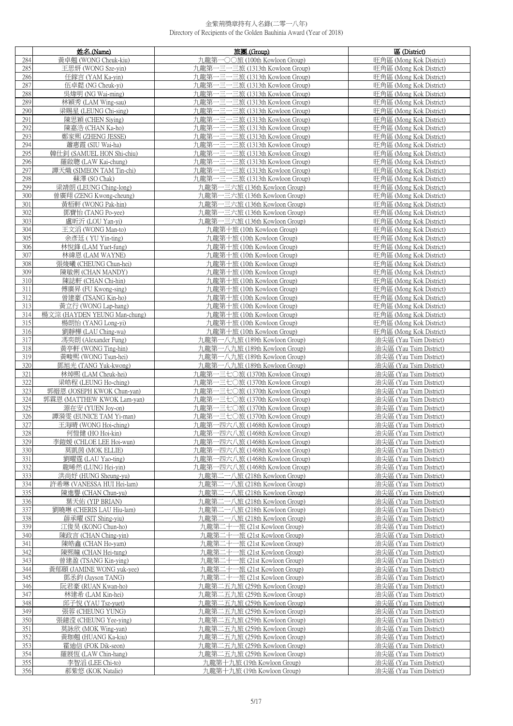|            | 姓名 (Name)                                       | 旅團 (Group)                                                         | 區 (District)                                       |
|------------|-------------------------------------------------|--------------------------------------------------------------------|----------------------------------------------------|
| 284        | 黃卓翹 (WONG Cheuk-kiu)                            | 九龍第一〇〇旅 (100th Kowloon Group)                                      | 旺角區 (Mong Kok District)                            |
| 285        | 王思妍 (WONG Sze-yin)                              | 九龍第一三一三旅 (1313th Kowloon Group)                                    | 旺角區 (Mong Kok District)                            |
| 286        | 任鎵言 (YAM Ka-yin)                                | 九龍第一三一三旅 (1313th Kowloon Group)                                    | 旺角區 (Mong Kok District)                            |
| 287        | 伍卓懿 (NG Cheuk-yi)                               | 九龍第一三一三旅 (1313th Kowloon Group)                                    | 旺角區 (Mong Kok District)                            |
| 288        | 吳煒明 (NG Wai-ming)                               | 九龍第一三一三旅 (1313th Kowloon Group)                                    | 旺角區 (Mong Kok District)                            |
| 289        | 林穎秀 (LAM Wing-sau)                              | 九龍第一三一三旅 (1313th Kowloon Group)                                    | 旺角區 (Mong Kok District)                            |
| 290        | 梁賜星 (LEUNG Chi-sing)                            | 九龍第一三一三旅 (1313th Kowloon Group)                                    | 旺角區 (Mong Kok District)                            |
| 291        | 陳思穎 (CHEN Siying)                               | 九龍第一三一三旅 (1313th Kowloon Group)                                    | 旺角區 (Mong Kok District)                            |
| 292        | 陳嘉浩 (CHAN Ka-ho)                                | 九龍第一三一三旅 (1313th Kowloon Group)                                    | 旺角區 (Mong Kok District)                            |
| 293        | 鄭家熙 (ZHENG JESSE)                               | 九龍第一三一三旅 (1313th Kowloon Group)                                    | 旺角區 (Mong Kok District)                            |
| 294        | 蕭惠霞 (SIU Wai-ha)                                | 九龍第一三一三旅 (1313th Kowloon Group)                                    | 旺角區 (Mong Kok District)                            |
| 295        | 韓仕釗 (SAMUEL HON Shi-chiu)                       | 九龍第一三一三旅 (1313th Kowloon Group)                                    | 旺角區 (Mong Kok District)                            |
| 296        | 羅啟聰 (LAW Kai-chung)                             | 九龍第一三一三旅 (1313th Kowloon Group)                                    | 旺角區 (Mong Kok District)                            |
| 297        | 譚天熾 (SIMEON TAM Tin-chi)                        | 九龍第一三一三旅 (1313th Kowloon Group)                                    | 旺角區 (Mong Kok District)                            |
| 298        | 蘇澤 (SO Chak)                                    | 九龍第一三一三旅 (1313th Kowloon Group)                                    | 旺角區 (Mong Kok District)                            |
| 299        | 梁靖朗 (LEUNG Ching-long)                          | 九龍第一三六旅 (136th Kowloon Group)                                      | 旺角區 (Mong Kok District)                            |
| 300        | 曾廣翔 (ZENG Kwong-cheung)                         | 九龍第一三六旅 (136th Kowloon Group)                                      | 旺角區 (Mong Kok District)                            |
| 301        | 黃栢軒 (WONG Pak-hin)                              | 九龍第一三六旅 (136th Kowloon Group)                                      | 旺角區 (Mong Kok District)                            |
| 302        | 鄧寶怡 (TANG Po-yee)                               | 九龍第一三六旅 (136th Kowloon Group)                                      | 旺角區 (Mong Kok District)                            |
| 303        | 盧昕沂 (LOU Yan-vi)                                | 九龍第一三六旅 (136th Kowloon Group)                                      | 旺角區 (Mong Kok District)                            |
| 304        | 王文滔 (WONG Man-to)                               | 九龍第十旅 (10th Kowloon Group)                                         | 旺角區 (Mong Kok District)                            |
| 305        | 余彥廷 (YU Yin-ting)                               | 九龍第十旅 (10th Kowloon Group)                                         | 旺角區 (Mong Kok District)                            |
| 306        | 林悅鋒 (LAM Yuet-fung)                             | 九龍第十旅 (10th Kowloon Group)                                         | 旺角區 (Mong Kok District)                            |
| 307        | 林緯恩 (LAM WAYNE)                                 | 九龍第十旅 (10th Kowloon Group)                                         | 旺角區 (Mong Kok District)                            |
| 308        | 張焌曦 (CHEUNG Chun-hei)                           | 九龍第十旅 (10th Kowloon Group)                                         | 旺角區 (Mong Kok District)                            |
| 309        | 陳敏俐 (CHAN MANDY)                                | 九龍第十旅 (10th Kowloon Group)                                         | 旺角區 (Mong Kok District)                            |
| 310        | 陳誌軒 (CHAN Chi-hin)                              | 九龍第十旅 (10th Kowloon Group)                                         | 旺角區 (Mong Kok District)                            |
| 311        | 傅廣昇 (FU Kwong-sing)                             | 九龍第十旅 (10th Kowloon Group)                                         | 旺角區 (Mong Kok District)                            |
| 312        | 曾建豪 (TSANG Kin-ho)                              | 九龍第十旅 (10th Kowloon Group)                                         | 旺角區 (Mong Kok District)                            |
| 313        | 黃立行 (WONG Lap-hang)                             | 九龍第十旅 (10th Kowloon Group)                                         | 旺角區 (Mong Kok District)                            |
| 314        | 楊文淙 (HAYDEN YEUNG Man-chung)                    | 九龍第十旅 (10th Kowloon Group)                                         | 旺角區 (Mong Kok District)                            |
| 315        | 楊朗怡 (YANG Long-yi)                              | 九龍第十旅 (10th Kowloon Group)                                         | 旺角區 (Mong Kok District)                            |
| 316        | 劉靜樺 (LAU Ching-wa)                              | 九龍第十旅 (10th Kowloon Group)                                         | 旺角區 (Mong Kok District)                            |
| 317        | 馮奕朗 (Alexander Fung)                            | 九龍第一八九旅 (189th Kowloon Group)                                      | 油尖區 (Yau Tsim District)                            |
| 318        | 黃亭軒 (WONG Ting-hin)                             | 九龍第一八九旅 (189th Kowloon Group)                                      | 油尖區 (Yau Tsim District)                            |
| 319        | 黃畯熙 (WONG Tsun-hei)                             | 九龍第一八九旅 (189th Kowloon Group)                                      | 油尖區 (Yau Tsim District)                            |
| 320        | 鄧旭光 (TANG Yuk-kwong)                            | 九龍第一八九旅 (189th Kowloon Group)                                      | 油尖區 (Yau Tsim District)                            |
| 321        | 林焯熙 (LAM Cheuk-hei)                             | 九龍第一三七〇旅 (1370th Kowloon Group)                                    | 油尖區 (Yau Tsim District)                            |
| 322        | 梁皓程 (LEUNG Ho-ching)                            | 九龍第一三七〇旅 (1370th Kowloon Group)                                    | 油尖區 (Yau Tsim District)                            |
| 323        | 郭縉恩 (JOSEPH KWOK Chun-yan)                      | 九龍第一三七〇旅 (1370th Kowloon Group)                                    | 油尖區 (Yau Tsim District)                            |
| 324<br>325 | 郭霖恩 (MATTHEW KWOK Lam-yan)<br>源在安 (YUEN Joy-on) | 九龍第一三七〇旅 (1370th Kowloon Group)<br>九龍第一三七〇旅 (1370th Kowloon Group) | 油尖區 (Yau Tsim District)<br>油尖區 (Yau Tsim District) |
| 326        | 譚漪雯 (EUNICE TAM Yi-man)                         | 九龍第一三七〇旅 (1370th Kowloon Group)                                    | 油尖區 (Yau Tsim District)                            |
| 327        | 王海晴 (WONG Hoi-ching)                            | 九龍第一四六八旅 (1468th Kowloon Group)                                    | 油尖區 (Yau Tsim District)                            |
| 328        | 何愷健 (HO Hoi-kin)                                | 九龍第一四六八旅 (1468th Kowloon Group)                                    | 油尖區 (Yau Tsim District)                            |
| 329        | 李鎧媛 (CHLOE LEE Hoi-wun)                         | 九龍第一四六八旅 (1468th Kowloon Group)                                    | 油尖區 (Yau Tsim District)                            |
| 330        | 莫凱茵 (MOK ELLIE)                                 | 九龍第一四六八旅 (1468th Kowloon Group)                                    | 油尖區 (Yau Tsim District)                            |
| 331        | 劉曜霆 (LAU Yao-ting)                              | 九龍第一四六八旅 (1468th Kowloon Group)                                    | 油尖區 (Yau Tsim District)                            |
| 332        | 龍晞然 (LUNG Hei-yin)                              | 九龍第一四六八旅 (1468th Kowloon Group)                                    | 油尖區 (Yau Tsim District)                            |
| 333        | 洪尚妤 (HUNG Sheung-yu)                            | 九龍第二一八旅 (218th Kowloon Group)                                      | 油尖區 (Yau Tsim District)                            |
| 334        | 許希琳 (VANESSA HUI Hei-lam)                       | 九龍第二一八旅 (218th Kowloon Group)                                      | 油尖區 (Yau Tsim District)                            |
| 335        | 陳進譽 (CHAN Chun-yu)                              | 九龍第二一八旅 (218th Kowloon Group)                                      | 油尖區 (Yau Tsim District)                            |
| 336        | 葉天佑 (YIP BRIAN)                                 | 九龍第二一八旅 (218th Kowloon Group)                                      | 油尖區 (Yau Tsim District)                            |
| 337        | 劉曉琳 (CHERIS LAU Hiu-lam)                        | 九龍第二一八旅 (218th Kowloon Group)                                      | 油尖區 (Yau Tsim District)                            |
| 338        | 薜承曜 (SIT Shing-yiu)                             | 九龍第二一八旅 (218th Kowloon Group)                                      | 油尖區 (Yau Tsim District)                            |
| 339        | 江俊昊 (KONG Chun-ho)                              | 九龍第二十一旅 (21st Kowloon Group)                                       | 油尖區 (Yau Tsim District)                            |
| 340        | 陳政言 (CHAN Ching-yin)                            | 九龍第二十一旅 (21st Kowloon Group)                                       | 油尖區 (Yau Tsim District)                            |
| 341        | 陳皓鑫 (CHAN Ho-yam)                               | 九龍第二十一旅 (21st Kowloon Group)                                       | 油尖區 (Yau Tsim District)                            |
| 342        | 陳熙瞳 (CHAN Hei-tung)                             | 九龍第二十一旅 (21st Kowloon Group)                                       | 油尖區 (Yau Tsim District)                            |
| 343        | 曾建盈 (TSANG Kin-ying)                            | 九龍第二十一旅 (21st Kowloon Group)                                       | 油尖區 (Yau Tsim District)                            |
| 344        | 黃郁頤 (JAMINE WONG yuk-yee)                       | 九龍第二十一旅 (21st Kowloon Group)                                       | 油尖區 (Yau Tsim District)                            |
| 345        | 鄧丞鈞 (Jayson TANG)                               | 九龍第二十一旅 (21st Kowloon Group)                                       | 油尖區 (Yau Tsim District)                            |
| 346        | 阮君豪 (RUAN Kwan-ho)                              | 九龍第二五九旅 (259th Kowloon Group)                                      | 油尖區 (Yau Tsim District)                            |
| 347<br>348 | 林建希 (LAM Kin-hei)<br>邱子悅 (YAU Tsz-yuet)         | 九龍第二五九旅 (259th Kowloon Group)<br>九龍第二五九旅 (259th Kowloon Group)     | 油尖區 (Yau Tsim District)<br>油尖區 (Yau Tsim District) |
| 349        | 張蓉 (CHEUNG YUNG)                                | 九龍第二五九旅 (259th Kowloon Group)                                      | 油尖區 (Yau Tsim District)                            |
| 350        | 張鐿滢 (CHEUNG Yee-ying)                           | 九龍第二五九旅 (259th Kowloon Group)                                      | 油尖區 (Yau Tsim District)                            |
| 351        | 莫詠欣 (MOK Wing-yan)                              | 九龍第二五九旅 (259th Kowloon Group)                                      | 油尖區 (Yau Tsim District)                            |
| 352        | 黃珈翹 (HUANG Ka-kiu)                              | 九龍第二五九旅 (259th Kowloon Group)                                      | 油尖區 (Yau Tsim District)                            |
| 353        | 霍迪信 (FOK Dik-seon)                              | 九龍第二五九旅 (259th Kowloon Group)                                      | 油尖區 (Yau Tsim District)                            |
| 354        | 羅展恆 (LAW Chin-hang)                             | 九龍第二五九旅 (259th Kowloon Group)                                      | 油尖區 (Yau Tsim District)                            |
| 355        | 李智滔 (LEE Chi-to)                                | 九龍第十九旅 (19th Kowloon Group)                                        | 油尖區 (Yau Tsim District)                            |
| 356        | 郝紫悠 (KOK Natalie)                               | 九龍第十九旅 (19th Kowloon Group)                                        | 油尖區 (Yau Tsim District)                            |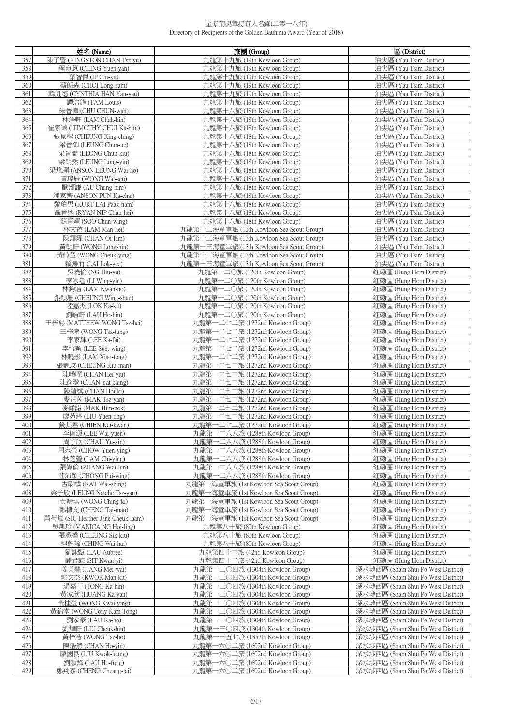| 357<br>陳子譽 (KINGSTON CHAN Tsz-yu)<br>九龍第十九旅 (19th Kowloon Group)<br>油尖區 (Yau Tsim District)<br>358<br>程宛蒽 (CHING Yuen-yan)<br>九龍第十九旅 (19th Kowloon Group)<br>油尖區 (Yau Tsim District)<br>359<br>葉智傑 (IP Chi-kit)<br>九龍第十九旅 (19th Kowloon Group)<br>油尖區 (Yau Tsim District)<br>360<br>蔡朗森 (CHOI Long-sum)<br>九龍第十九旅 (19th Kowloon Group)<br>油尖區 (Yau Tsim District)<br>361<br>韓胤滺 (CYNTHIA HAN Yan-yau)<br>九龍第十九旅 (19th Kowloon Group)<br>油尖區 (Yau Tsim District)<br>362<br>譚浩鋒 (TAM Louis)<br>九龍第十九旅 (19th Kowloon Group)<br>油尖區 (Yau Tsim District)<br>363<br>朱晉樺 (CHU CHUN-wah)<br>油尖區 (Yau Tsim District)<br>九龍第十八旅 (18th Kowloon Group)<br>364<br>林澤軒 (LAM Chak-hin)<br>九龍第十八旅 (18th Kowloon Group)<br>油尖區 (Yau Tsim District)<br>365<br>崔家謙 (TIMOTHY CHUI Ka-him)<br>九龍第十八旅 (18th Kowloon Group)<br>油尖區 (Yau Tsim District)<br>366<br>張景程 (CHEUNG King-ching)<br>九龍第十八旅 (18th Kowloon Group)<br>油尖區 (Yau Tsim District)<br>367<br>梁晉御 (LEUNG Chun-ue)<br>九龍第十八旅 (18th Kowloon Group)<br>油尖區 (Yau Tsim District)<br>梁晉僑 (LEONG Chun-kiu)<br>368<br>九龍第十八旅 (18th Kowloon Group)<br>油尖區 (Yau Tsim District)<br>369<br>梁朗然 (LEUNG Long-yin)<br>九龍第十八旅 (18th Kowloon Group)<br>油尖區 (Yau Tsim District)<br>370<br>梁煒灝 (ANSON LEUNG Wai-ho)<br>九龍第十八旅 (18th Kowloon Group)<br>油尖區 (Yau Tsim District)<br>371<br>黃瑋辰 (WONG Wai-sen)<br>九龍第十八旅 (18th Kowloon Group)<br>油尖區 (Yau Tsim District)<br>372<br>油尖區 (Yau Tsim District)<br>歐頌謙 (AU Chung-him)<br>九龍第十八旅 (18th Kowloon Group)<br>373<br>潘家齊 (ANSON PUN Ka-chai)<br>九龍第十八旅 (18th Kowloon Group)<br>油尖區 (Yau Tsim District)<br>374<br>九龍第十八旅 (18th Kowloon Group)<br>油尖區 (Yau Tsim District)<br>黎珀男 (KURT LAI Paak-nam)<br>375<br>聶晉熙 (RYAN NIP Chun-hei)<br>九龍第十八旅 (18th Kowloon Group)<br>油尖區 (Yau Tsim District)<br>376<br>蘇晉穎 (SOO Chun-wing)<br>力龍第十八旅 (18th Kowloon Group)<br>油尖區 (Yau Tsim District)<br>377<br>九龍第十三海童軍旅 (13th Kowloon Sea Scout Group)<br>林文禧 (LAM Man-hei)<br>油尖區 (Yau Tsim District)<br>378<br>九龍第十三海童軍旅 (13th Kowloon Sea Scout Group)<br>陳靄霖 (CHAN Oi-lam)<br>油尖區 (Yau Tsim District)<br>379<br>黃朗軒 (WONG Long-hin)<br>九龍第十三海童軍旅 (13th Kowloon Sea Scout Group)<br>油尖區 (Yau Tsim District)<br>380<br>黃綽瑩 (WONG Cheuk-ying)<br>九龍第十三海童軍旅 (13th Kowloon Sea Scout Group)<br>油尖區 (Yau Tsim District)<br>381<br>賴濼而 (LAI Lok-yee)<br>九龍第十三海童軍旅 (13th Kowloon Sea Scout Group)<br>油尖區 (Yau Tsim District)<br>382<br>吳曉愉 (NG Hiu-yu)<br>九龍第一二〇旅 (120th Kowloon Group)<br>紅磡區 (Hung Hom District)<br>383<br>李泳延 (LI Wing-vin)<br>九龍第一二〇旅 (120th Kowloon Group)<br>紅磡區 (Hung Hom District)<br>384<br>林鈞浩 (LAM Kwan-ho)<br>九龍第一二〇旅 (120th Kowloon Group)<br>紅磡區 (Hung Hom District)<br>385<br>張穎珊 (CHEUNG Wing-shan)<br>九龍第一二〇旅 (120th Kowloon Group)<br>紅磡區 (Hung Hom District)<br>陸嘉杰 (LOK Ka-kit)<br>九龍第一二〇旅 (120th Kowloon Group)<br>386<br>紅磡區 (Hung Hom District)<br>387<br>劉皓軒 (LAU Ho-hin)<br>九龍第一二〇旅 (120th Kowloon Group)<br>紅磡區 (Hung Hom District)<br>388<br>王梓熙 (MATTHEW WONG Tsz-hei)<br>九龍第一二七二旅 (1272nd Kowloon Group)<br>紅磡區 (Hung Hom District)<br>389<br>九龍第一二七二旅 (1272nd Kowloon Group)<br>王梓潼 (WONG Tsz-tung)<br>紅磡區 (Hung Hom District)<br>390<br>李家輝 (LEE Ka-fai)<br>九龍第一二七二旅 (1272nd Kowloon Group)<br>紅磡區 (Hung Hom District)<br>391<br>李雪穎 (LEE Suet-wing)<br>九龍第一二七二旅 (1272nd Kowloon Group)<br>紅磡區 (Hung Hom District)<br>392<br>九龍第一二七二旅 (1272nd Kowloon Group)<br>林曉彤 (LAM Xiao-tong)<br>紅磡區 (Hung Hom District)<br>393<br>九龍第一二七二旅 (1272nd Kowloon Group)<br>張翹汶 (CHEUNG Kiu-man)<br>紅磡區 (Hung Hom District)<br>394<br>九龍第一二七二旅 (1272nd Kowloon Group)<br>陳晞曜 (CHAN Hei-yiu)<br>紅磡區 (Hung Hom District)<br>九龍第一二七二旅 (1272nd Kowloon Group)<br>395<br>陳逸澄 (CHAN Yat-ching)<br>紅磡區 (Hung Hom District)<br>396<br>陳鎧棋 (CHAN Hoi-ki)<br>九龍第一二七二旅 (1272nd Kowloon Group)<br>紅磡區 (Hung Hom District)<br>九龍第一二七二旅 (1272nd Kowloon Group)<br>397<br>麥芷茵 (MAK Tsz-yan)<br>紅磡區 (Hung Hom District)<br>九龍第一二七二旅 (1272nd Kowloon Group)<br>398<br>麥謙諾 (MAK Him-nok)<br>紅磡區 (Hung Hom District)<br>399<br>廖苑婷 (LIU Yuen-ting)<br>九龍第一二七二旅 (1272nd Kowloon Group)<br>紅磡區 (Hung Hom District)<br>400<br>錢其君 (CHIEN Kei-kwan)<br>九龍第一二七二旅 (1272nd Kowloon Group)<br>紅磡區 (Hung Hom District)<br>401<br>李偉源 (LEE Wai-yuen)<br>九龍第一二八八旅 (1288th Kowloon Group)<br>紅磡區 (Hung Hom District)<br>402<br>紅磡區 (Hung Hom District)<br>周予欣 (CHAU Yu-xin)<br>九龍第一二八八旅 (1288th Kowloon Group)<br>周宛瑩 (CHOW Yuen-ying)<br>九龍第一二八八旅 (1288th Kowloon Group)<br>紅磡區 (Hung Hom District)<br>403<br>林芝瑩 (LAM Chi-ying)<br>紅磡區 (Hung Hom District)<br>404<br>九龍第一二八八旅 (1288th Kowloon Group)<br>405<br>張偉倫 (ZHANG Wai-lun)<br>九龍第一二八八旅 (1288th Kowloon Group)<br>紅磡區 (Hung Hom District)<br>406<br>莊沛穎 (CHONG Pui-wing)<br>九龍第一二八八旅 (1288th Kowloon Group)<br>紅磡區 (Hung Hom District)<br>吉尉誠 (KAT Wai-shing)<br>九龍第一海童軍旅 (1st Kowloon Sea Scout Group)<br>紅磡區 (Hung Hom District)<br>407<br>408<br>梁子欣 (LEUNG Natalie Tsz-yan)<br>紅磡區 (Hung Hom District)<br>九龍第一海童軍旅 (1st Kowloon Sea Scout Group)<br>409<br>九龍第一海童軍旅 (1st Kowloon Sea Scout Group)<br>紅磡區 (Hung Hom District)<br>黃靖琪 (WONG Ching-ki)<br>410<br>鄭棣文 (CHENG Tai-man)<br>九龍第一海童軍旅 (1st Kowloon Sea Scout Group)<br>紅磡區 (Hung Hom District)<br>411<br>蕭芍嵐 (SIU Heather Jane Cheuk laam)<br>九龍第一海童軍旅 (1st Kowloon Sea Scout Group)<br>紅磡區 (Hung Hom District)<br>412<br>吳凱玲 (MANICA NG Hoi-ling)<br>九龍第八十旅 (80th Kowloon Group)<br>紅磡區 (Hung Hom District)<br>413<br>九龍第八十旅 (80th Kowloon Group)<br>張悉橋 (CHEUNG Sik-kiu)<br>紅磡區 (Hung Hom District)<br>程蔚琋 (CHING Wai-hai)<br>九龍第八十旅 (80th Kowloon Group)<br>紅磡區 (Hung Hom District)<br>414<br>劉詠甄 (LAU Aubree)<br>九龍第四十二旅 (42nd Kowloon Group)<br>紅磡區 (Hung Hom District)<br>415<br>416<br>薛君懿 (SIT Kwan-yi)<br>九龍第四十二旅 (42nd Kowloon Group)<br>紅磡區 (Hung Hom District)<br>九龍第一三〇四旅 (1304th Kowloon Group)<br>深水埗西區 (Sham Shui Po West District)<br>417<br>姜美慧 (JIANG Mei-wai)<br>九龍第一三〇四旅 (1304th Kowloon Group)<br>深水埗西區 (Sham Shui Po West District)<br>418<br>郭文杰 (KWOK Man-kit)<br>419<br>湯嘉軒 (TONG Ka-hin)<br>九龍第一三〇四旅 (1304th Kowloon Group)<br>深水埗西區 (Sham Shui Po West District)<br>420<br>九龍第一三〇四旅 (1304th Kowloon Group)<br>黃家欣 (HUANG Ka-yan)<br>深水埗西區 (Sham Shui Po West District)<br>421<br>黃桂瑩 (WONG Kwai-ying)<br>九龍第一三〇四旅 (1304th Kowloon Group)<br>深水埗西區 (Sham Shui Po West District)<br>422<br>黃錦堂 (WONG Tony Kam Tong)<br>九龍第一三〇四旅 (1304th Kowloon Group)<br>深水埗西區 (Sham Shui Po West District)<br>423<br>劉家豪 (LAU Ka-ho)<br>一三〇四旅 (1304th Kowloon Group)<br>深水埗西區 (Sham Shui Po West District)<br>九龍第-<br>424<br>劉焯軒 (LIU Cheuk-hin)<br>九龍第一三〇四旅 (1304th Kowloon Group)<br>深水埗西區 (Sham Shui Po West District)<br>425<br>黃梓浩 (WONG Tsz-ho)<br>九龍第一三五七旅 (1357th Kowloon Group)<br>深水埗西區 (Sham Shui Po West District)<br>426<br>陳浩然 (CHAN Ho-yin)<br>九龍第一六〇二旅 (1602nd Kowloon Group)<br>深水埗西區 (Sham Shui Po West District)<br>427<br>廖國良 (LIU Kwok-leung)<br>九龍第一六〇二旅 (1602nd Kowloon Group)<br>深水埗西區 (Sham Shui Po West District)<br>428<br>劉灝鋒 (LAU Ho-fung)<br>九龍第一六〇二旅 (1602nd Kowloon Group)<br>深水埗西區 (Sham Shui Po West District)<br>429<br>鄭翔泰 (CHENG Cheaug-tai)<br>九龍第一六〇二旅 (1602nd Kowloon Group)<br>深水埗西區 (Sham Shui Po West District) | 姓名 (Name) | 旅團 (Group) | 區 (District) |
|--------------------------------------------------------------------------------------------------------------------------------------------------------------------------------------------------------------------------------------------------------------------------------------------------------------------------------------------------------------------------------------------------------------------------------------------------------------------------------------------------------------------------------------------------------------------------------------------------------------------------------------------------------------------------------------------------------------------------------------------------------------------------------------------------------------------------------------------------------------------------------------------------------------------------------------------------------------------------------------------------------------------------------------------------------------------------------------------------------------------------------------------------------------------------------------------------------------------------------------------------------------------------------------------------------------------------------------------------------------------------------------------------------------------------------------------------------------------------------------------------------------------------------------------------------------------------------------------------------------------------------------------------------------------------------------------------------------------------------------------------------------------------------------------------------------------------------------------------------------------------------------------------------------------------------------------------------------------------------------------------------------------------------------------------------------------------------------------------------------------------------------------------------------------------------------------------------------------------------------------------------------------------------------------------------------------------------------------------------------------------------------------------------------------------------------------------------------------------------------------------------------------------------------------------------------------------------------------------------------------------------------------------------------------------------------------------------------------------------------------------------------------------------------------------------------------------------------------------------------------------------------------------------------------------------------------------------------------------------------------------------------------------------------------------------------------------------------------------------------------------------------------------------------------------------------------------------------------------------------------------------------------------------------------------------------------------------------------------------------------------------------------------------------------------------------------------------------------------------------------------------------------------------------------------------------------------------------------------------------------------------------------------------------------------------------------------------------------------------------------------------------------------------------------------------------------------------------------------------------------------------------------------------------------------------------------------------------------------------------------------------------------------------------------------------------------------------------------------------------------------------------------------------------------------------------------------------------------------------------------------------------------------------------------------------------------------------------------------------------------------------------------------------------------------------------------------------------------------------------------------------------------------------------------------------------------------------------------------------------------------------------------------------------------------------------------------------------------------------------------------------------------------------------------------------------------------------------------------------------------------------------------------------------------------------------------------------------------------------------------------------------------------------------------------------------------------------------------------------------------------------------------------------------------------------------------------------------------------------------------------------------------------------------------------------------------------------------------------------------------------------------------------------------------------------------------------------------------------------------------------------------------------------------------------------------------------------------------------------------------------------------------------------------------------------------------------------------------------------------------------------------------------------------------------------------------------------------------------------------------------------------------------------------------------------------------------------------------------------------------------------------------------------------------------------------------------------------------------------------------------------------------------------------------------------------------------------------------------------------------------------------------------------------------------------------------------------------------------------------------------------------------------------------------------------------------------------------------------------------------------------------------------------------------------------------------------------------------------------------------------------------------------------------------------------------------------------------------------------------------------------------------------------------------------------------------------------------------------------------------------------------------------------------------------------------------------------------------------------------------------------------------------------------------------------------------------------------------------------------------------------------------------|-----------|------------|--------------|
|                                                                                                                                                                                                                                                                                                                                                                                                                                                                                                                                                                                                                                                                                                                                                                                                                                                                                                                                                                                                                                                                                                                                                                                                                                                                                                                                                                                                                                                                                                                                                                                                                                                                                                                                                                                                                                                                                                                                                                                                                                                                                                                                                                                                                                                                                                                                                                                                                                                                                                                                                                                                                                                                                                                                                                                                                                                                                                                                                                                                                                                                                                                                                                                                                                                                                                                                                                                                                                                                                                                                                                                                                                                                                                                                                                                                                                                                                                                                                                                                                                                                                                                                                                                                                                                                                                                                                                                                                                                                                                                                                                                                                                                                                                                                                                                                                                                                                                                                                                                                                                                                                                                                                                                                                                                                                                                                                                                                                                                                                                                                                                                                                                                                                                                                                                                                                                                                                                                                                                                                                                                                                                                                                                                                                                                                                                                                                                                                                                                                                                                                                                                                                                                                                                                                                                                                                                                                                                                                                                                                                                                                                                                                                  |           |            |              |
|                                                                                                                                                                                                                                                                                                                                                                                                                                                                                                                                                                                                                                                                                                                                                                                                                                                                                                                                                                                                                                                                                                                                                                                                                                                                                                                                                                                                                                                                                                                                                                                                                                                                                                                                                                                                                                                                                                                                                                                                                                                                                                                                                                                                                                                                                                                                                                                                                                                                                                                                                                                                                                                                                                                                                                                                                                                                                                                                                                                                                                                                                                                                                                                                                                                                                                                                                                                                                                                                                                                                                                                                                                                                                                                                                                                                                                                                                                                                                                                                                                                                                                                                                                                                                                                                                                                                                                                                                                                                                                                                                                                                                                                                                                                                                                                                                                                                                                                                                                                                                                                                                                                                                                                                                                                                                                                                                                                                                                                                                                                                                                                                                                                                                                                                                                                                                                                                                                                                                                                                                                                                                                                                                                                                                                                                                                                                                                                                                                                                                                                                                                                                                                                                                                                                                                                                                                                                                                                                                                                                                                                                                                                                                  |           |            |              |
|                                                                                                                                                                                                                                                                                                                                                                                                                                                                                                                                                                                                                                                                                                                                                                                                                                                                                                                                                                                                                                                                                                                                                                                                                                                                                                                                                                                                                                                                                                                                                                                                                                                                                                                                                                                                                                                                                                                                                                                                                                                                                                                                                                                                                                                                                                                                                                                                                                                                                                                                                                                                                                                                                                                                                                                                                                                                                                                                                                                                                                                                                                                                                                                                                                                                                                                                                                                                                                                                                                                                                                                                                                                                                                                                                                                                                                                                                                                                                                                                                                                                                                                                                                                                                                                                                                                                                                                                                                                                                                                                                                                                                                                                                                                                                                                                                                                                                                                                                                                                                                                                                                                                                                                                                                                                                                                                                                                                                                                                                                                                                                                                                                                                                                                                                                                                                                                                                                                                                                                                                                                                                                                                                                                                                                                                                                                                                                                                                                                                                                                                                                                                                                                                                                                                                                                                                                                                                                                                                                                                                                                                                                                                                  |           |            |              |
|                                                                                                                                                                                                                                                                                                                                                                                                                                                                                                                                                                                                                                                                                                                                                                                                                                                                                                                                                                                                                                                                                                                                                                                                                                                                                                                                                                                                                                                                                                                                                                                                                                                                                                                                                                                                                                                                                                                                                                                                                                                                                                                                                                                                                                                                                                                                                                                                                                                                                                                                                                                                                                                                                                                                                                                                                                                                                                                                                                                                                                                                                                                                                                                                                                                                                                                                                                                                                                                                                                                                                                                                                                                                                                                                                                                                                                                                                                                                                                                                                                                                                                                                                                                                                                                                                                                                                                                                                                                                                                                                                                                                                                                                                                                                                                                                                                                                                                                                                                                                                                                                                                                                                                                                                                                                                                                                                                                                                                                                                                                                                                                                                                                                                                                                                                                                                                                                                                                                                                                                                                                                                                                                                                                                                                                                                                                                                                                                                                                                                                                                                                                                                                                                                                                                                                                                                                                                                                                                                                                                                                                                                                                                                  |           |            |              |
|                                                                                                                                                                                                                                                                                                                                                                                                                                                                                                                                                                                                                                                                                                                                                                                                                                                                                                                                                                                                                                                                                                                                                                                                                                                                                                                                                                                                                                                                                                                                                                                                                                                                                                                                                                                                                                                                                                                                                                                                                                                                                                                                                                                                                                                                                                                                                                                                                                                                                                                                                                                                                                                                                                                                                                                                                                                                                                                                                                                                                                                                                                                                                                                                                                                                                                                                                                                                                                                                                                                                                                                                                                                                                                                                                                                                                                                                                                                                                                                                                                                                                                                                                                                                                                                                                                                                                                                                                                                                                                                                                                                                                                                                                                                                                                                                                                                                                                                                                                                                                                                                                                                                                                                                                                                                                                                                                                                                                                                                                                                                                                                                                                                                                                                                                                                                                                                                                                                                                                                                                                                                                                                                                                                                                                                                                                                                                                                                                                                                                                                                                                                                                                                                                                                                                                                                                                                                                                                                                                                                                                                                                                                                                  |           |            |              |
|                                                                                                                                                                                                                                                                                                                                                                                                                                                                                                                                                                                                                                                                                                                                                                                                                                                                                                                                                                                                                                                                                                                                                                                                                                                                                                                                                                                                                                                                                                                                                                                                                                                                                                                                                                                                                                                                                                                                                                                                                                                                                                                                                                                                                                                                                                                                                                                                                                                                                                                                                                                                                                                                                                                                                                                                                                                                                                                                                                                                                                                                                                                                                                                                                                                                                                                                                                                                                                                                                                                                                                                                                                                                                                                                                                                                                                                                                                                                                                                                                                                                                                                                                                                                                                                                                                                                                                                                                                                                                                                                                                                                                                                                                                                                                                                                                                                                                                                                                                                                                                                                                                                                                                                                                                                                                                                                                                                                                                                                                                                                                                                                                                                                                                                                                                                                                                                                                                                                                                                                                                                                                                                                                                                                                                                                                                                                                                                                                                                                                                                                                                                                                                                                                                                                                                                                                                                                                                                                                                                                                                                                                                                                                  |           |            |              |
|                                                                                                                                                                                                                                                                                                                                                                                                                                                                                                                                                                                                                                                                                                                                                                                                                                                                                                                                                                                                                                                                                                                                                                                                                                                                                                                                                                                                                                                                                                                                                                                                                                                                                                                                                                                                                                                                                                                                                                                                                                                                                                                                                                                                                                                                                                                                                                                                                                                                                                                                                                                                                                                                                                                                                                                                                                                                                                                                                                                                                                                                                                                                                                                                                                                                                                                                                                                                                                                                                                                                                                                                                                                                                                                                                                                                                                                                                                                                                                                                                                                                                                                                                                                                                                                                                                                                                                                                                                                                                                                                                                                                                                                                                                                                                                                                                                                                                                                                                                                                                                                                                                                                                                                                                                                                                                                                                                                                                                                                                                                                                                                                                                                                                                                                                                                                                                                                                                                                                                                                                                                                                                                                                                                                                                                                                                                                                                                                                                                                                                                                                                                                                                                                                                                                                                                                                                                                                                                                                                                                                                                                                                                                                  |           |            |              |
|                                                                                                                                                                                                                                                                                                                                                                                                                                                                                                                                                                                                                                                                                                                                                                                                                                                                                                                                                                                                                                                                                                                                                                                                                                                                                                                                                                                                                                                                                                                                                                                                                                                                                                                                                                                                                                                                                                                                                                                                                                                                                                                                                                                                                                                                                                                                                                                                                                                                                                                                                                                                                                                                                                                                                                                                                                                                                                                                                                                                                                                                                                                                                                                                                                                                                                                                                                                                                                                                                                                                                                                                                                                                                                                                                                                                                                                                                                                                                                                                                                                                                                                                                                                                                                                                                                                                                                                                                                                                                                                                                                                                                                                                                                                                                                                                                                                                                                                                                                                                                                                                                                                                                                                                                                                                                                                                                                                                                                                                                                                                                                                                                                                                                                                                                                                                                                                                                                                                                                                                                                                                                                                                                                                                                                                                                                                                                                                                                                                                                                                                                                                                                                                                                                                                                                                                                                                                                                                                                                                                                                                                                                                                                  |           |            |              |
|                                                                                                                                                                                                                                                                                                                                                                                                                                                                                                                                                                                                                                                                                                                                                                                                                                                                                                                                                                                                                                                                                                                                                                                                                                                                                                                                                                                                                                                                                                                                                                                                                                                                                                                                                                                                                                                                                                                                                                                                                                                                                                                                                                                                                                                                                                                                                                                                                                                                                                                                                                                                                                                                                                                                                                                                                                                                                                                                                                                                                                                                                                                                                                                                                                                                                                                                                                                                                                                                                                                                                                                                                                                                                                                                                                                                                                                                                                                                                                                                                                                                                                                                                                                                                                                                                                                                                                                                                                                                                                                                                                                                                                                                                                                                                                                                                                                                                                                                                                                                                                                                                                                                                                                                                                                                                                                                                                                                                                                                                                                                                                                                                                                                                                                                                                                                                                                                                                                                                                                                                                                                                                                                                                                                                                                                                                                                                                                                                                                                                                                                                                                                                                                                                                                                                                                                                                                                                                                                                                                                                                                                                                                                                  |           |            |              |
|                                                                                                                                                                                                                                                                                                                                                                                                                                                                                                                                                                                                                                                                                                                                                                                                                                                                                                                                                                                                                                                                                                                                                                                                                                                                                                                                                                                                                                                                                                                                                                                                                                                                                                                                                                                                                                                                                                                                                                                                                                                                                                                                                                                                                                                                                                                                                                                                                                                                                                                                                                                                                                                                                                                                                                                                                                                                                                                                                                                                                                                                                                                                                                                                                                                                                                                                                                                                                                                                                                                                                                                                                                                                                                                                                                                                                                                                                                                                                                                                                                                                                                                                                                                                                                                                                                                                                                                                                                                                                                                                                                                                                                                                                                                                                                                                                                                                                                                                                                                                                                                                                                                                                                                                                                                                                                                                                                                                                                                                                                                                                                                                                                                                                                                                                                                                                                                                                                                                                                                                                                                                                                                                                                                                                                                                                                                                                                                                                                                                                                                                                                                                                                                                                                                                                                                                                                                                                                                                                                                                                                                                                                                                                  |           |            |              |
|                                                                                                                                                                                                                                                                                                                                                                                                                                                                                                                                                                                                                                                                                                                                                                                                                                                                                                                                                                                                                                                                                                                                                                                                                                                                                                                                                                                                                                                                                                                                                                                                                                                                                                                                                                                                                                                                                                                                                                                                                                                                                                                                                                                                                                                                                                                                                                                                                                                                                                                                                                                                                                                                                                                                                                                                                                                                                                                                                                                                                                                                                                                                                                                                                                                                                                                                                                                                                                                                                                                                                                                                                                                                                                                                                                                                                                                                                                                                                                                                                                                                                                                                                                                                                                                                                                                                                                                                                                                                                                                                                                                                                                                                                                                                                                                                                                                                                                                                                                                                                                                                                                                                                                                                                                                                                                                                                                                                                                                                                                                                                                                                                                                                                                                                                                                                                                                                                                                                                                                                                                                                                                                                                                                                                                                                                                                                                                                                                                                                                                                                                                                                                                                                                                                                                                                                                                                                                                                                                                                                                                                                                                                                                  |           |            |              |
|                                                                                                                                                                                                                                                                                                                                                                                                                                                                                                                                                                                                                                                                                                                                                                                                                                                                                                                                                                                                                                                                                                                                                                                                                                                                                                                                                                                                                                                                                                                                                                                                                                                                                                                                                                                                                                                                                                                                                                                                                                                                                                                                                                                                                                                                                                                                                                                                                                                                                                                                                                                                                                                                                                                                                                                                                                                                                                                                                                                                                                                                                                                                                                                                                                                                                                                                                                                                                                                                                                                                                                                                                                                                                                                                                                                                                                                                                                                                                                                                                                                                                                                                                                                                                                                                                                                                                                                                                                                                                                                                                                                                                                                                                                                                                                                                                                                                                                                                                                                                                                                                                                                                                                                                                                                                                                                                                                                                                                                                                                                                                                                                                                                                                                                                                                                                                                                                                                                                                                                                                                                                                                                                                                                                                                                                                                                                                                                                                                                                                                                                                                                                                                                                                                                                                                                                                                                                                                                                                                                                                                                                                                                                                  |           |            |              |
|                                                                                                                                                                                                                                                                                                                                                                                                                                                                                                                                                                                                                                                                                                                                                                                                                                                                                                                                                                                                                                                                                                                                                                                                                                                                                                                                                                                                                                                                                                                                                                                                                                                                                                                                                                                                                                                                                                                                                                                                                                                                                                                                                                                                                                                                                                                                                                                                                                                                                                                                                                                                                                                                                                                                                                                                                                                                                                                                                                                                                                                                                                                                                                                                                                                                                                                                                                                                                                                                                                                                                                                                                                                                                                                                                                                                                                                                                                                                                                                                                                                                                                                                                                                                                                                                                                                                                                                                                                                                                                                                                                                                                                                                                                                                                                                                                                                                                                                                                                                                                                                                                                                                                                                                                                                                                                                                                                                                                                                                                                                                                                                                                                                                                                                                                                                                                                                                                                                                                                                                                                                                                                                                                                                                                                                                                                                                                                                                                                                                                                                                                                                                                                                                                                                                                                                                                                                                                                                                                                                                                                                                                                                                                  |           |            |              |
|                                                                                                                                                                                                                                                                                                                                                                                                                                                                                                                                                                                                                                                                                                                                                                                                                                                                                                                                                                                                                                                                                                                                                                                                                                                                                                                                                                                                                                                                                                                                                                                                                                                                                                                                                                                                                                                                                                                                                                                                                                                                                                                                                                                                                                                                                                                                                                                                                                                                                                                                                                                                                                                                                                                                                                                                                                                                                                                                                                                                                                                                                                                                                                                                                                                                                                                                                                                                                                                                                                                                                                                                                                                                                                                                                                                                                                                                                                                                                                                                                                                                                                                                                                                                                                                                                                                                                                                                                                                                                                                                                                                                                                                                                                                                                                                                                                                                                                                                                                                                                                                                                                                                                                                                                                                                                                                                                                                                                                                                                                                                                                                                                                                                                                                                                                                                                                                                                                                                                                                                                                                                                                                                                                                                                                                                                                                                                                                                                                                                                                                                                                                                                                                                                                                                                                                                                                                                                                                                                                                                                                                                                                                                                  |           |            |              |
|                                                                                                                                                                                                                                                                                                                                                                                                                                                                                                                                                                                                                                                                                                                                                                                                                                                                                                                                                                                                                                                                                                                                                                                                                                                                                                                                                                                                                                                                                                                                                                                                                                                                                                                                                                                                                                                                                                                                                                                                                                                                                                                                                                                                                                                                                                                                                                                                                                                                                                                                                                                                                                                                                                                                                                                                                                                                                                                                                                                                                                                                                                                                                                                                                                                                                                                                                                                                                                                                                                                                                                                                                                                                                                                                                                                                                                                                                                                                                                                                                                                                                                                                                                                                                                                                                                                                                                                                                                                                                                                                                                                                                                                                                                                                                                                                                                                                                                                                                                                                                                                                                                                                                                                                                                                                                                                                                                                                                                                                                                                                                                                                                                                                                                                                                                                                                                                                                                                                                                                                                                                                                                                                                                                                                                                                                                                                                                                                                                                                                                                                                                                                                                                                                                                                                                                                                                                                                                                                                                                                                                                                                                                                                  |           |            |              |
|                                                                                                                                                                                                                                                                                                                                                                                                                                                                                                                                                                                                                                                                                                                                                                                                                                                                                                                                                                                                                                                                                                                                                                                                                                                                                                                                                                                                                                                                                                                                                                                                                                                                                                                                                                                                                                                                                                                                                                                                                                                                                                                                                                                                                                                                                                                                                                                                                                                                                                                                                                                                                                                                                                                                                                                                                                                                                                                                                                                                                                                                                                                                                                                                                                                                                                                                                                                                                                                                                                                                                                                                                                                                                                                                                                                                                                                                                                                                                                                                                                                                                                                                                                                                                                                                                                                                                                                                                                                                                                                                                                                                                                                                                                                                                                                                                                                                                                                                                                                                                                                                                                                                                                                                                                                                                                                                                                                                                                                                                                                                                                                                                                                                                                                                                                                                                                                                                                                                                                                                                                                                                                                                                                                                                                                                                                                                                                                                                                                                                                                                                                                                                                                                                                                                                                                                                                                                                                                                                                                                                                                                                                                                                  |           |            |              |
|                                                                                                                                                                                                                                                                                                                                                                                                                                                                                                                                                                                                                                                                                                                                                                                                                                                                                                                                                                                                                                                                                                                                                                                                                                                                                                                                                                                                                                                                                                                                                                                                                                                                                                                                                                                                                                                                                                                                                                                                                                                                                                                                                                                                                                                                                                                                                                                                                                                                                                                                                                                                                                                                                                                                                                                                                                                                                                                                                                                                                                                                                                                                                                                                                                                                                                                                                                                                                                                                                                                                                                                                                                                                                                                                                                                                                                                                                                                                                                                                                                                                                                                                                                                                                                                                                                                                                                                                                                                                                                                                                                                                                                                                                                                                                                                                                                                                                                                                                                                                                                                                                                                                                                                                                                                                                                                                                                                                                                                                                                                                                                                                                                                                                                                                                                                                                                                                                                                                                                                                                                                                                                                                                                                                                                                                                                                                                                                                                                                                                                                                                                                                                                                                                                                                                                                                                                                                                                                                                                                                                                                                                                                                                  |           |            |              |
|                                                                                                                                                                                                                                                                                                                                                                                                                                                                                                                                                                                                                                                                                                                                                                                                                                                                                                                                                                                                                                                                                                                                                                                                                                                                                                                                                                                                                                                                                                                                                                                                                                                                                                                                                                                                                                                                                                                                                                                                                                                                                                                                                                                                                                                                                                                                                                                                                                                                                                                                                                                                                                                                                                                                                                                                                                                                                                                                                                                                                                                                                                                                                                                                                                                                                                                                                                                                                                                                                                                                                                                                                                                                                                                                                                                                                                                                                                                                                                                                                                                                                                                                                                                                                                                                                                                                                                                                                                                                                                                                                                                                                                                                                                                                                                                                                                                                                                                                                                                                                                                                                                                                                                                                                                                                                                                                                                                                                                                                                                                                                                                                                                                                                                                                                                                                                                                                                                                                                                                                                                                                                                                                                                                                                                                                                                                                                                                                                                                                                                                                                                                                                                                                                                                                                                                                                                                                                                                                                                                                                                                                                                                                                  |           |            |              |
|                                                                                                                                                                                                                                                                                                                                                                                                                                                                                                                                                                                                                                                                                                                                                                                                                                                                                                                                                                                                                                                                                                                                                                                                                                                                                                                                                                                                                                                                                                                                                                                                                                                                                                                                                                                                                                                                                                                                                                                                                                                                                                                                                                                                                                                                                                                                                                                                                                                                                                                                                                                                                                                                                                                                                                                                                                                                                                                                                                                                                                                                                                                                                                                                                                                                                                                                                                                                                                                                                                                                                                                                                                                                                                                                                                                                                                                                                                                                                                                                                                                                                                                                                                                                                                                                                                                                                                                                                                                                                                                                                                                                                                                                                                                                                                                                                                                                                                                                                                                                                                                                                                                                                                                                                                                                                                                                                                                                                                                                                                                                                                                                                                                                                                                                                                                                                                                                                                                                                                                                                                                                                                                                                                                                                                                                                                                                                                                                                                                                                                                                                                                                                                                                                                                                                                                                                                                                                                                                                                                                                                                                                                                                                  |           |            |              |
|                                                                                                                                                                                                                                                                                                                                                                                                                                                                                                                                                                                                                                                                                                                                                                                                                                                                                                                                                                                                                                                                                                                                                                                                                                                                                                                                                                                                                                                                                                                                                                                                                                                                                                                                                                                                                                                                                                                                                                                                                                                                                                                                                                                                                                                                                                                                                                                                                                                                                                                                                                                                                                                                                                                                                                                                                                                                                                                                                                                                                                                                                                                                                                                                                                                                                                                                                                                                                                                                                                                                                                                                                                                                                                                                                                                                                                                                                                                                                                                                                                                                                                                                                                                                                                                                                                                                                                                                                                                                                                                                                                                                                                                                                                                                                                                                                                                                                                                                                                                                                                                                                                                                                                                                                                                                                                                                                                                                                                                                                                                                                                                                                                                                                                                                                                                                                                                                                                                                                                                                                                                                                                                                                                                                                                                                                                                                                                                                                                                                                                                                                                                                                                                                                                                                                                                                                                                                                                                                                                                                                                                                                                                                                  |           |            |              |
|                                                                                                                                                                                                                                                                                                                                                                                                                                                                                                                                                                                                                                                                                                                                                                                                                                                                                                                                                                                                                                                                                                                                                                                                                                                                                                                                                                                                                                                                                                                                                                                                                                                                                                                                                                                                                                                                                                                                                                                                                                                                                                                                                                                                                                                                                                                                                                                                                                                                                                                                                                                                                                                                                                                                                                                                                                                                                                                                                                                                                                                                                                                                                                                                                                                                                                                                                                                                                                                                                                                                                                                                                                                                                                                                                                                                                                                                                                                                                                                                                                                                                                                                                                                                                                                                                                                                                                                                                                                                                                                                                                                                                                                                                                                                                                                                                                                                                                                                                                                                                                                                                                                                                                                                                                                                                                                                                                                                                                                                                                                                                                                                                                                                                                                                                                                                                                                                                                                                                                                                                                                                                                                                                                                                                                                                                                                                                                                                                                                                                                                                                                                                                                                                                                                                                                                                                                                                                                                                                                                                                                                                                                                                                  |           |            |              |
|                                                                                                                                                                                                                                                                                                                                                                                                                                                                                                                                                                                                                                                                                                                                                                                                                                                                                                                                                                                                                                                                                                                                                                                                                                                                                                                                                                                                                                                                                                                                                                                                                                                                                                                                                                                                                                                                                                                                                                                                                                                                                                                                                                                                                                                                                                                                                                                                                                                                                                                                                                                                                                                                                                                                                                                                                                                                                                                                                                                                                                                                                                                                                                                                                                                                                                                                                                                                                                                                                                                                                                                                                                                                                                                                                                                                                                                                                                                                                                                                                                                                                                                                                                                                                                                                                                                                                                                                                                                                                                                                                                                                                                                                                                                                                                                                                                                                                                                                                                                                                                                                                                                                                                                                                                                                                                                                                                                                                                                                                                                                                                                                                                                                                                                                                                                                                                                                                                                                                                                                                                                                                                                                                                                                                                                                                                                                                                                                                                                                                                                                                                                                                                                                                                                                                                                                                                                                                                                                                                                                                                                                                                                                                  |           |            |              |
|                                                                                                                                                                                                                                                                                                                                                                                                                                                                                                                                                                                                                                                                                                                                                                                                                                                                                                                                                                                                                                                                                                                                                                                                                                                                                                                                                                                                                                                                                                                                                                                                                                                                                                                                                                                                                                                                                                                                                                                                                                                                                                                                                                                                                                                                                                                                                                                                                                                                                                                                                                                                                                                                                                                                                                                                                                                                                                                                                                                                                                                                                                                                                                                                                                                                                                                                                                                                                                                                                                                                                                                                                                                                                                                                                                                                                                                                                                                                                                                                                                                                                                                                                                                                                                                                                                                                                                                                                                                                                                                                                                                                                                                                                                                                                                                                                                                                                                                                                                                                                                                                                                                                                                                                                                                                                                                                                                                                                                                                                                                                                                                                                                                                                                                                                                                                                                                                                                                                                                                                                                                                                                                                                                                                                                                                                                                                                                                                                                                                                                                                                                                                                                                                                                                                                                                                                                                                                                                                                                                                                                                                                                                                                  |           |            |              |
|                                                                                                                                                                                                                                                                                                                                                                                                                                                                                                                                                                                                                                                                                                                                                                                                                                                                                                                                                                                                                                                                                                                                                                                                                                                                                                                                                                                                                                                                                                                                                                                                                                                                                                                                                                                                                                                                                                                                                                                                                                                                                                                                                                                                                                                                                                                                                                                                                                                                                                                                                                                                                                                                                                                                                                                                                                                                                                                                                                                                                                                                                                                                                                                                                                                                                                                                                                                                                                                                                                                                                                                                                                                                                                                                                                                                                                                                                                                                                                                                                                                                                                                                                                                                                                                                                                                                                                                                                                                                                                                                                                                                                                                                                                                                                                                                                                                                                                                                                                                                                                                                                                                                                                                                                                                                                                                                                                                                                                                                                                                                                                                                                                                                                                                                                                                                                                                                                                                                                                                                                                                                                                                                                                                                                                                                                                                                                                                                                                                                                                                                                                                                                                                                                                                                                                                                                                                                                                                                                                                                                                                                                                                                                  |           |            |              |
|                                                                                                                                                                                                                                                                                                                                                                                                                                                                                                                                                                                                                                                                                                                                                                                                                                                                                                                                                                                                                                                                                                                                                                                                                                                                                                                                                                                                                                                                                                                                                                                                                                                                                                                                                                                                                                                                                                                                                                                                                                                                                                                                                                                                                                                                                                                                                                                                                                                                                                                                                                                                                                                                                                                                                                                                                                                                                                                                                                                                                                                                                                                                                                                                                                                                                                                                                                                                                                                                                                                                                                                                                                                                                                                                                                                                                                                                                                                                                                                                                                                                                                                                                                                                                                                                                                                                                                                                                                                                                                                                                                                                                                                                                                                                                                                                                                                                                                                                                                                                                                                                                                                                                                                                                                                                                                                                                                                                                                                                                                                                                                                                                                                                                                                                                                                                                                                                                                                                                                                                                                                                                                                                                                                                                                                                                                                                                                                                                                                                                                                                                                                                                                                                                                                                                                                                                                                                                                                                                                                                                                                                                                                                                  |           |            |              |
|                                                                                                                                                                                                                                                                                                                                                                                                                                                                                                                                                                                                                                                                                                                                                                                                                                                                                                                                                                                                                                                                                                                                                                                                                                                                                                                                                                                                                                                                                                                                                                                                                                                                                                                                                                                                                                                                                                                                                                                                                                                                                                                                                                                                                                                                                                                                                                                                                                                                                                                                                                                                                                                                                                                                                                                                                                                                                                                                                                                                                                                                                                                                                                                                                                                                                                                                                                                                                                                                                                                                                                                                                                                                                                                                                                                                                                                                                                                                                                                                                                                                                                                                                                                                                                                                                                                                                                                                                                                                                                                                                                                                                                                                                                                                                                                                                                                                                                                                                                                                                                                                                                                                                                                                                                                                                                                                                                                                                                                                                                                                                                                                                                                                                                                                                                                                                                                                                                                                                                                                                                                                                                                                                                                                                                                                                                                                                                                                                                                                                                                                                                                                                                                                                                                                                                                                                                                                                                                                                                                                                                                                                                                                                  |           |            |              |
|                                                                                                                                                                                                                                                                                                                                                                                                                                                                                                                                                                                                                                                                                                                                                                                                                                                                                                                                                                                                                                                                                                                                                                                                                                                                                                                                                                                                                                                                                                                                                                                                                                                                                                                                                                                                                                                                                                                                                                                                                                                                                                                                                                                                                                                                                                                                                                                                                                                                                                                                                                                                                                                                                                                                                                                                                                                                                                                                                                                                                                                                                                                                                                                                                                                                                                                                                                                                                                                                                                                                                                                                                                                                                                                                                                                                                                                                                                                                                                                                                                                                                                                                                                                                                                                                                                                                                                                                                                                                                                                                                                                                                                                                                                                                                                                                                                                                                                                                                                                                                                                                                                                                                                                                                                                                                                                                                                                                                                                                                                                                                                                                                                                                                                                                                                                                                                                                                                                                                                                                                                                                                                                                                                                                                                                                                                                                                                                                                                                                                                                                                                                                                                                                                                                                                                                                                                                                                                                                                                                                                                                                                                                                                  |           |            |              |
|                                                                                                                                                                                                                                                                                                                                                                                                                                                                                                                                                                                                                                                                                                                                                                                                                                                                                                                                                                                                                                                                                                                                                                                                                                                                                                                                                                                                                                                                                                                                                                                                                                                                                                                                                                                                                                                                                                                                                                                                                                                                                                                                                                                                                                                                                                                                                                                                                                                                                                                                                                                                                                                                                                                                                                                                                                                                                                                                                                                                                                                                                                                                                                                                                                                                                                                                                                                                                                                                                                                                                                                                                                                                                                                                                                                                                                                                                                                                                                                                                                                                                                                                                                                                                                                                                                                                                                                                                                                                                                                                                                                                                                                                                                                                                                                                                                                                                                                                                                                                                                                                                                                                                                                                                                                                                                                                                                                                                                                                                                                                                                                                                                                                                                                                                                                                                                                                                                                                                                                                                                                                                                                                                                                                                                                                                                                                                                                                                                                                                                                                                                                                                                                                                                                                                                                                                                                                                                                                                                                                                                                                                                                                                  |           |            |              |
|                                                                                                                                                                                                                                                                                                                                                                                                                                                                                                                                                                                                                                                                                                                                                                                                                                                                                                                                                                                                                                                                                                                                                                                                                                                                                                                                                                                                                                                                                                                                                                                                                                                                                                                                                                                                                                                                                                                                                                                                                                                                                                                                                                                                                                                                                                                                                                                                                                                                                                                                                                                                                                                                                                                                                                                                                                                                                                                                                                                                                                                                                                                                                                                                                                                                                                                                                                                                                                                                                                                                                                                                                                                                                                                                                                                                                                                                                                                                                                                                                                                                                                                                                                                                                                                                                                                                                                                                                                                                                                                                                                                                                                                                                                                                                                                                                                                                                                                                                                                                                                                                                                                                                                                                                                                                                                                                                                                                                                                                                                                                                                                                                                                                                                                                                                                                                                                                                                                                                                                                                                                                                                                                                                                                                                                                                                                                                                                                                                                                                                                                                                                                                                                                                                                                                                                                                                                                                                                                                                                                                                                                                                                                                  |           |            |              |
|                                                                                                                                                                                                                                                                                                                                                                                                                                                                                                                                                                                                                                                                                                                                                                                                                                                                                                                                                                                                                                                                                                                                                                                                                                                                                                                                                                                                                                                                                                                                                                                                                                                                                                                                                                                                                                                                                                                                                                                                                                                                                                                                                                                                                                                                                                                                                                                                                                                                                                                                                                                                                                                                                                                                                                                                                                                                                                                                                                                                                                                                                                                                                                                                                                                                                                                                                                                                                                                                                                                                                                                                                                                                                                                                                                                                                                                                                                                                                                                                                                                                                                                                                                                                                                                                                                                                                                                                                                                                                                                                                                                                                                                                                                                                                                                                                                                                                                                                                                                                                                                                                                                                                                                                                                                                                                                                                                                                                                                                                                                                                                                                                                                                                                                                                                                                                                                                                                                                                                                                                                                                                                                                                                                                                                                                                                                                                                                                                                                                                                                                                                                                                                                                                                                                                                                                                                                                                                                                                                                                                                                                                                                                                  |           |            |              |
|                                                                                                                                                                                                                                                                                                                                                                                                                                                                                                                                                                                                                                                                                                                                                                                                                                                                                                                                                                                                                                                                                                                                                                                                                                                                                                                                                                                                                                                                                                                                                                                                                                                                                                                                                                                                                                                                                                                                                                                                                                                                                                                                                                                                                                                                                                                                                                                                                                                                                                                                                                                                                                                                                                                                                                                                                                                                                                                                                                                                                                                                                                                                                                                                                                                                                                                                                                                                                                                                                                                                                                                                                                                                                                                                                                                                                                                                                                                                                                                                                                                                                                                                                                                                                                                                                                                                                                                                                                                                                                                                                                                                                                                                                                                                                                                                                                                                                                                                                                                                                                                                                                                                                                                                                                                                                                                                                                                                                                                                                                                                                                                                                                                                                                                                                                                                                                                                                                                                                                                                                                                                                                                                                                                                                                                                                                                                                                                                                                                                                                                                                                                                                                                                                                                                                                                                                                                                                                                                                                                                                                                                                                                                                  |           |            |              |
|                                                                                                                                                                                                                                                                                                                                                                                                                                                                                                                                                                                                                                                                                                                                                                                                                                                                                                                                                                                                                                                                                                                                                                                                                                                                                                                                                                                                                                                                                                                                                                                                                                                                                                                                                                                                                                                                                                                                                                                                                                                                                                                                                                                                                                                                                                                                                                                                                                                                                                                                                                                                                                                                                                                                                                                                                                                                                                                                                                                                                                                                                                                                                                                                                                                                                                                                                                                                                                                                                                                                                                                                                                                                                                                                                                                                                                                                                                                                                                                                                                                                                                                                                                                                                                                                                                                                                                                                                                                                                                                                                                                                                                                                                                                                                                                                                                                                                                                                                                                                                                                                                                                                                                                                                                                                                                                                                                                                                                                                                                                                                                                                                                                                                                                                                                                                                                                                                                                                                                                                                                                                                                                                                                                                                                                                                                                                                                                                                                                                                                                                                                                                                                                                                                                                                                                                                                                                                                                                                                                                                                                                                                                                                  |           |            |              |
|                                                                                                                                                                                                                                                                                                                                                                                                                                                                                                                                                                                                                                                                                                                                                                                                                                                                                                                                                                                                                                                                                                                                                                                                                                                                                                                                                                                                                                                                                                                                                                                                                                                                                                                                                                                                                                                                                                                                                                                                                                                                                                                                                                                                                                                                                                                                                                                                                                                                                                                                                                                                                                                                                                                                                                                                                                                                                                                                                                                                                                                                                                                                                                                                                                                                                                                                                                                                                                                                                                                                                                                                                                                                                                                                                                                                                                                                                                                                                                                                                                                                                                                                                                                                                                                                                                                                                                                                                                                                                                                                                                                                                                                                                                                                                                                                                                                                                                                                                                                                                                                                                                                                                                                                                                                                                                                                                                                                                                                                                                                                                                                                                                                                                                                                                                                                                                                                                                                                                                                                                                                                                                                                                                                                                                                                                                                                                                                                                                                                                                                                                                                                                                                                                                                                                                                                                                                                                                                                                                                                                                                                                                                                                  |           |            |              |
|                                                                                                                                                                                                                                                                                                                                                                                                                                                                                                                                                                                                                                                                                                                                                                                                                                                                                                                                                                                                                                                                                                                                                                                                                                                                                                                                                                                                                                                                                                                                                                                                                                                                                                                                                                                                                                                                                                                                                                                                                                                                                                                                                                                                                                                                                                                                                                                                                                                                                                                                                                                                                                                                                                                                                                                                                                                                                                                                                                                                                                                                                                                                                                                                                                                                                                                                                                                                                                                                                                                                                                                                                                                                                                                                                                                                                                                                                                                                                                                                                                                                                                                                                                                                                                                                                                                                                                                                                                                                                                                                                                                                                                                                                                                                                                                                                                                                                                                                                                                                                                                                                                                                                                                                                                                                                                                                                                                                                                                                                                                                                                                                                                                                                                                                                                                                                                                                                                                                                                                                                                                                                                                                                                                                                                                                                                                                                                                                                                                                                                                                                                                                                                                                                                                                                                                                                                                                                                                                                                                                                                                                                                                                                  |           |            |              |
|                                                                                                                                                                                                                                                                                                                                                                                                                                                                                                                                                                                                                                                                                                                                                                                                                                                                                                                                                                                                                                                                                                                                                                                                                                                                                                                                                                                                                                                                                                                                                                                                                                                                                                                                                                                                                                                                                                                                                                                                                                                                                                                                                                                                                                                                                                                                                                                                                                                                                                                                                                                                                                                                                                                                                                                                                                                                                                                                                                                                                                                                                                                                                                                                                                                                                                                                                                                                                                                                                                                                                                                                                                                                                                                                                                                                                                                                                                                                                                                                                                                                                                                                                                                                                                                                                                                                                                                                                                                                                                                                                                                                                                                                                                                                                                                                                                                                                                                                                                                                                                                                                                                                                                                                                                                                                                                                                                                                                                                                                                                                                                                                                                                                                                                                                                                                                                                                                                                                                                                                                                                                                                                                                                                                                                                                                                                                                                                                                                                                                                                                                                                                                                                                                                                                                                                                                                                                                                                                                                                                                                                                                                                                                  |           |            |              |
|                                                                                                                                                                                                                                                                                                                                                                                                                                                                                                                                                                                                                                                                                                                                                                                                                                                                                                                                                                                                                                                                                                                                                                                                                                                                                                                                                                                                                                                                                                                                                                                                                                                                                                                                                                                                                                                                                                                                                                                                                                                                                                                                                                                                                                                                                                                                                                                                                                                                                                                                                                                                                                                                                                                                                                                                                                                                                                                                                                                                                                                                                                                                                                                                                                                                                                                                                                                                                                                                                                                                                                                                                                                                                                                                                                                                                                                                                                                                                                                                                                                                                                                                                                                                                                                                                                                                                                                                                                                                                                                                                                                                                                                                                                                                                                                                                                                                                                                                                                                                                                                                                                                                                                                                                                                                                                                                                                                                                                                                                                                                                                                                                                                                                                                                                                                                                                                                                                                                                                                                                                                                                                                                                                                                                                                                                                                                                                                                                                                                                                                                                                                                                                                                                                                                                                                                                                                                                                                                                                                                                                                                                                                                                  |           |            |              |
|                                                                                                                                                                                                                                                                                                                                                                                                                                                                                                                                                                                                                                                                                                                                                                                                                                                                                                                                                                                                                                                                                                                                                                                                                                                                                                                                                                                                                                                                                                                                                                                                                                                                                                                                                                                                                                                                                                                                                                                                                                                                                                                                                                                                                                                                                                                                                                                                                                                                                                                                                                                                                                                                                                                                                                                                                                                                                                                                                                                                                                                                                                                                                                                                                                                                                                                                                                                                                                                                                                                                                                                                                                                                                                                                                                                                                                                                                                                                                                                                                                                                                                                                                                                                                                                                                                                                                                                                                                                                                                                                                                                                                                                                                                                                                                                                                                                                                                                                                                                                                                                                                                                                                                                                                                                                                                                                                                                                                                                                                                                                                                                                                                                                                                                                                                                                                                                                                                                                                                                                                                                                                                                                                                                                                                                                                                                                                                                                                                                                                                                                                                                                                                                                                                                                                                                                                                                                                                                                                                                                                                                                                                                                                  |           |            |              |
|                                                                                                                                                                                                                                                                                                                                                                                                                                                                                                                                                                                                                                                                                                                                                                                                                                                                                                                                                                                                                                                                                                                                                                                                                                                                                                                                                                                                                                                                                                                                                                                                                                                                                                                                                                                                                                                                                                                                                                                                                                                                                                                                                                                                                                                                                                                                                                                                                                                                                                                                                                                                                                                                                                                                                                                                                                                                                                                                                                                                                                                                                                                                                                                                                                                                                                                                                                                                                                                                                                                                                                                                                                                                                                                                                                                                                                                                                                                                                                                                                                                                                                                                                                                                                                                                                                                                                                                                                                                                                                                                                                                                                                                                                                                                                                                                                                                                                                                                                                                                                                                                                                                                                                                                                                                                                                                                                                                                                                                                                                                                                                                                                                                                                                                                                                                                                                                                                                                                                                                                                                                                                                                                                                                                                                                                                                                                                                                                                                                                                                                                                                                                                                                                                                                                                                                                                                                                                                                                                                                                                                                                                                                                                  |           |            |              |
|                                                                                                                                                                                                                                                                                                                                                                                                                                                                                                                                                                                                                                                                                                                                                                                                                                                                                                                                                                                                                                                                                                                                                                                                                                                                                                                                                                                                                                                                                                                                                                                                                                                                                                                                                                                                                                                                                                                                                                                                                                                                                                                                                                                                                                                                                                                                                                                                                                                                                                                                                                                                                                                                                                                                                                                                                                                                                                                                                                                                                                                                                                                                                                                                                                                                                                                                                                                                                                                                                                                                                                                                                                                                                                                                                                                                                                                                                                                                                                                                                                                                                                                                                                                                                                                                                                                                                                                                                                                                                                                                                                                                                                                                                                                                                                                                                                                                                                                                                                                                                                                                                                                                                                                                                                                                                                                                                                                                                                                                                                                                                                                                                                                                                                                                                                                                                                                                                                                                                                                                                                                                                                                                                                                                                                                                                                                                                                                                                                                                                                                                                                                                                                                                                                                                                                                                                                                                                                                                                                                                                                                                                                                                                  |           |            |              |
|                                                                                                                                                                                                                                                                                                                                                                                                                                                                                                                                                                                                                                                                                                                                                                                                                                                                                                                                                                                                                                                                                                                                                                                                                                                                                                                                                                                                                                                                                                                                                                                                                                                                                                                                                                                                                                                                                                                                                                                                                                                                                                                                                                                                                                                                                                                                                                                                                                                                                                                                                                                                                                                                                                                                                                                                                                                                                                                                                                                                                                                                                                                                                                                                                                                                                                                                                                                                                                                                                                                                                                                                                                                                                                                                                                                                                                                                                                                                                                                                                                                                                                                                                                                                                                                                                                                                                                                                                                                                                                                                                                                                                                                                                                                                                                                                                                                                                                                                                                                                                                                                                                                                                                                                                                                                                                                                                                                                                                                                                                                                                                                                                                                                                                                                                                                                                                                                                                                                                                                                                                                                                                                                                                                                                                                                                                                                                                                                                                                                                                                                                                                                                                                                                                                                                                                                                                                                                                                                                                                                                                                                                                                                                  |           |            |              |
|                                                                                                                                                                                                                                                                                                                                                                                                                                                                                                                                                                                                                                                                                                                                                                                                                                                                                                                                                                                                                                                                                                                                                                                                                                                                                                                                                                                                                                                                                                                                                                                                                                                                                                                                                                                                                                                                                                                                                                                                                                                                                                                                                                                                                                                                                                                                                                                                                                                                                                                                                                                                                                                                                                                                                                                                                                                                                                                                                                                                                                                                                                                                                                                                                                                                                                                                                                                                                                                                                                                                                                                                                                                                                                                                                                                                                                                                                                                                                                                                                                                                                                                                                                                                                                                                                                                                                                                                                                                                                                                                                                                                                                                                                                                                                                                                                                                                                                                                                                                                                                                                                                                                                                                                                                                                                                                                                                                                                                                                                                                                                                                                                                                                                                                                                                                                                                                                                                                                                                                                                                                                                                                                                                                                                                                                                                                                                                                                                                                                                                                                                                                                                                                                                                                                                                                                                                                                                                                                                                                                                                                                                                                                                  |           |            |              |
|                                                                                                                                                                                                                                                                                                                                                                                                                                                                                                                                                                                                                                                                                                                                                                                                                                                                                                                                                                                                                                                                                                                                                                                                                                                                                                                                                                                                                                                                                                                                                                                                                                                                                                                                                                                                                                                                                                                                                                                                                                                                                                                                                                                                                                                                                                                                                                                                                                                                                                                                                                                                                                                                                                                                                                                                                                                                                                                                                                                                                                                                                                                                                                                                                                                                                                                                                                                                                                                                                                                                                                                                                                                                                                                                                                                                                                                                                                                                                                                                                                                                                                                                                                                                                                                                                                                                                                                                                                                                                                                                                                                                                                                                                                                                                                                                                                                                                                                                                                                                                                                                                                                                                                                                                                                                                                                                                                                                                                                                                                                                                                                                                                                                                                                                                                                                                                                                                                                                                                                                                                                                                                                                                                                                                                                                                                                                                                                                                                                                                                                                                                                                                                                                                                                                                                                                                                                                                                                                                                                                                                                                                                                                                  |           |            |              |
|                                                                                                                                                                                                                                                                                                                                                                                                                                                                                                                                                                                                                                                                                                                                                                                                                                                                                                                                                                                                                                                                                                                                                                                                                                                                                                                                                                                                                                                                                                                                                                                                                                                                                                                                                                                                                                                                                                                                                                                                                                                                                                                                                                                                                                                                                                                                                                                                                                                                                                                                                                                                                                                                                                                                                                                                                                                                                                                                                                                                                                                                                                                                                                                                                                                                                                                                                                                                                                                                                                                                                                                                                                                                                                                                                                                                                                                                                                                                                                                                                                                                                                                                                                                                                                                                                                                                                                                                                                                                                                                                                                                                                                                                                                                                                                                                                                                                                                                                                                                                                                                                                                                                                                                                                                                                                                                                                                                                                                                                                                                                                                                                                                                                                                                                                                                                                                                                                                                                                                                                                                                                                                                                                                                                                                                                                                                                                                                                                                                                                                                                                                                                                                                                                                                                                                                                                                                                                                                                                                                                                                                                                                                                                  |           |            |              |
|                                                                                                                                                                                                                                                                                                                                                                                                                                                                                                                                                                                                                                                                                                                                                                                                                                                                                                                                                                                                                                                                                                                                                                                                                                                                                                                                                                                                                                                                                                                                                                                                                                                                                                                                                                                                                                                                                                                                                                                                                                                                                                                                                                                                                                                                                                                                                                                                                                                                                                                                                                                                                                                                                                                                                                                                                                                                                                                                                                                                                                                                                                                                                                                                                                                                                                                                                                                                                                                                                                                                                                                                                                                                                                                                                                                                                                                                                                                                                                                                                                                                                                                                                                                                                                                                                                                                                                                                                                                                                                                                                                                                                                                                                                                                                                                                                                                                                                                                                                                                                                                                                                                                                                                                                                                                                                                                                                                                                                                                                                                                                                                                                                                                                                                                                                                                                                                                                                                                                                                                                                                                                                                                                                                                                                                                                                                                                                                                                                                                                                                                                                                                                                                                                                                                                                                                                                                                                                                                                                                                                                                                                                                                                  |           |            |              |
|                                                                                                                                                                                                                                                                                                                                                                                                                                                                                                                                                                                                                                                                                                                                                                                                                                                                                                                                                                                                                                                                                                                                                                                                                                                                                                                                                                                                                                                                                                                                                                                                                                                                                                                                                                                                                                                                                                                                                                                                                                                                                                                                                                                                                                                                                                                                                                                                                                                                                                                                                                                                                                                                                                                                                                                                                                                                                                                                                                                                                                                                                                                                                                                                                                                                                                                                                                                                                                                                                                                                                                                                                                                                                                                                                                                                                                                                                                                                                                                                                                                                                                                                                                                                                                                                                                                                                                                                                                                                                                                                                                                                                                                                                                                                                                                                                                                                                                                                                                                                                                                                                                                                                                                                                                                                                                                                                                                                                                                                                                                                                                                                                                                                                                                                                                                                                                                                                                                                                                                                                                                                                                                                                                                                                                                                                                                                                                                                                                                                                                                                                                                                                                                                                                                                                                                                                                                                                                                                                                                                                                                                                                                                                  |           |            |              |
|                                                                                                                                                                                                                                                                                                                                                                                                                                                                                                                                                                                                                                                                                                                                                                                                                                                                                                                                                                                                                                                                                                                                                                                                                                                                                                                                                                                                                                                                                                                                                                                                                                                                                                                                                                                                                                                                                                                                                                                                                                                                                                                                                                                                                                                                                                                                                                                                                                                                                                                                                                                                                                                                                                                                                                                                                                                                                                                                                                                                                                                                                                                                                                                                                                                                                                                                                                                                                                                                                                                                                                                                                                                                                                                                                                                                                                                                                                                                                                                                                                                                                                                                                                                                                                                                                                                                                                                                                                                                                                                                                                                                                                                                                                                                                                                                                                                                                                                                                                                                                                                                                                                                                                                                                                                                                                                                                                                                                                                                                                                                                                                                                                                                                                                                                                                                                                                                                                                                                                                                                                                                                                                                                                                                                                                                                                                                                                                                                                                                                                                                                                                                                                                                                                                                                                                                                                                                                                                                                                                                                                                                                                                                                  |           |            |              |
|                                                                                                                                                                                                                                                                                                                                                                                                                                                                                                                                                                                                                                                                                                                                                                                                                                                                                                                                                                                                                                                                                                                                                                                                                                                                                                                                                                                                                                                                                                                                                                                                                                                                                                                                                                                                                                                                                                                                                                                                                                                                                                                                                                                                                                                                                                                                                                                                                                                                                                                                                                                                                                                                                                                                                                                                                                                                                                                                                                                                                                                                                                                                                                                                                                                                                                                                                                                                                                                                                                                                                                                                                                                                                                                                                                                                                                                                                                                                                                                                                                                                                                                                                                                                                                                                                                                                                                                                                                                                                                                                                                                                                                                                                                                                                                                                                                                                                                                                                                                                                                                                                                                                                                                                                                                                                                                                                                                                                                                                                                                                                                                                                                                                                                                                                                                                                                                                                                                                                                                                                                                                                                                                                                                                                                                                                                                                                                                                                                                                                                                                                                                                                                                                                                                                                                                                                                                                                                                                                                                                                                                                                                                                                  |           |            |              |
|                                                                                                                                                                                                                                                                                                                                                                                                                                                                                                                                                                                                                                                                                                                                                                                                                                                                                                                                                                                                                                                                                                                                                                                                                                                                                                                                                                                                                                                                                                                                                                                                                                                                                                                                                                                                                                                                                                                                                                                                                                                                                                                                                                                                                                                                                                                                                                                                                                                                                                                                                                                                                                                                                                                                                                                                                                                                                                                                                                                                                                                                                                                                                                                                                                                                                                                                                                                                                                                                                                                                                                                                                                                                                                                                                                                                                                                                                                                                                                                                                                                                                                                                                                                                                                                                                                                                                                                                                                                                                                                                                                                                                                                                                                                                                                                                                                                                                                                                                                                                                                                                                                                                                                                                                                                                                                                                                                                                                                                                                                                                                                                                                                                                                                                                                                                                                                                                                                                                                                                                                                                                                                                                                                                                                                                                                                                                                                                                                                                                                                                                                                                                                                                                                                                                                                                                                                                                                                                                                                                                                                                                                                                                                  |           |            |              |
|                                                                                                                                                                                                                                                                                                                                                                                                                                                                                                                                                                                                                                                                                                                                                                                                                                                                                                                                                                                                                                                                                                                                                                                                                                                                                                                                                                                                                                                                                                                                                                                                                                                                                                                                                                                                                                                                                                                                                                                                                                                                                                                                                                                                                                                                                                                                                                                                                                                                                                                                                                                                                                                                                                                                                                                                                                                                                                                                                                                                                                                                                                                                                                                                                                                                                                                                                                                                                                                                                                                                                                                                                                                                                                                                                                                                                                                                                                                                                                                                                                                                                                                                                                                                                                                                                                                                                                                                                                                                                                                                                                                                                                                                                                                                                                                                                                                                                                                                                                                                                                                                                                                                                                                                                                                                                                                                                                                                                                                                                                                                                                                                                                                                                                                                                                                                                                                                                                                                                                                                                                                                                                                                                                                                                                                                                                                                                                                                                                                                                                                                                                                                                                                                                                                                                                                                                                                                                                                                                                                                                                                                                                                                                  |           |            |              |
|                                                                                                                                                                                                                                                                                                                                                                                                                                                                                                                                                                                                                                                                                                                                                                                                                                                                                                                                                                                                                                                                                                                                                                                                                                                                                                                                                                                                                                                                                                                                                                                                                                                                                                                                                                                                                                                                                                                                                                                                                                                                                                                                                                                                                                                                                                                                                                                                                                                                                                                                                                                                                                                                                                                                                                                                                                                                                                                                                                                                                                                                                                                                                                                                                                                                                                                                                                                                                                                                                                                                                                                                                                                                                                                                                                                                                                                                                                                                                                                                                                                                                                                                                                                                                                                                                                                                                                                                                                                                                                                                                                                                                                                                                                                                                                                                                                                                                                                                                                                                                                                                                                                                                                                                                                                                                                                                                                                                                                                                                                                                                                                                                                                                                                                                                                                                                                                                                                                                                                                                                                                                                                                                                                                                                                                                                                                                                                                                                                                                                                                                                                                                                                                                                                                                                                                                                                                                                                                                                                                                                                                                                                                                                  |           |            |              |
|                                                                                                                                                                                                                                                                                                                                                                                                                                                                                                                                                                                                                                                                                                                                                                                                                                                                                                                                                                                                                                                                                                                                                                                                                                                                                                                                                                                                                                                                                                                                                                                                                                                                                                                                                                                                                                                                                                                                                                                                                                                                                                                                                                                                                                                                                                                                                                                                                                                                                                                                                                                                                                                                                                                                                                                                                                                                                                                                                                                                                                                                                                                                                                                                                                                                                                                                                                                                                                                                                                                                                                                                                                                                                                                                                                                                                                                                                                                                                                                                                                                                                                                                                                                                                                                                                                                                                                                                                                                                                                                                                                                                                                                                                                                                                                                                                                                                                                                                                                                                                                                                                                                                                                                                                                                                                                                                                                                                                                                                                                                                                                                                                                                                                                                                                                                                                                                                                                                                                                                                                                                                                                                                                                                                                                                                                                                                                                                                                                                                                                                                                                                                                                                                                                                                                                                                                                                                                                                                                                                                                                                                                                                                                  |           |            |              |
|                                                                                                                                                                                                                                                                                                                                                                                                                                                                                                                                                                                                                                                                                                                                                                                                                                                                                                                                                                                                                                                                                                                                                                                                                                                                                                                                                                                                                                                                                                                                                                                                                                                                                                                                                                                                                                                                                                                                                                                                                                                                                                                                                                                                                                                                                                                                                                                                                                                                                                                                                                                                                                                                                                                                                                                                                                                                                                                                                                                                                                                                                                                                                                                                                                                                                                                                                                                                                                                                                                                                                                                                                                                                                                                                                                                                                                                                                                                                                                                                                                                                                                                                                                                                                                                                                                                                                                                                                                                                                                                                                                                                                                                                                                                                                                                                                                                                                                                                                                                                                                                                                                                                                                                                                                                                                                                                                                                                                                                                                                                                                                                                                                                                                                                                                                                                                                                                                                                                                                                                                                                                                                                                                                                                                                                                                                                                                                                                                                                                                                                                                                                                                                                                                                                                                                                                                                                                                                                                                                                                                                                                                                                                                  |           |            |              |
|                                                                                                                                                                                                                                                                                                                                                                                                                                                                                                                                                                                                                                                                                                                                                                                                                                                                                                                                                                                                                                                                                                                                                                                                                                                                                                                                                                                                                                                                                                                                                                                                                                                                                                                                                                                                                                                                                                                                                                                                                                                                                                                                                                                                                                                                                                                                                                                                                                                                                                                                                                                                                                                                                                                                                                                                                                                                                                                                                                                                                                                                                                                                                                                                                                                                                                                                                                                                                                                                                                                                                                                                                                                                                                                                                                                                                                                                                                                                                                                                                                                                                                                                                                                                                                                                                                                                                                                                                                                                                                                                                                                                                                                                                                                                                                                                                                                                                                                                                                                                                                                                                                                                                                                                                                                                                                                                                                                                                                                                                                                                                                                                                                                                                                                                                                                                                                                                                                                                                                                                                                                                                                                                                                                                                                                                                                                                                                                                                                                                                                                                                                                                                                                                                                                                                                                                                                                                                                                                                                                                                                                                                                                                                  |           |            |              |
|                                                                                                                                                                                                                                                                                                                                                                                                                                                                                                                                                                                                                                                                                                                                                                                                                                                                                                                                                                                                                                                                                                                                                                                                                                                                                                                                                                                                                                                                                                                                                                                                                                                                                                                                                                                                                                                                                                                                                                                                                                                                                                                                                                                                                                                                                                                                                                                                                                                                                                                                                                                                                                                                                                                                                                                                                                                                                                                                                                                                                                                                                                                                                                                                                                                                                                                                                                                                                                                                                                                                                                                                                                                                                                                                                                                                                                                                                                                                                                                                                                                                                                                                                                                                                                                                                                                                                                                                                                                                                                                                                                                                                                                                                                                                                                                                                                                                                                                                                                                                                                                                                                                                                                                                                                                                                                                                                                                                                                                                                                                                                                                                                                                                                                                                                                                                                                                                                                                                                                                                                                                                                                                                                                                                                                                                                                                                                                                                                                                                                                                                                                                                                                                                                                                                                                                                                                                                                                                                                                                                                                                                                                                                                  |           |            |              |
|                                                                                                                                                                                                                                                                                                                                                                                                                                                                                                                                                                                                                                                                                                                                                                                                                                                                                                                                                                                                                                                                                                                                                                                                                                                                                                                                                                                                                                                                                                                                                                                                                                                                                                                                                                                                                                                                                                                                                                                                                                                                                                                                                                                                                                                                                                                                                                                                                                                                                                                                                                                                                                                                                                                                                                                                                                                                                                                                                                                                                                                                                                                                                                                                                                                                                                                                                                                                                                                                                                                                                                                                                                                                                                                                                                                                                                                                                                                                                                                                                                                                                                                                                                                                                                                                                                                                                                                                                                                                                                                                                                                                                                                                                                                                                                                                                                                                                                                                                                                                                                                                                                                                                                                                                                                                                                                                                                                                                                                                                                                                                                                                                                                                                                                                                                                                                                                                                                                                                                                                                                                                                                                                                                                                                                                                                                                                                                                                                                                                                                                                                                                                                                                                                                                                                                                                                                                                                                                                                                                                                                                                                                                                                  |           |            |              |
|                                                                                                                                                                                                                                                                                                                                                                                                                                                                                                                                                                                                                                                                                                                                                                                                                                                                                                                                                                                                                                                                                                                                                                                                                                                                                                                                                                                                                                                                                                                                                                                                                                                                                                                                                                                                                                                                                                                                                                                                                                                                                                                                                                                                                                                                                                                                                                                                                                                                                                                                                                                                                                                                                                                                                                                                                                                                                                                                                                                                                                                                                                                                                                                                                                                                                                                                                                                                                                                                                                                                                                                                                                                                                                                                                                                                                                                                                                                                                                                                                                                                                                                                                                                                                                                                                                                                                                                                                                                                                                                                                                                                                                                                                                                                                                                                                                                                                                                                                                                                                                                                                                                                                                                                                                                                                                                                                                                                                                                                                                                                                                                                                                                                                                                                                                                                                                                                                                                                                                                                                                                                                                                                                                                                                                                                                                                                                                                                                                                                                                                                                                                                                                                                                                                                                                                                                                                                                                                                                                                                                                                                                                                                                  |           |            |              |
|                                                                                                                                                                                                                                                                                                                                                                                                                                                                                                                                                                                                                                                                                                                                                                                                                                                                                                                                                                                                                                                                                                                                                                                                                                                                                                                                                                                                                                                                                                                                                                                                                                                                                                                                                                                                                                                                                                                                                                                                                                                                                                                                                                                                                                                                                                                                                                                                                                                                                                                                                                                                                                                                                                                                                                                                                                                                                                                                                                                                                                                                                                                                                                                                                                                                                                                                                                                                                                                                                                                                                                                                                                                                                                                                                                                                                                                                                                                                                                                                                                                                                                                                                                                                                                                                                                                                                                                                                                                                                                                                                                                                                                                                                                                                                                                                                                                                                                                                                                                                                                                                                                                                                                                                                                                                                                                                                                                                                                                                                                                                                                                                                                                                                                                                                                                                                                                                                                                                                                                                                                                                                                                                                                                                                                                                                                                                                                                                                                                                                                                                                                                                                                                                                                                                                                                                                                                                                                                                                                                                                                                                                                                                                  |           |            |              |
|                                                                                                                                                                                                                                                                                                                                                                                                                                                                                                                                                                                                                                                                                                                                                                                                                                                                                                                                                                                                                                                                                                                                                                                                                                                                                                                                                                                                                                                                                                                                                                                                                                                                                                                                                                                                                                                                                                                                                                                                                                                                                                                                                                                                                                                                                                                                                                                                                                                                                                                                                                                                                                                                                                                                                                                                                                                                                                                                                                                                                                                                                                                                                                                                                                                                                                                                                                                                                                                                                                                                                                                                                                                                                                                                                                                                                                                                                                                                                                                                                                                                                                                                                                                                                                                                                                                                                                                                                                                                                                                                                                                                                                                                                                                                                                                                                                                                                                                                                                                                                                                                                                                                                                                                                                                                                                                                                                                                                                                                                                                                                                                                                                                                                                                                                                                                                                                                                                                                                                                                                                                                                                                                                                                                                                                                                                                                                                                                                                                                                                                                                                                                                                                                                                                                                                                                                                                                                                                                                                                                                                                                                                                                                  |           |            |              |
|                                                                                                                                                                                                                                                                                                                                                                                                                                                                                                                                                                                                                                                                                                                                                                                                                                                                                                                                                                                                                                                                                                                                                                                                                                                                                                                                                                                                                                                                                                                                                                                                                                                                                                                                                                                                                                                                                                                                                                                                                                                                                                                                                                                                                                                                                                                                                                                                                                                                                                                                                                                                                                                                                                                                                                                                                                                                                                                                                                                                                                                                                                                                                                                                                                                                                                                                                                                                                                                                                                                                                                                                                                                                                                                                                                                                                                                                                                                                                                                                                                                                                                                                                                                                                                                                                                                                                                                                                                                                                                                                                                                                                                                                                                                                                                                                                                                                                                                                                                                                                                                                                                                                                                                                                                                                                                                                                                                                                                                                                                                                                                                                                                                                                                                                                                                                                                                                                                                                                                                                                                                                                                                                                                                                                                                                                                                                                                                                                                                                                                                                                                                                                                                                                                                                                                                                                                                                                                                                                                                                                                                                                                                                                  |           |            |              |
|                                                                                                                                                                                                                                                                                                                                                                                                                                                                                                                                                                                                                                                                                                                                                                                                                                                                                                                                                                                                                                                                                                                                                                                                                                                                                                                                                                                                                                                                                                                                                                                                                                                                                                                                                                                                                                                                                                                                                                                                                                                                                                                                                                                                                                                                                                                                                                                                                                                                                                                                                                                                                                                                                                                                                                                                                                                                                                                                                                                                                                                                                                                                                                                                                                                                                                                                                                                                                                                                                                                                                                                                                                                                                                                                                                                                                                                                                                                                                                                                                                                                                                                                                                                                                                                                                                                                                                                                                                                                                                                                                                                                                                                                                                                                                                                                                                                                                                                                                                                                                                                                                                                                                                                                                                                                                                                                                                                                                                                                                                                                                                                                                                                                                                                                                                                                                                                                                                                                                                                                                                                                                                                                                                                                                                                                                                                                                                                                                                                                                                                                                                                                                                                                                                                                                                                                                                                                                                                                                                                                                                                                                                                                                  |           |            |              |
|                                                                                                                                                                                                                                                                                                                                                                                                                                                                                                                                                                                                                                                                                                                                                                                                                                                                                                                                                                                                                                                                                                                                                                                                                                                                                                                                                                                                                                                                                                                                                                                                                                                                                                                                                                                                                                                                                                                                                                                                                                                                                                                                                                                                                                                                                                                                                                                                                                                                                                                                                                                                                                                                                                                                                                                                                                                                                                                                                                                                                                                                                                                                                                                                                                                                                                                                                                                                                                                                                                                                                                                                                                                                                                                                                                                                                                                                                                                                                                                                                                                                                                                                                                                                                                                                                                                                                                                                                                                                                                                                                                                                                                                                                                                                                                                                                                                                                                                                                                                                                                                                                                                                                                                                                                                                                                                                                                                                                                                                                                                                                                                                                                                                                                                                                                                                                                                                                                                                                                                                                                                                                                                                                                                                                                                                                                                                                                                                                                                                                                                                                                                                                                                                                                                                                                                                                                                                                                                                                                                                                                                                                                                                                  |           |            |              |
|                                                                                                                                                                                                                                                                                                                                                                                                                                                                                                                                                                                                                                                                                                                                                                                                                                                                                                                                                                                                                                                                                                                                                                                                                                                                                                                                                                                                                                                                                                                                                                                                                                                                                                                                                                                                                                                                                                                                                                                                                                                                                                                                                                                                                                                                                                                                                                                                                                                                                                                                                                                                                                                                                                                                                                                                                                                                                                                                                                                                                                                                                                                                                                                                                                                                                                                                                                                                                                                                                                                                                                                                                                                                                                                                                                                                                                                                                                                                                                                                                                                                                                                                                                                                                                                                                                                                                                                                                                                                                                                                                                                                                                                                                                                                                                                                                                                                                                                                                                                                                                                                                                                                                                                                                                                                                                                                                                                                                                                                                                                                                                                                                                                                                                                                                                                                                                                                                                                                                                                                                                                                                                                                                                                                                                                                                                                                                                                                                                                                                                                                                                                                                                                                                                                                                                                                                                                                                                                                                                                                                                                                                                                                                  |           |            |              |
|                                                                                                                                                                                                                                                                                                                                                                                                                                                                                                                                                                                                                                                                                                                                                                                                                                                                                                                                                                                                                                                                                                                                                                                                                                                                                                                                                                                                                                                                                                                                                                                                                                                                                                                                                                                                                                                                                                                                                                                                                                                                                                                                                                                                                                                                                                                                                                                                                                                                                                                                                                                                                                                                                                                                                                                                                                                                                                                                                                                                                                                                                                                                                                                                                                                                                                                                                                                                                                                                                                                                                                                                                                                                                                                                                                                                                                                                                                                                                                                                                                                                                                                                                                                                                                                                                                                                                                                                                                                                                                                                                                                                                                                                                                                                                                                                                                                                                                                                                                                                                                                                                                                                                                                                                                                                                                                                                                                                                                                                                                                                                                                                                                                                                                                                                                                                                                                                                                                                                                                                                                                                                                                                                                                                                                                                                                                                                                                                                                                                                                                                                                                                                                                                                                                                                                                                                                                                                                                                                                                                                                                                                                                                                  |           |            |              |
|                                                                                                                                                                                                                                                                                                                                                                                                                                                                                                                                                                                                                                                                                                                                                                                                                                                                                                                                                                                                                                                                                                                                                                                                                                                                                                                                                                                                                                                                                                                                                                                                                                                                                                                                                                                                                                                                                                                                                                                                                                                                                                                                                                                                                                                                                                                                                                                                                                                                                                                                                                                                                                                                                                                                                                                                                                                                                                                                                                                                                                                                                                                                                                                                                                                                                                                                                                                                                                                                                                                                                                                                                                                                                                                                                                                                                                                                                                                                                                                                                                                                                                                                                                                                                                                                                                                                                                                                                                                                                                                                                                                                                                                                                                                                                                                                                                                                                                                                                                                                                                                                                                                                                                                                                                                                                                                                                                                                                                                                                                                                                                                                                                                                                                                                                                                                                                                                                                                                                                                                                                                                                                                                                                                                                                                                                                                                                                                                                                                                                                                                                                                                                                                                                                                                                                                                                                                                                                                                                                                                                                                                                                                                                  |           |            |              |
|                                                                                                                                                                                                                                                                                                                                                                                                                                                                                                                                                                                                                                                                                                                                                                                                                                                                                                                                                                                                                                                                                                                                                                                                                                                                                                                                                                                                                                                                                                                                                                                                                                                                                                                                                                                                                                                                                                                                                                                                                                                                                                                                                                                                                                                                                                                                                                                                                                                                                                                                                                                                                                                                                                                                                                                                                                                                                                                                                                                                                                                                                                                                                                                                                                                                                                                                                                                                                                                                                                                                                                                                                                                                                                                                                                                                                                                                                                                                                                                                                                                                                                                                                                                                                                                                                                                                                                                                                                                                                                                                                                                                                                                                                                                                                                                                                                                                                                                                                                                                                                                                                                                                                                                                                                                                                                                                                                                                                                                                                                                                                                                                                                                                                                                                                                                                                                                                                                                                                                                                                                                                                                                                                                                                                                                                                                                                                                                                                                                                                                                                                                                                                                                                                                                                                                                                                                                                                                                                                                                                                                                                                                                                                  |           |            |              |
|                                                                                                                                                                                                                                                                                                                                                                                                                                                                                                                                                                                                                                                                                                                                                                                                                                                                                                                                                                                                                                                                                                                                                                                                                                                                                                                                                                                                                                                                                                                                                                                                                                                                                                                                                                                                                                                                                                                                                                                                                                                                                                                                                                                                                                                                                                                                                                                                                                                                                                                                                                                                                                                                                                                                                                                                                                                                                                                                                                                                                                                                                                                                                                                                                                                                                                                                                                                                                                                                                                                                                                                                                                                                                                                                                                                                                                                                                                                                                                                                                                                                                                                                                                                                                                                                                                                                                                                                                                                                                                                                                                                                                                                                                                                                                                                                                                                                                                                                                                                                                                                                                                                                                                                                                                                                                                                                                                                                                                                                                                                                                                                                                                                                                                                                                                                                                                                                                                                                                                                                                                                                                                                                                                                                                                                                                                                                                                                                                                                                                                                                                                                                                                                                                                                                                                                                                                                                                                                                                                                                                                                                                                                                                  |           |            |              |
|                                                                                                                                                                                                                                                                                                                                                                                                                                                                                                                                                                                                                                                                                                                                                                                                                                                                                                                                                                                                                                                                                                                                                                                                                                                                                                                                                                                                                                                                                                                                                                                                                                                                                                                                                                                                                                                                                                                                                                                                                                                                                                                                                                                                                                                                                                                                                                                                                                                                                                                                                                                                                                                                                                                                                                                                                                                                                                                                                                                                                                                                                                                                                                                                                                                                                                                                                                                                                                                                                                                                                                                                                                                                                                                                                                                                                                                                                                                                                                                                                                                                                                                                                                                                                                                                                                                                                                                                                                                                                                                                                                                                                                                                                                                                                                                                                                                                                                                                                                                                                                                                                                                                                                                                                                                                                                                                                                                                                                                                                                                                                                                                                                                                                                                                                                                                                                                                                                                                                                                                                                                                                                                                                                                                                                                                                                                                                                                                                                                                                                                                                                                                                                                                                                                                                                                                                                                                                                                                                                                                                                                                                                                                                  |           |            |              |
|                                                                                                                                                                                                                                                                                                                                                                                                                                                                                                                                                                                                                                                                                                                                                                                                                                                                                                                                                                                                                                                                                                                                                                                                                                                                                                                                                                                                                                                                                                                                                                                                                                                                                                                                                                                                                                                                                                                                                                                                                                                                                                                                                                                                                                                                                                                                                                                                                                                                                                                                                                                                                                                                                                                                                                                                                                                                                                                                                                                                                                                                                                                                                                                                                                                                                                                                                                                                                                                                                                                                                                                                                                                                                                                                                                                                                                                                                                                                                                                                                                                                                                                                                                                                                                                                                                                                                                                                                                                                                                                                                                                                                                                                                                                                                                                                                                                                                                                                                                                                                                                                                                                                                                                                                                                                                                                                                                                                                                                                                                                                                                                                                                                                                                                                                                                                                                                                                                                                                                                                                                                                                                                                                                                                                                                                                                                                                                                                                                                                                                                                                                                                                                                                                                                                                                                                                                                                                                                                                                                                                                                                                                                                                  |           |            |              |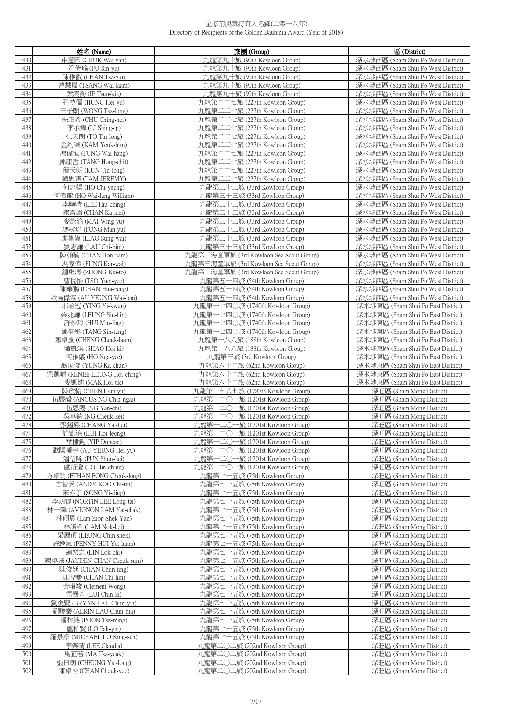|            | 姓名 (Name)                                            | 旅團 (Group)                                                   | 區 (District)                                                             |
|------------|------------------------------------------------------|--------------------------------------------------------------|--------------------------------------------------------------------------|
| 430        | 束蕙因 (CHUK Wai-yan)                                   | 九龍第九十旅 (90th Kowloon Group)                                  | 深水埗西區 (Sham Shui Po West District)                                       |
| 431        | 符倩瑜 (FU Sin-yu)                                      | 九龍第九十旅 (90th Kowloon Group)                                  | 深水埗西區 (Sham Shui Po West District)                                       |
| 432        | 陳稚叡 (CHAN Tsz-yui)                                   | 九龍第九十旅 (90th Kowloon Group)                                  | 深水埗西區 (Sham Shui Po West District)                                       |
| 433        | 曾慧嵐 (TSANG Wai-laam)                                 | 九龍第九十旅 (90th Kowloon Group)                                  | 深水埗西區 (Sham Shui Po West District)                                       |
| 434        | 葉溱喬 (IP Tsun-kiu)                                    | 九龍第九十旅 (90th Kowloon Group)                                  | 深水埗西區 (Sham Shui Po West District)                                       |
| 435        | 孔禧儒 (HUNG Hei-yu)                                    | 九龍第二二七旅 (227th Kowloon Group)                                | 深水埗西區 (Sham Shui Po West District)                                       |
| 436        | 王子朗 (WONG Tsz-long)                                  | 九龍第二二七旅 (227th Kowloon Group)                                | 深水埗西區 (Sham Shui Po West District)                                       |
| 437        | 朱正希 (CHU Ching-hei)                                  | 九龍第二二七旅 (227th Kowloon Group)                                | 深水埗西區 (Sham Shui Po West District)                                       |
| 438        | 李承燁 (LI Shing-ip)                                    | 九龍第二二七旅 (227th Kowloon Group)                                | 深水埗西區 (Sham Shui Po West District)                                       |
| 439        | 杜天朗 (TO Tin-long)                                    | 九龍第二二七旅 (227th Kowloon Group)                                | 深水埗西區 (Sham Shui Po West District)                                       |
| 440        | 金約謙 (KAM Yeuk-him)                                   | 九龍第二二七旅 (227th Kowloon Group)                                | 深水埗西區 (Sham Shui Po West District)                                       |
| 441        | 馮偉恒 (FUNG Wai-hang)                                  | 九龍第二二七旅 (227th Kowloon Group)                                | 深水埗西區 (Sham Shui Po West District)                                       |
| 442        | 鄧康哲 (TANG Hong-chit)                                 | 九龍第二二七旅 (227th Kowloon Group)                                | 深水埗西區 (Sham Shui Po West District)                                       |
| 443        | 簡天朗 (KUN Tin-long)                                   | 九龍第二二七旅 (227th Kowloon Group)                                | 深水埗西區 (Sham Shui Po West District)                                       |
| 444        | 譚思諾 (TAM JEREMY)                                     | 九龍第二二七旅 (227th Kowloon Group)                                | 深水埗西區 (Sham Shui Po West District)                                       |
| 445        | 何志揚 (HO Chi-yeung)<br>何偉龍 (HO Wai-lung William)      | 九龍第三十三旅 (33rd Kowloon Group)                                 | 深水埗西區 (Sham Shui Po West District)                                       |
| 446<br>447 | 李曉晴 (LEE Hiu-ching)                                  | 九龍第三十三旅 (33rd Kowloon Group)<br>九龍第三十三旅 (33rd Kowloon Group) | 深水埗西區 (Sham Shui Po West District)<br>深水埗西區 (Sham Shui Po West District) |
| 448        | 陳嘉湄 (CHAN Ka-mei)                                    | 九龍第三十三旅 (33rd Kowloon Group)                                 | 深水埗西區 (Sham Shui Po West District)                                       |
| 449        | 麥詠渝 (MAI Wing-yu)                                    | 九龍第三十三旅 (33rd Kowloon Group)                                 | 深水埗西區 (Sham Shui Po West District)                                       |
| 450        | 馮敏瑜 (FUNG Man-yu)                                    | 九龍第三十三旅 (33rd Kowloon Group)                                 | 深水埗西區 (Sham Shui Po West District)                                       |
| 451        | 廖崇偉 (LIAO Sung-wai)                                  | 九龍第三十三旅 (33rd Kowloon Group)                                 | 深水埗西區 (Sham Shui Po West District)                                       |
| 452        | 劉志謙 (LAU Chi-him)                                    | 九龍第三十三旅 (33rd Kowloon Group)                                 | 深水埗西區 (Sham Shui Po West District)                                       |
| 453        | 陳翰楠 (CHAN Hon-nam)                                   | 九龍第三海童軍旅 (3rd Kowloon Sea Scout Group)                       | 深水埗西區 (Sham Shui Po West District)                                       |
| 454        | 馮家偉 (FUNG Kar-wai)                                   | 九龍第三海童軍旅 (3rd Kowloon Sea Scout Group)                       | 深水埗西區 (Sham Shui Po West District)                                       |
| 455        | 鍾啟濤 (ZHONG Kai-to)                                   | 九龍第三海童軍旅 (3rd Kowloon Sea Scout Group)                       | 深水埗西區 (Sham Shui Po West District)                                       |
| 456        | 曹悦怡 (TSO Yuet-yee)                                   | 九龍第五十四旅 (54th Kowloon Group)                                 | 深水埗西區 (Sham Shui Po West District)                                       |
| 457        | 陳華鵬 (CHAN Hua-peng)                                  | 九龍第五十四旅 (54th Kowloon Group)                                 | 深水埗西區 (Sham Shui Po West District)                                       |
| 458        | 歐陽偉霖 (AU YEUNG Wai-lam)                              | 九龍第五十四旅 (54th Kowloon Group)                                 | 深水埗西區 (Sham Shui Po West District)                                       |
| 459        | 邢詒冠 (YING Yi-kwun)                                   | 九龍第一七四〇旅 (1740th Kowloon Group)                              | 深水埗東區 (Sham Shui Po East District)                                       |
| 460        | 梁兆謙 (LEUNG Siu-hin)                                  | 九龍第一七四〇旅 (1740th Kowloon Group)                              | 深水埗東區 (Sham Shui Po East District)                                       |
| 461        | 許妙玲 (HUI Miu-ling)                                   | 九龍第一七四〇旅 (1740th Kowloon Group)                              | 深水埗東區 (Sham Shui Po East District)                                       |
| 462        | 鄧倩彤 (TANG Sin-tung)                                  | 九龍第一七四〇旅 (1740th Kowloon Group)                              | 深水埗東區 (Sham Shui Po East District)                                       |
| 463        | 鄭卓嵐 (CHENG Cheuk-laam)                               | 九龍第一八八旅 (188th Kowloon Group)                                | 深水埗東區 (Sham Shui Po East District)                                       |
| 464<br>465 | 蕭凱淇 (SHAO Hoi-ki)<br>何雅儀 (HO Nga-yee)                | 九龍第一八八旅 (188th Kowloon Group)<br>九龍第三旅 (3rd Kowloon Group)   | 深水埗東區 (Sham Shui Po East District)<br>深水埗東區 (Sham Shui Po East District) |
| 466        | 翁家俊 (YUNG Ka-chun)                                   | 九龍第六十二旅 (62nd Kowloon Group)                                 | 深水埗東區 (Sham Shui Po East District)                                       |
| 467        | 梁凱晴 (RENEE LEUNG Hoi-ching)                          | 九龍第六十二旅 (62nd Kowloon Group)                                 | 深水埗東區 (Sham Shui Po East District)                                       |
| 468        | 麥凱廸 (MAK Hoi-tik)                                    | 九龍第六十二旅 (62nd Kowloon Group)                                 | 深水埗東區 (Sham Shui Po East District)                                       |
| 469        | 陳欣愉 (CHEN Hsin-yu)                                   | 九龍第一七八七旅 (1787th Kowloon Group)                              | 深旺區 (Sham Mong District)                                                 |
| 470        | 伍展毅 (ANGUS NG Chin-ngai)                             | 九龍第一二〇一旅 (1201st Kowloon Group)                              | 深旺區 (Sham Mong District)                                                 |
| 471        | 伍恩賜 (NG Yan-chi)                                     | 九龍第一二〇一旅 (1201st Kowloon Group)                              | 深旺區 (Sham Mong District)                                                 |
| 472        | 吳卓錡 (NG Cheuk-kei)                                   | 九龍第一二〇一旅 (1201st Kowloon Group)                              | 深旺區 (Sham Mong District)                                                 |
| 473        | 張鎰熙 (CHANG Yat-hei)                                  | 九龍第一二〇一旅 (1201st Kowloon Group)                              | 深旺區 (Sham Mong District)                                                 |
| 474        | 許凱湸 (HUI Hoi-leong)                                  | 九龍第一二〇一旅 (1201st Kowloon Group)                              | 深旺區 (Sham Mong District)                                                 |
| 475        | 葉棣鈞 (YIP Duncan)                                     | 九龍第一二〇一旅 (1201st Kowloon Group)                              | 深旺區 (Sham Mong District)                                                 |
| 476        | 歐陽曦宇 (AU YEUNG Hei-yu)                               | 九龍第一二〇一旅 (1201st Kowloon Group)                              | 深旰區 (Sham Mong District)                                                 |
| 477        | 潘信晞 (PUN Shun-hei)                                   | 九龍第一二〇一旅 (1201st Kowloon Group)                              | 深旺區 (Sham Mong District)                                                 |
| 478        | 盧衍澄 (LO Hin-ching)                                   | 九龍第一二〇一旅 (1201st Kowloon Group)                              | 深旺區 (Sham Mong District)                                                 |
| 479        | 方卓朗 (ETHAN FONG Cheuk-long)                          | 九龍第七十五旅 (75th Kowloon Group)                                 | 深旺區 (Sham Mong District)<br>深旺區 (Sham Mong District)                     |
| 480<br>481 | 古智天 (ANDY KOO Chi-tin)<br>宋亦丁 (SONG Yi-ding)         | 九龍第七十五旅 (75th Kowloon Group)<br>九龍第七十五旅 (75th Kowloon Group) | 深旺區 (Sham Mong District)                                                 |
| 482        | 李朗禔 (NORTIN LEE Long-tai)                            | 九龍第七十五旅 (75th Kowloon Group)                                 | 深旺區 (Sham Mong District)                                                 |
| 483        | 林一澤 (AVIGNON LAM Yat-chak)                           | 九龍第七十五旅 (75th Kowloon Group)                                 | 深旺區 (Sham Mong District)                                                 |
| 484        | 林碩恩 (Lam Zion Shek Yan)                              | 九龍第七十五旅 (75th Kowloon Group)                                 | 深旺區 (Sham Mong District)                                                 |
| 485        | 林諾希 (LAM Nok-hei)                                    | 九龍第七十五旅 (75th Kowloon Group)                                 | 深旺區 (Sham Mong District)                                                 |
| 486        | 梁展碩 (LEUNG Chin-shek)                                | 九龍第七十五旅 (75th Kowloon Group)                                 | 深旺區 (Sham Mong District)                                                 |
| 487        | 許逸嵐 (PENNY HUI Yat-laam)                             | 九龍第七十五旅 (75th Kowloon Group)                                 | 深旺區 (Sham Mong District)                                                 |
| 488        | 連樂之 (LIN Lok-chi)                                    | 九龍第七十五旅 (75th Kowloon Group)                                 | 深旺區 (Sham Mong District)                                                 |
| 489        | 陳卓琛 (JAYDEN CHAN Cheuk-sum)                          | 九龍第七十五旅 (75th Kowloon Group)                                 | 深旺區 (Sham Mong District)                                                 |
| 490        | 陳俊廷 (CHAN Chun-ting)                                 | 九龍第七十五旅 (75th Kowloon Group)                                 | 深旺區 (Sham Mong District)                                                 |
| 491        | 陳智騫 (CHAN Chi-hin)                                   | 九龍第七十五旅 (75th Kowloon Group)                                 | 深旺區 (Sham Mong District)                                                 |
| 492        | 黃晞竣 (Clement Wong)                                   | 九龍第七十五旅 (75th Kowloon Group)                                 | 深旺區 (Sham Mong District)                                                 |
| 493<br>494 | 雷展奇 (LUI Chin-ki)                                    | 九龍第七十五旅 (75th Kowloon Group)                                 | 深旺區 (Sham Mong District)                                                 |
| 495        | 劉俊賢 (BRYAN LAU Chun-yin)<br>劉駿騫 (ALRIN LAU Chun-hin) | 九龍第七十五旅 (75th Kowloon Group)<br>九龍第七十五旅 (75th Kowloon Group) | 深旺區 (Sham Mong District)<br>深旺區 (Sham Mong District)                     |
| 496        | 潘梓銘 (POON Tsz-ming)                                  | 九龍第七十五旅 (75th Kowloon Group)                                 | 深旺區 (Sham Mong District)                                                 |
| 497        | 盧柏賢 (LO Pak-yin)                                     | 九龍第七十五旅 (75th Kowloon Group)                                 | 深旺區 (Sham Mong District)                                                 |
| 498        | 羅景桑 (MICHAEL LO King-sun)                            | 九龍第七十五旅 (75th Kowloon Group)                                 | 深旺區 (Sham Mong District)                                                 |
| 499        | 李樂晴 (LEE Claudia)                                    | 九龍第二〇二旅 (202nd Kowloon Group)                                | 深旺區 (Sham Mong District)                                                 |
| 500        | 馬芷若 (MA Tsz-yeuk)                                    | 九龍第二〇二旅 (202nd Kowloon Group)                                | 深旺區 (Sham Mong District)                                                 |
| 501        | 張日朗 (CHEUNG Yat-long)                                | 九龍第二〇二旅 (202nd Kowloon Group)                                | 深旺區 (Sham Mong District)                                                 |
| 502        | 陳卓怡 (CHAN Cheuk-yee)                                 | 九龍第二〇二旅 (202nd Kowloon Group)                                | 深旺區 (Sham Mong District)                                                 |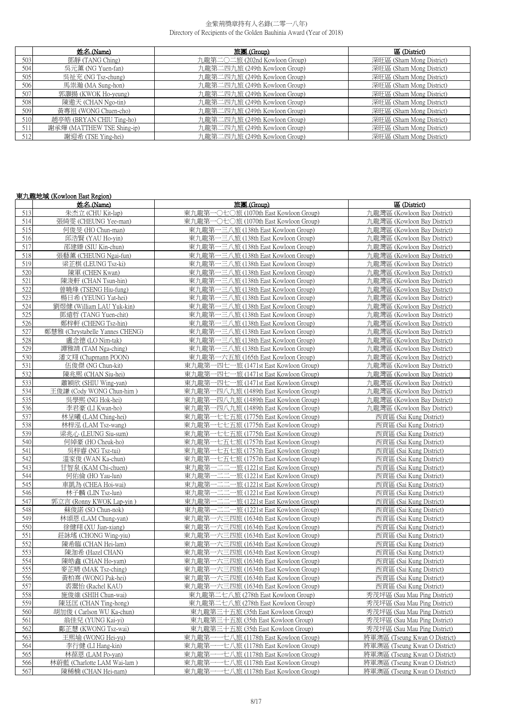|     | 姓名 (Name)                  | 旅團 (Group)                    | 區 (District)             |
|-----|----------------------------|-------------------------------|--------------------------|
| 503 | 鄧靜 (TANG Ching)            | 九龍第二〇二旅 (202nd Kowloon Group) | 深旺區 (Sham Mong District) |
| 504 | 吳元薰 (NG Yuen-fan)          | 九龍第二四九旅 (249th Kowloon Group) | 深旺區 (Sham Mong District) |
| 505 | 吳祉充 (NG Tsz-chung)         | 九龍第二四九旅 (249th Kowloon Group) | 深旺區 (Sham Mong District) |
| 506 | 馬祟瀚 (MA Sung-hon)          | 九龍第二四九旅 (249th Kowloon Group) | 深旺區 (Sham Mong District) |
| 507 | 郭灝揚 (KWOK Ho-yeung)        | 九龍第二四九旅 (249th Kowloon Group) | 深旺區 (Sham Mong District) |
| 508 | 陳遨天 (CHAN Ngo-tin)         | 九龍第二四九旅 (249th Kowloon Group) | 深旺區 (Sham Mong District) |
| 509 | 黃專祖 (WONG Chuen-cho)       | 九龍第二四九旅 (249th Kowloon Group) | 深旺區 (Sham Mong District) |
| 510 | 趙亭皓 (BRYAN CHIU Ting-ho)   | 九龍第二四九旅 (249th Kowloon Group) | 深旺區 (Sham Mong District) |
| 511 | 謝承燁 (MATTHEW TSE Shing-ip) | 九龍第二四九旅 (249th Kowloon Group) | 深旺區 (Sham Mong District) |
| 512 | 謝迎希 (TSE Ying-hei)         | 九龍第二四九旅 (249th Kowloon Group) | 深旺區 (Sham Mong District) |

|     | 東九龍地域 (Kowloon East Region)     |                                            |                               |
|-----|---------------------------------|--------------------------------------------|-------------------------------|
|     | 姓名 (Name)                       | 旅團 (Group)                                 | 區 (District)                  |
| 513 | 朱杰立 (CHU Kit-lap)               | 東九龍第一〇七〇旅 (1070th East Kowloon Group)      | 九龍灣區 (Kowloon Bay District)   |
| 514 | 張綺雯 (CHEUNG Yee-man)            | 東九龍第一〇七〇旅 (1070th East Kowloon Group)      | 九龍灣區 (Kowloon Bay District)   |
| 515 | 何俊旻 (HO Chun-man)               | 東九龍第一三八旅 (138th East Kowloon Group)        | 九龍灣區 (Kowloon Bay District)   |
| 516 | 邱浩賢 (YAU Ho-vin)                | 東九龍第一三八旅 (138th East Kowloon Group)        | 九龍灣區 (Kowloon Bay District)   |
| 517 | 邵建臻 (SIU Kin-chun)              | 東九龍第一三八旅 (138th East Kowloon Group)        | 九龍灣區 (Kowloon Bay District)   |
| 518 | 張藝薰 (CHEUNG Ngai-fun)           | 東九龍第一三八旅 (138th East Kowloon Group)        | 九龍灣區 (Kowloon Bay District)   |
| 519 | 梁芷棋 (LEUNG Tsz-ki)              | 東九龍第一三八旅 (138th East Kowloon Group)        | 九龍灣區 (Kowloon Bay District)   |
| 520 | 陳軍 (CHEN Kwan)                  | 東九龍第一三八旅 (138th East Kowloon Group)        | 九龍灣區 (Kowloon Bay District)   |
| 521 | 陳浚軒 (CHAN Tsun-hin)             | 東九龍第一三八旅 (138th East Kowloon Group)        | 九龍灣區 (Kowloon Bay District)   |
| 522 | 曾曉烽 (TSENG Hiu-fung)            | 東九龍第一三八旅 (138th East Kowloon Group)        | 九龍灣區 (Kowloon Bay District)   |
| 523 | 楊日希 (YEUNG Yat-hei)             | 東九龍第一三八旅 (138th East Kowloon Group)        | 九龍灣區 (Kowloon Bay District)   |
| 524 | 劉煜健 (William LAU Yuk-kin)       | 東九龍第一三八旅 (138th East Kowloon Group)        | 九龍灣區 (Kowloon Bay District)   |
| 525 | 鄧遠哲 (TANG Yuen-chit)            | 東九龍第一三八旅 (138th East Kowloon Group)        | 九龍灣區 (Kowloon Bay District)   |
| 526 | 鄭梓軒 (CHENG Tsz-hin)             | 東九龍第一三八旅 (138th East Kowloon Group)        | 九龍灣區 (Kowloon Bay District)   |
| 527 | 鄭慧雅 (Chrystabelle Yannes CHENG) | 東九龍第一三八旅 (138th East Kowloon Group)        | 九龍灣區 (Kowloon Bay District)   |
| 528 | 盧念德 (LO Nim-tak)                | 東九龍第一三八旅 (138th East Kowloon Group)        | 九龍灣區 (Kowloon Bay District)   |
| 529 | 譚雅靖 (TAM Nga-ching)             | 東九龍第一三八旅 (138th East Kowloon Group)        | 九龍灣區 (Kowloon Bay District)   |
| 530 | 潘文翔 (Chapmann POON)             | 東九龍第一六五旅 (165th East Kowloon Group)        | 力龍灣區 (Kowloon Bay District)   |
| 531 | 伍俊傑 (NG Chun-kit)               | 東九龍第一四七一旅 (1471st East Kowloon Group)      | 力龍灣區 (Kowloon Bay District)   |
| 532 | 陳兆熙 (CHAN Siu-hei)              | 東九龍第一四七一旅 (1471st East Kowloon Group)      | 九龍灣區 (Kowloon Bay District)   |
| 533 | 蕭穎欣 (SHIU Wing-yan)             | 東九龍第一四七一旅 (1471st East Kowloon Group)      | 九龍灣區 (Kowloon Bay District)   |
| 534 | 王俊謙 (Cody WONG Chun-him)        | 東九龍第一四八九旅 (1489th East Kowloon Group)      | 九龍灣區 (Kowloon Bay District)   |
| 535 | 吳學熙 (NG Hok-hei)                | 東九龍第一四八九旅 (1489th East Kowloon Group)      | 九龍灣區 (Kowloon Bay District)   |
| 536 | 李君豪 (LI Kwan-ho)                | 東九龍第一四八九旅 (1489th East Kowloon Group)      | 九龍灣區 (Kowloon Bay District)   |
| 537 | 林呈曦 (LAM Ching-hei)             | 東九龍第一七七五旅 (1775th East Kowloon Group)      | 西貢區 (Sai Kung District)       |
| 538 | 林梓泓 (LAM Tsz-wang)              | 東九龍第一七七五旅 (1775th East Kowloon Group)      | 西貢區 (Sai Kung District)       |
| 539 | 梁兆心 (LEUNG Siu-sum)             | 東九龍第一七七五旅 (1775th East Kowloon Group)      | 西貢區 (Sai Kung District)       |
| 540 | 何綽豪 (HO Cheuk-ho)               | 東九龍第一七五七旅 (1757th East Kowloon Group)      | 西貢區 (Sai Kung District)       |
| 541 | 吳梓睿 (NG Tsz-tui)                | 東九龍第一七五七旅 (1757th East Kowloon Group)      | 西貢區 (Sai Kung District)       |
| 542 | 溫家俊 (WAN Ka-chun)               | 東九龍第一七五七旅 (1757th East Kowloon Group)      | 西貢區 (Sai Kung District)       |
| 543 | 甘智泉 (KAM Chi-chuen)             | 東九龍第一二二一旅 (1221st East Kowloon Group)      | 西貢區 (Sai Kung District)       |
| 544 | 何佑倫 (HO Yau-lun)                | 東九龍第一二二一旅 (1221st East Kowloon Group)      | 西貢區 (Sai Kung District)       |
| 545 | 車凱為 (CHEA Hoi-wai)              | - 二二一旅 (1221st East Kowloon Group)<br>東九龍第 | 西貢區 (Sai Kung District)       |
| 546 | 林子麟 (LIN Tsz-lun)               | 東九龍第一二二一旅 (1221st East Kowloon Group)      | 西貢區 (Sai Kung District)       |
| 547 | 郭立言 (Ronny KWOK Lap-yin)        | 東九龍第一二二一旅 (1221st East Kowloon Group)      | 西貢區 (Sai Kung District)       |
| 548 | 蘇俊諾 (SO Chun-nok)               | 東九龍第一二二一旅 (1221st East Kowloon Group)      | 西貢區 (Sai Kung District)       |
| 549 | 林頌恩 (LAM Chung-yan)             | 東九龍第一六三四旅 (1634th East Kowloon Group)      | 西貢區 (Sai Kung District)       |
| 550 | 徐健翔 (XU Jian-xiang)             | 東九龍第一六三四旅 (1634th East Kowloon Group)      | 西貢區 (Sai Kung District)       |
| 551 | 莊詠瑤 (CHONG Wing-yiu)            | 東九龍第一六三四旅 (1634th East Kowloon Group)      | 西貢區 (Sai Kung District)       |
| 552 | 陳希臨 (CHAN Hei-lam)              | 東九龍第一六三四旅 (1634th East Kowloon Group)      | 西貢區 (Sai Kung District)       |
| 553 | 陳泇希 (Hazel CHAN)                | 東九龍第一六三四旅 (1634th East Kowloon Group)      | 西貢區 (Sai Kung District)       |
| 554 | 陳皓鑫 (CHAN Ho-yam)               | 東九龍第一六三四旅 (1634th East Kowloon Group)      | 西貢區 (Sai Kung District)       |
| 555 | 麥芷晴 (MAK Tsz-ching)             | 東九龍第一六三四旅 (1634th East Kowloon Group)      | 西貢區 (Sai Kung District)       |
| 556 | 黃柏熹 (WONG Pak-hei)              | 東九龍第一六三四旅 (1634th East Kowloon Group)      | 西貢區 (Sai Kung District)       |
| 557 | 裘翯怡 (Rachel KAU)                | 東九龍第一六三四旅 (1634th East Kowloon Group)      | 西貢區 (Sai Kung District)       |
| 558 | 施俊維 (SHIH Chun-wai)             | 東九龍第二七八旅 (278th East Kowloon Group)        | 秀茂坪區 (Sau Mau Ping District)  |
| 559 | 陳廷匡 (CHAN Ting-hong)            | 東九龍第二七八旅 (278th East Kowloon Group)        | 秀茂坪區 (Sau Mau Ping District)  |
| 560 | 胡加俊 (Carlson WU Ka-chun)        | 東九龍第三十五旅 (35th East Kowloon Group)         | 秀茂坪區 (Sau Mau Ping District)  |
| 561 | 翁佳兒 (YUNG Kai-vi)               | 東九龍第三十五旅 (35th East Kowloon Group)         | 秀茂坪區 (Sau Mau Ping District)  |
| 562 | 鄺芷慧 (KWONG Tsz-wai)             | 東九龍第三十五旅 (35th East Kowloon Group)         | 秀茂坪區 (Sau Mau Ping District)  |
| 563 | 王熙堬 (WONG Hei-yu)               | 東九龍第一一七八旅 (1178th East Kowloon Group)      | 將軍澳區 (Tseung Kwan O District) |
| 564 | 李行健 (LI Hang-kin)               | 一七八旅 (1178th East Kowloon Group)<br>東九龍第   | 將軍澳區 (Tseung Kwan O District) |
| 565 | 林葆恩 (LAM Po-yan)                | 東九龍第-<br>-七八旅 (1178th East Kowloon Group)  | 將軍澳區 (Tseung Kwan O District) |
| 566 | 林蔚藍 (Charlotte LAM Wai-lam)     | 一七八旅 (1178th East Kowloon Group)<br>東九龍第   | 將軍澳區 (Tseung Kwan O District) |
| 567 | 陳稀楠 (CHAN Hei-nam)              | 東九龍第一一七八旅 (1178th East Kowloon Group)      | 將軍澳區 (Tseung Kwan O District) |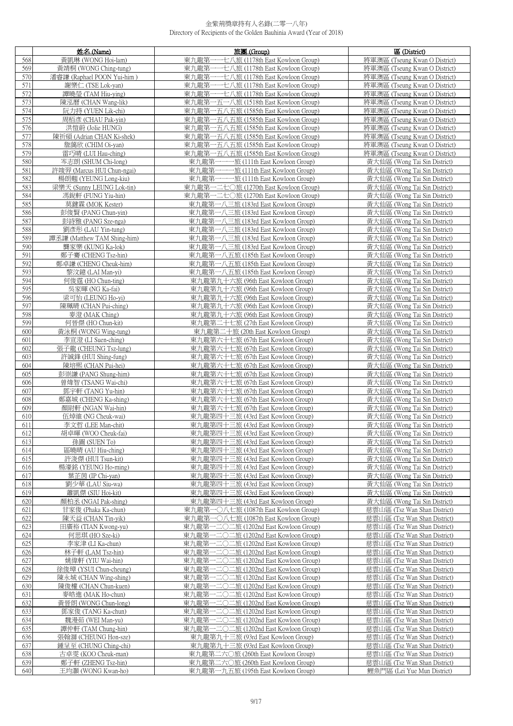|            | 姓名 (Name)                                       | 旅團 (Group)                                                                         | 區 (District)                                                   |
|------------|-------------------------------------------------|------------------------------------------------------------------------------------|----------------------------------------------------------------|
| 568        | 黃凱琳 (WONG Hoi-lam)                              | 東九龍第-<br>一七八旅 (1178th East Kowloon Group)                                          | 將軍澳區 (Tseung Kwan O District)                                  |
| 569        | 黃靖桐 (WONG Ching-tung)                           | 東九龍第<br>一一七八旅 (1178th East Kowloon Group)                                          | 將軍澳區 (Tseung Kwan O District)                                  |
| 570        | 潘睿謙 (Raphael POON Yui-him)                      | 一一七八旅 (1178th East Kowloon Group)<br>東九龍第                                          | 將軍澳區 (Tseung Kwan O District)                                  |
| 571        | 謝樂仁 (TSE Lok-yan)                               | 東九龍第一一七八旅 (1178th East Kowloon Group)                                              | 將軍澳區 (Tseung Kwan O District)                                  |
| 572        | 譚曉瑩 (TAM Hiu-ying)                              | 東九龍第<br>一一七八旅 (1178th East Kowloon Group)                                          | 將軍澳區 (Tseung Kwan O District)                                  |
| 573        | 陳泓曆 (CHAN Wang-lik)                             | 東九龍第<br>一五一八旅 (1518th East Kowloon Group)                                          | 將軍澳區 (Tseung Kwan O District)                                  |
| 574        | 阮力持 (YUEN Lik-chi)                              | 東九龍第一五八五旅 (1585th East Kowloon Group)                                              | 將軍澳區 (Tseung Kwan O District)                                  |
| 575        | 周栢彦 (CHAU Pak-yin)                              | 東九龍第一五八五旅 (1585th East Kowloon Group)                                              | 將軍澳區 (Tseung Kwan O District)                                  |
| 576        | 洪愷蔚 (Jolie HUNG)                                | 東九龍第一五八五旅 (1585th East Kowloon Group)                                              | 將軍澳區 (Tseung Kwan O District)                                  |
| 577<br>578 | 陳祈碩 (Adrian CHAN Ki-shek)<br>詹藹欣 (CHIM Oi-yan)  | 東九龍第一五八五旅 (1585th East Kowloon Group)<br>東九龍第一五八五旅 (1585th East Kowloon Group)     | 將軍澳區 (Tseung Kwan O District)<br>將軍澳區 (Tseung Kwan O District) |
| 579        | 雷巧晴 (LUI Hau-ching)                             | 東九龍第一五八五旅 (1585th East Kowloon Group)                                              | 將軍澳區 (Tseung Kwan O District)                                  |
| 580        | 岑志朗 (SHUM Chi-long)                             | 東九龍第一一-<br>一旅 (111th East Kowloon Group)                                           | 黃大仙區 (Wong Tai Sin District)                                   |
| 581        | 許竣羿 (Marcus HUI Chun-ngai)                      | 東九龍第一一一旅 (111th East Kowloon Group)                                                | 黃大仙區 (Wong Tai Sin District)                                   |
| 582        | 楊朗翹 (YEUNG Long-kiu)                            | 東九龍第一一一旅 (111th East Kowloon Group)                                                | 黃大仙區 (Wong Tai Sin District)                                   |
| 583        | 梁樂天 (Sunny LEUNG Lok-tin)                       | 東九龍第一二七〇旅 (1270th East Kowloon Group)                                              | 黃大仙區 (Wong Tai Sin District)                                   |
| 584        | 馮銳軒 (FUNG Yiu-hin)                              | 東九龍第一二七〇旅 (1270th East Kowloon Group)                                              | 黃大仙區 (Wong Tai Sin District)                                   |
| 585        | 莫鍵霖 (MOK Kester)                                | 東九龍第一八三旅 (183rd East Kowloon Group)                                                | 黃大仙區 (Wong Tai Sin District)                                   |
| 586        | 彭俊賢 (PANG Chun-yin)                             | 東九龍第一八三旅 (183rd East Kowloon Group)                                                | 黃大仙區 (Wong Tai Sin District)                                   |
| 587        | 彭詩雅 (PANG Sze-nga)                              | 東九龍第一八三旅 (183rd East Kowloon Group)                                                | 黃大仙區 (Wong Tai Sin District)                                   |
| 588        | 劉彥彤 (LAU Yin-tung)                              | 東九龍第一八三旅 (183rd East Kowloon Group)                                                | 黃大仙區 (Wong Tai Sin District)                                   |
| 589        | 譚丞謙 (Matthew TAM Shing-him)                     | 東九龍第一八三旅 (183rd East Kowloon Group)                                                | 黃大仙區 (Wong Tai Sin District)                                   |
| 590<br>591 | 龔家樂 (KUNG Ka-lok)                               | 東九龍第一八三旅 (183rd East Kowloon Group)                                                | 黃大仙區 (Wong Tai Sin District)<br>黃大仙區 (Wong Tai Sin District)   |
| 592        | 鄭子騫 (CHENG Tsz-hin)<br>鄭卓謙 (CHENG Cheuk-him)    | 東九龍第一八五旅 (185th East Kowloon Group)<br>東九龍第一八五旅 (185th East Kowloon Group)         | 黃大仙區 (Wong Tai Sin District)                                   |
| 593        | 黎汶鐿 (LAI Man-yi)                                | 東九龍第一八五旅 (185th East Kowloon Group)                                                | 黃大仙區 (Wong Tai Sin District)                                   |
| 594        | 何俊霆 (HO Chun-ting)                              | 東九龍第九十六旅 (96th East Kowloon Group)                                                 | 黃大仙區 (Wong Tai Sin District)                                   |
| 595        | 吳家暉 (NG Ka-fai)                                 | 東九龍第九十六旅 (96th East Kowloon Group)                                                 | 黃大仙區 (Wong Tai Sin District)                                   |
| 596        | 梁可怡 (LEUNG Ho-yi)                               | 東九龍第九十六旅 (96th East Kowloon Group)                                                 | 黃大仙區 (Wong Tai Sin District)                                   |
| 597        | 陳珮晴 (CHAN Pui-ching)                            | 東九龍第九十六旅 (96th East Kowloon Group)                                                 | 黃大仙區 (Wong Tai Sin District)                                   |
| 598        | 麥澄 (MAK Ching)                                  | 東九龍第九十六旅 (96th East Kowloon Group)                                                 | 黃大仙區 (Wong Tai Sin District)                                   |
| 599        | 何晉傑 (HO Chun-kit)                               | 東九龍第二十七旅 (27th East Kowloon Group)                                                 | 黃大仙區 (Wong Tai Sin District)                                   |
| 600        | 黃泳桐 (WONG Wing-tung)                            | 東九龍第二十旅 (20th East Kowloon Group)                                                  | 黃大仙區 (Wong Tai Sin District)                                   |
| 601<br>602 | 李宣澄 (LI Suen-ching)<br>張子龍 (CHEUNG Tsz-lung)    | 東九龍第六十七旅 (67th East Kowloon Group)<br>東九龍第六十七旅 (67th East Kowloon Group)           | 黃大仙區 (Wong Tai Sin District)<br>黃大仙區 (Wong Tai Sin District)   |
| 603        | 許誠鋒 (HUI Shing-fung)                            | 東九龍第六十七旅 (67th East Kowloon Group)                                                 | 黃大仙區 (Wong Tai Sin District)                                   |
| 604        | 陳培熙 (CHAN Pui-hei)                              | 東九龍第六十七旅 (67th East Kowloon Group)                                                 | 黃大仙區 (Wong Tai Sin District)                                   |
| 605        | 彭崇謙 (PANG Shung-him)                            | 東九龍第六十七旅 (67th East Kowloon Group)                                                 | 黃大仙區 (Wong Tai Sin District)                                   |
| 606        | 曾煒智 (TSANG Wai-chi)                             | 東九龍第六十七旅 (67th East Kowloon Group)                                                 | 黃大仙區 (Wong Tai Sin District)                                   |
| 607        | 鄧宇軒 (TANG Yu-hin)                               | 東九龍第六十七旅 (67th East Kowloon Group)                                                 | 黃大仙區 (Wong Tai Sin District)                                   |
| 608        | 鄭嘉城 (CHENG Ka-shing)                            | 東九龍第六十七旅 (67th East Kowloon Group)                                                 | 黃大仙區 (Wong Tai Sin District)                                   |
| 609<br>610 | 顏尉軒 (NGAN Wai-hin)<br>伍焯維 (NG Cheuk-wai)        | 東九龍第六十七旅 (67th East Kowloon Group)<br>東九龍第四十三旅 (43rd East Kowloon Group)           | 黃大仙區 (Wong Tai Sin District)<br>黃大仙區 (Wong Tai Sin District)   |
| 611        | 李文哲 (LEE Man-chit)                              | 東九龍第四十三旅 (43rd East Kowloon Group)                                                 | 黃大仙區 (Wong Tai Sin District)                                   |
| 612        | 胡卓暉 (WOO Cheuk-fai)                             | 東九龍第四十三旅 (43rd East Kowloon Group)                                                 | 黃大仙區 (Wong Tai Sin District)                                   |
| 613        | 孫圖 (SUEN To)                                    | 東九龍第四十三旅 (43rd East Kowloon Group)                                                 | 黃大仙區 (Wong Tai Sin District)                                   |
| 614        | 區曉晴 (AU Hiu-ching)                              | 東九龍第四十三旅 (43rd East Kowloon Group)                                                 | 黃大仙區 (Wong Tai Sin District)                                   |
| 615        | 許浚傑 (HUI Tsun-kit)                              | 東九龍第四十三旅 (43rd East Kowloon Group)                                                 | 黃大仙區 (Wong Tai Sin District)                                   |
| 616        | 楊濠銘 (YEUNG Ho-ming)                             | 東九龍第四十三旅 (43rd East Kowloon Group)                                                 | 黃大仙區 (Wong Tai Sin District)                                   |
| 617        | 葉芷茵 (IP Chi-yan)                                | 東九龍第四十三旅 (43rd East Kowloon Group)                                                 | 黃大仙區 (Wong Tai Sin District)                                   |
| 618<br>619 | 劉少華 (LAU Siu-wa)<br>蕭凱傑 (SIU Hoi-kit)           | 東九龍第四十三旅 (43rd East Kowloon Group)<br>東九龍第四十三旅 (43rd East Kowloon Group)           | 黃大仙區 (Wong Tai Sin District)<br>黃大仙區 (Wong Tai Sin District)   |
| 620        | 顏柏丞 (NGAI Pak-shing)                            | 東九龍第四十三旅 (43rd East Kowloon Group)                                                 | 黃大仙區 (Wong Tai Sin District)                                   |
| 621        | 甘家俊 (Phaka Ka-chun)                             | 東九龍第一〇八七旅 (1087th East Kowloon Group)                                              | 慈雲山區 (Tsz Wan Shan District)                                   |
| 622        | 陳天益 (CHAN Tin-yik)                              | 一〇八七旅 (1087th East Kowloon Group)<br>東九龍第-                                         | 慈雲山區 (Tsz Wan Shan District)                                   |
| 623        | 田廣裕 (TIAN Kwong-yu)                             | 東九龍第一二〇二旅 (1202nd East Kowloon Group)                                              | 慈雲山區 (Tsz Wan Shan District)                                   |
| 624        | 何思琪 (HO Sze-ki)                                 | 東九龍第一二〇二旅 (1202nd East Kowloon Group)                                              | 慈雲山區 (Tsz Wan Shan District)                                   |
| 625        | 李家津 (LI Ka-chun)                                | 東九龍第一二〇二旅 (1202nd East Kowloon Group)                                              | 慈雲山區 (Tsz Wan Shan District)                                   |
| 626        | 林子軒 (LAM Tsz-hin)                               | -二〇二旅 (1202nd East Kowloon Group)<br>東九龍第-                                         | 慈雲山區 (Tsz Wan Shan District)                                   |
| 627        | 姚偉軒 (YIU Wai-hin)                               | -二〇二旅 (1202nd East Kowloon Group)<br>東九龍第                                          | 慈雲山區 (Tsz Wan Shan District)                                   |
| 628<br>629 | 徐俊璋 (YSUI Chun-cheung)<br>陳永城 (CHAN Wing-shing) | 東九龍第一二〇二旅 (1202nd East Kowloon Group)<br>-二〇二旅 (1202nd East Kowloon Group)<br>東九龍第 | 慈雲山區 (Tsz Wan Shan District)<br>慈雲山區 (Tsz Wan Shan District)   |
| 630        | 陳俊權 (CHAN Chun-kuen)                            | 東九龍第一二〇二旅 (1202nd East Kowloon Group)                                              | 慈雲山區 (Tsz Wan Shan District)                                   |
| 631        | 麥皓進 (MAK Ho-chun)                               | -二〇二旅 (1202nd East Kowloon Group)<br>東九龍第一                                         | 慈雲山區 (Tsz Wan Shan District)                                   |
| 632        | 黃晉朗 (WONG Chun-long)                            | 東九龍第-<br>−二○二旅 (1202nd East Kowloon Group)                                         | 慈雲山區 (Tsz Wan Shan District)                                   |
| 633        | 鄧家俊 (TANG Ka-chun)                              | 東九龍第-<br>-二〇二旅 (1202nd East Kowloon Group)                                         | 慈雲山區 (Tsz Wan Shan District)                                   |
| 634        | 魏漫茹 (WEI Man-yu)                                | -二〇二旅 (1202nd East Kowloon Group)<br>東九龍第-                                         | 慈雲山區 (Tsz Wan Shan District)                                   |
| 635        | 譚仲軒 (TAM Chung-hin)                             | 東九龍第一二〇二旅 (1202nd East Kowloon Group)                                              | 慈雲山區 (Tsz Wan Shan District)                                   |
| 636        | 張翰溮 (CHEUNG Hon-sze)                            | 東九龍第九十三旅 (93rd East Kowloon Group)                                                 | 慈雲山區 (Tsz Wan Shan District)                                   |
| 637<br>638 | 鍾呈至 (CHUNG Ching-chi)<br>古卓雯 (KOO Cheuk-man)    | 東九龍第九十三旅 (93rd East Kowloon Group)<br>東九龍第二六〇旅 (260th East Kowloon Group)          | 慈雲山區 (Tsz Wan Shan District)<br>慈雲山區 (Tsz Wan Shan District)   |
| 639        | 鄭子軒 (ZHENG Tsz-hin)                             | 東九龍第二六〇旅 (260th East Kowloon Group)                                                | 慈雲山區 (Tsz Wan Shan District)                                   |
| 640        | 王均灝 (WONG Kwan-ho)                              | 東九龍第一九五旅 (195th East Kowloon Group)                                                | 鯉魚門區 (Lei Yue Mun District)                                    |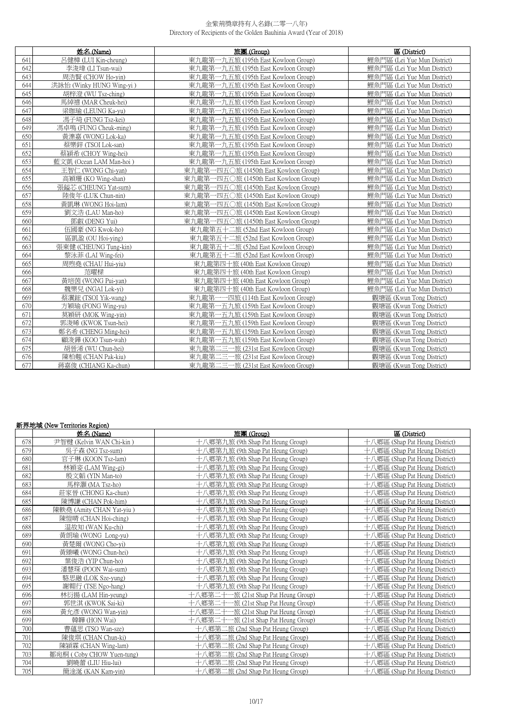|     | 姓名 (Name)                | 旅團 (Group)                            | 區 (District)                |
|-----|--------------------------|---------------------------------------|-----------------------------|
| 641 | 呂健樟 (LUI Kin-cheung)     | 東九龍第一九五旅 (195th East Kowloon Group)   | 鯉魚門區 (Lei Yue Mun District) |
| 642 | 李浚瑋 (LI Tsun-wai)        | 東九龍第一九五旅 (195th East Kowloon Group)   | 鯉魚門區 (Lei Yue Mun District) |
| 643 | 周浩賢 (CHOW Ho-yin)        | 東九龍第一九五旅 (195th East Kowloon Group)   | 鯉魚門區 (Lei Yue Mun District) |
| 644 | 洪詠怡 (Winky HUNG Wing-yi) | 東九龍第一九五旅 (195th East Kowloon Group)   | 鯉魚門區 (Lei Yue Mun District) |
| 645 | 胡梓澄 (WU Tsz-ching)       | 東九龍第一九五旅 (195th East Kowloon Group)   | 鯉魚門區 (Lei Yue Mun District) |
| 646 | 馬綽禧 (MAR Cheuk-hei)      | 東九龍第一九五旅 (195th East Kowloon Group)   | 鯉魚門區 (Lei Yue Mun District) |
| 647 | 梁珈瑜 (LEUNG Ka-yu)        | 東九龍第一九五旅 (195th East Kowloon Group)   | 鲤魚門區 (Lei Yue Mun District) |
| 648 | 馮子琦 (FUNG Tsz-kei)       | 東九龍第一九五旅 (195th East Kowloon Group)   | 鯉魚門區 (Lei Yue Mun District) |
| 649 | 馮卓鳴 (FUNG Cheuk-ming)    | 東九龍第一九五旅 (195th East Kowloon Group)   | 鯉魚門區 (Lei Yue Mun District) |
| 650 | 黃濼嘉 (WONG Lok-ka)        | 東九龍第一九五旅 (195th East Kowloon Group)   | 鯉魚門區 (Lei Yue Mun District) |
| 651 | 蔡樂鋅 (TSOI Lok-san)       | 東九龍第一九五旅 (195th East Kowloon Group)   | 鯉魚門區 (Lei Yue Mun District) |
| 652 | 蔡潁希 (CHOY Wing-hei)      | 東九龍第一九五旅 (195th East Kowloon Group)   | 鯉魚門區 (Lei Yue Mun District) |
| 653 | 藍文凱 (Ocean LAM Man-hoi)  | 東九龍第一九五旅 (195th East Kowloon Group)   | 鯉魚門區 (Lei Yue Mun District) |
| 654 | 王智仁 (WONG Chi-yan)       | 東九龍第一四五〇旅 (1450th East Kowloon Group) | 鯉魚門區 (Lei Yue Mun District) |
| 655 | 高穎珊 (KO Wing-shan)       | 東九龍第一四五〇旅 (1450th East Kowloon Group) | 鯉魚門區 (Lei Yue Mun District) |
| 656 | 張鎰芯 (CHEUNG Yat-sum)     | 東九龍第一四五〇旅 (1450th East Kowloon Group) | 鲤魚門區 (Lei Yue Mun District) |
| 657 | 陸俊年 (LUK Chun-nin)       | 東九龍第一四五〇旅 (1450th East Kowloon Group) | 鯉魚門區 (Lei Yue Mun District) |
| 658 | 黃凱琳 (WONG Hoi-lam)       | 東九龍第一四五〇旅 (1450th East Kowloon Group) | 鯉魚門區 (Lei Yue Mun District) |
| 659 | 劉文浩 (LAU Man-ho)         | 東九龍第一四五〇旅 (1450th East Kowloon Group) | 鯉魚門區 (Lei Yue Mun District) |
| 660 | 鄧叡 (DENG Yui)            | 東九龍第一四五〇旅 (1450th East Kowloon Group) | 鯉魚門區 (Lei Yue Mun District) |
| 661 | 伍國豪 (NG Kwok-ho)         | 東九龍第五十二旅 (52nd East Kowloon Group)    | 鲤魚門區 (Lei Yue Mun District) |
| 662 | 區凱盈 (OU Hoi-ving)        | 東九龍第五十二旅 (52nd East Kowloon Group)    | 鯉魚門區 (Lei Yue Mun District) |
| 663 | 張東健 (CHEUNG Tung-kin)    | 東九龍第五十二旅 (52nd East Kowloon Group)    | 鯉魚門區 (Lei Yue Mun District) |
| 664 | 黎泳菲 (LAI Wing-fei)       | 東九龍第五十二旅 (52nd East Kowloon Group)    | 鲤鱼門區 (Lei Yue Mun District) |
| 665 | 周煦堯 (CHAU Hui-viu)       | 東九龍第四十旅 (40th East Kowloon Group)     | 鯉魚門區 (Lei Yue Mun District) |
| 666 | 范曜樑                      | 東九龍第四十旅 (40th East Kowloon Group)     | 鯉魚門區 (Lei Yue Mun District) |
| 667 | 黃培茵 (WONG Pui-yan)       | 東九龍第四十旅 (40th East Kowloon Group)     | 鲤魚門區 (Lei Yue Mun District) |
| 668 | 魏樂兒 (NGAI Lok-yi)        | 東九龍第四十旅 (40th East Kowloon Group)     | 鲤魚門區 (Lei Yue Mun District) |
| 669 | 蔡瀷鋐 (TSOI Yik-wang)      | 東九龍第一一四旅 (114th East Kowloon Group)   | 觀塘區 (Kwun Tong District)    |
| 670 | 方穎瑜 (FONG Wing-yu)       | 東九龍第一五九旅 (159th East Kowloon Group)   | 觀塘區 (Kwun Tong District)    |
| 671 | 莫穎研 (MOK Wing-yin)       | 東九龍第一五九旅 (159th East Kowloon Group)   | 觀塘區 (Kwun Tong District)    |
| 672 | 郭浚晞 (KWOK Tsun-hei)      | 東九龍第一五九旅 (159th East Kowloon Group)   | 觀塘區 (Kwun Tong District)    |
| 673 | 鄭名希 (CHENG Ming-hei)     | 東九龍第一五九旅 (159th East Kowloon Group)   | 觀塘區 (Kwun Tong District)    |
| 674 | 顧浚鏵 (KOO Tsun-wah)       | 東九龍第一五九旅 (159th East Kowloon Group)   | 觀塘區 (Kwun Tong District)    |
| 675 | 胡晉浠 (WU Chun-hei)        | 東九龍第二三一旅 (231st East Kowloon Group)   | 觀塘區 (Kwun Tong District)    |
| 676 | 陳柏翹 (CHAN Pak-kiu)       | 東九龍第二三一旅 (231st East Kowloon Group)   | 觀塘區 (Kwun Tong District)    |
| 677 | 蔣嘉俊 (CHIANG Ka-chun)     | 東九龍第二三一旅 (231st East Kowloon Group)   | 觀塘區 (Kwun Tong District)    |

# **新界地域 (New Territories Region)**

|     | 姓名(Name)                  | 旅團 (Group)                               | 區 (District)                   |
|-----|---------------------------|------------------------------------------|--------------------------------|
| 678 | 尹智楗 (Kelvin WAN Chi-kin)  | 十八鄉第九旅 (9th Shap Pat Heung Group)        | 十八鄉區 (Shap Pat Heung District) |
| 679 | 吳子森 (NG Tsz-sum)          | 乀郷第九旅 (9th Shap Pat Heung Group)         | 十八鄉區 (Shap Pat Heung District) |
| 680 | 官子琳 (KOON Tsz-lam)        | \鄉第九旅 (9th Shap Pat Heung Group)         | 飞鄉區 (Shap Pat Heung District)  |
| 681 | 林穎姿 (LAM Wing-gi)         | 十八鄉第九旅 (9th Shap Pat Heung Group)        | 十八鄉區 (Shap Pat Heung District) |
| 682 | 殷文韜 (YIN Man-to)          | <b>\鄉第九旅 (9th Shap Pat Heung Group)</b>  | 十八鄉區 (Shap Pat Heung District) |
| 683 | 馬梓灝 (MA Tsz-ho)           | \鄉第九旅 (9th Shap Pat Heung Group)         | 八鄉區 (Shap Pat Heung District)  |
| 684 | 莊家晉 (CHONG Ka-chun)       | く郷第九旅 (9th Shap Pat Heung Group)         | 十八鄉區 (Shap Pat Heung District) |
| 685 | 陳博謙 (CHAN Pok-him)        | 十八鄉第九旅 (9th Shap Pat Heung Group)        | 十八鄉區 (Shap Pat Heung District) |
| 686 | 陳軼堯 (Amity CHAN Yat-yiu)  | く郷第九旅 (9th Shap Pat Heung Group)         | 十八鄉區 (Shap Pat Heung District) |
| 687 | 陳愷晴 (CHAN Hoi-ching)      | 十八鄉第九旅 (9th Shap Pat Heung Group)        | 八鄉區 (Shap Pat Heung District)  |
| 688 | 温故知 (WAN Ku-chi)          | 十八鄉第九旅 (9th Shap Pat Heung Group)        | 十八鄉區 (Shap Pat Heung District) |
| 689 | 黃朗瑜 (WONG Long-yu)        | 飞鄉第九旅 (9th Shap Pat Heung Group)         | 十八鄉區 (Shap Pat Heung District) |
| 690 | 黃楚爾 (WONG Cho-yi)         | 飞鄉第九旅 (9th Shap Pat Heung Group)         | 八鄉區 (Shap Pat Heung District)  |
| 691 | 黃臻曦 (WONG Chun-hei)       | 十八鄉第九旅 (9th Shap Pat Heung Group)        | 十八鄉區 (Shap Pat Heung District) |
| 692 | 葉俊浩 (YIP Chun-ho)         | 十八鄉第九旅 (9th Shap Pat Heung Group)        | 十八鄉區 (Shap Pat Heung District) |
| 693 | 潘慧琛 (POON Wai-sum)        | \鄉第九旅 (9th Shap Pat Heung Group)         | 十八鄉區 (Shap Pat Heung District) |
| 694 | 駱思融 (LOK Sze-yung)        | 十八鄉第九旅 (9th Shap Pat Heung Group)        | 十八鄉區 (Shap Pat Heung District) |
| 695 | 謝翱行 (TSE Ngo-hang)        | 十八鄉第九旅 (9th Shap Pat Heung Group)        | 十八鄉區 (Shap Pat Heung District) |
| 696 | 林衍揚 (LAM Hin-yeung)       | 飞鄉第二十-<br>-旅 (21st Shap Pat Heung Group) | 八郷區 (Shap Pat Heung District)  |
| 697 | 郭世淇 (KWOK Sai-ki)         | -旅 (21st Shap Pat Heung Group)<br>、鄉第二十  | 八鄉區 (Shap Pat Heung District)  |
| 698 | 黃允彥 (WONG Wan-yin)        | ∖郷第二十<br>-旅 (21st Shap Pat Heung Group)  | 飞鄉區 (Shap Pat Heung District)  |
| 699 | 韓韡 (HON Wai)              | 十八鄉第二十一旅 (21st Shap Pat Heung Group)     | 十八鄉區 (Shap Pat Heung District) |
| 700 | 曹蕴思 (TSO Wan-sze)         | (郷第二旅 (2nd Shap Pat Heung Group)         | 十八鄉區 (Shap Pat Heung District) |
| 701 | 陳俊琪 (CHAN Chun-ki)        | (鄉第二旅 (2nd Shap Pat Heung Group)         | 十八鄉區 (Shap Pat Heung District) |
| 702 | 陳潁霖 (CHAN Wing-lam)       | 十八鄉第二旅 (2nd Shap Pat Heung Group)        | 十八鄉區 (Shap Pat Heung District) |
| 703 | 鄒宛桐 (Coby CHOW Yuen-tung) | 十八鄉第二旅 (2nd Shap Pat Heung Group)        | 十八鄉區 (Shap Pat Heung District) |
| 704 | 劉曉蕾 (LIU Hiu-lui)         | 十八鄉第二旅 (2nd Shap Pat Heung Group)        | 八鄉區 (Shap Pat Heung District)  |
| 705 | 簡淦涎 (KAN Kam-yin)         | \鄉第二旅 (2nd Shap Pat Heung Group)         | 十八鄉區 (Shap Pat Heung District) |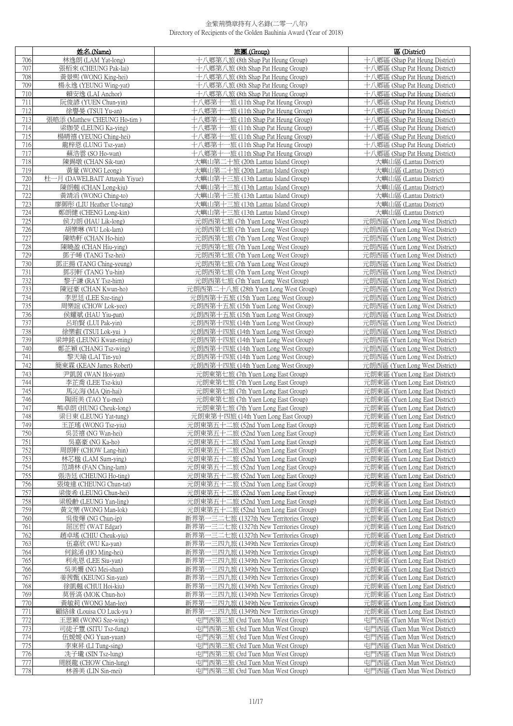|            | 姓名 (Name)                                     | 旅團 (Group)                                                                         | 區 (District)                                                     |
|------------|-----------------------------------------------|------------------------------------------------------------------------------------|------------------------------------------------------------------|
| 706        | 林逸朗 (LAM Yat-long)                            | 十八鄉第八旅 (8th Shap Pat Heung Group)                                                  | 十八鄉區 (Shap Pat Heung District)                                   |
| 707        | 張栢來 (CHEUNG Pak-lai)                          | 十八鄉第八旅 (8th Shap Pat Heung Group)                                                  | 十八鄉區 (Shap Pat Heung District)                                   |
| 708        | 黃景熙 (WONG King-hei)                           | 十八鄉第八旅 (8th Shap Pat Heung Group)                                                  | 十八鄉區 (Shap Pat Heung District)                                   |
| 709        | 楊永逸 (YEUNG Wing-yat)                          | 十八鄉第八旅 (8th Shap Pat Heung Group)                                                  | 十八鄉區 (Shap Pat Heung District)                                   |
| 710<br>711 | 賴安逸 (LAI Anchor)<br>阮俊諺 (YUEN Chun-yin)       | 十八鄉第八旅 (8th Shap Pat Heung Group)<br>十八鄉第十一旅 (11th Shap Pat Heung Group)           | 十八鄉區 (Shap Pat Heung District)<br>十八鄉區 (Shap Pat Heung District) |
| 712        | 徐譽晏 (TSUI Yu-an)                              | 十八鄉第十一旅 (11th Shap Pat Heung Group)                                                | 十八鄉區 (Shap Pat Heung District)                                   |
| 713        | 張皓添 (Matthew CHEUNG Ho-tim)                   | 十八鄉第十一旅 (11th Shap Pat Heung Group)                                                | 十八鄉區 (Shap Pat Heung District)                                   |
| 714        | 梁珈熒 (LEUNG Ka-ying)                           | 十八鄉第十一旅 (11th Shap Pat Heung Group)                                                | 十八鄉區 (Shap Pat Heung District)                                   |
| 715        | 楊晴禧 (YEUNG Ching-hei)                         | 十八鄉第十一旅 (11th Shap Pat Heung Group)                                                | 十八鄉區 (Shap Pat Heung District)                                   |
| 716        | 龍梓恩 (LUNG Tsz-yan)                            | 十八鄉第十一旅 (11th Shap Pat Heung Group)                                                | 十八鄉區 (Shap Pat Heung District)                                   |
| 717        | 蘇浩雲 (SO Ho-wan)                               | 十八鄉第十一旅 (11th Shap Pat Heung Group)                                                | 十八鄉區 (Shap Pat Heung District)                                   |
| 718<br>719 | 陳錫墩 (CHAN Sik-tun)<br>黃量 (WONG Leong)         | 大嶼山第二十旅 (20th Lantau Island Group)<br>大嶼山第二十旅 (20th Lantau Island Group)           | 大嶼山區 (Lantau District)<br>大嶼山區 (Lantau District)                 |
| 720        | 杜一月 (DAWELBAIT Attayah Yiyue)                 | 大嶼山第十三旅 (13th Lantau Island Group)                                                 | 大嶼山區 (Lantau District)                                           |
| 721        | 陳朗翹 (CHAN Long-kiu)                           | 大嶼山第十三旅 (13th Lantau Island Group)                                                 | 大嶼山區 (Lantau District)                                           |
| 722        | 黃靖滔 (WONG Ching-to)                           | 大嶼山第十三旅 (13th Lantau Island Group)                                                 | 大嶼山區 (Lantau District)                                           |
| 723        | 廖御彤 (LIU Heather Ue-tung)                     | 大嶼山第十三旅 (13th Lantau Island Group)                                                 | 大嶼山區 (Lantau District)                                           |
| 724        | 鄭朗健 (CHENG Long-kin)                          | 大嶼山第十三旅 (13th Lantau Island Group)                                                 | 大嶼山區 (Lantau District)                                           |
| 725<br>726 | 侯力朗 (HAU Lik-long)                            | 元朗西第七旅 (7th Yuen Long West Group)                                                  | 元朗西區 (Yuen Long West District)                                   |
| 727        | 胡樂琳 (WU Lok-lam)<br>陳皓軒 (CHAN Ho-hin)         | 元朗西第七旅 (7th Yuen Long West Group)<br>元朗西第七旅 (7th Yuen Long West Group)             | 元朗西區 (Yuen Long West District)<br>元朗西區 (Yuen Long West District) |
| 728        | 陳曉盈 (CHAN Hiu-ying)                           | 元朗西第七旅 (7th Yuen Long West Group)                                                  | 元朗西區 (Yuen Long West District)                                   |
| 729        | 鄧子晞 (TANG Tsz-hei)                            | 元朗西第七旅 (7th Yuen Long West Group)                                                  | 元朗西區 (Yuen Long West District)                                   |
| 730        | 鄧正揚 (TANG Ching-yeung)                        | 元朗西第七旅 (7th Yuen Long West Group)                                                  | 元朗西區 (Yuen Long West District)                                   |
| 731        | 鄧羽軒 (TANG Yu-hin)                             | 元朗西第七旅 (7th Yuen Long West Group)                                                  | 元朗西區 (Yuen Long West District)                                   |
| 732        | 黎子謙 (RAY Tsz-him)                             | 元朗西第七旅 (7th Yuen Long West Group)                                                  | 元朗西區 (Yuen Long West District)                                   |
| 733<br>734 | 陳冠豪 (CHAN Kwun-ho)                            | 元朗西第二十八旅 (28th Yuen Long West Group)                                               | 元朗西區 (Yuen Long West District)                                   |
| 735        | 李思廷 (LEE Sze-ting)<br>周樂誼 (CHOW Lok-yee)      | 元朗西第十五旅 (15th Yuen Long West Group)<br>元朗西第十五旅 (15th Yuen Long West Group)         | 元朗西區 (Yuen Long West District)<br>元朗西區 (Yuen Long West District) |
| 736        | 侯耀斌 (HAU Yiu-pan)                             | 元朗西第十五旅 (15th Yuen Long West Group)                                                | 元朗西區 (Yuen Long West District)                                   |
| 737        | 呂珀賢 (LUI Pak-yin)                             | 元朗西第十四旅 (14th Yuen Long West Group)                                                | 元朗西區 (Yuen Long West District)                                   |
| 738        | 徐樂叡 (TSUI Lok-yui)                            | 元朗西第十四旅 (14th Yuen Long West Group)                                                | 元朗西區 (Yuen Long West District)                                   |
| 739        | 梁坤銘 (LEUNG Kwan-ming)                         | 元朗西第十四旅 (14th Yuen Long West Group)                                                | 元朗西區 (Yuen Long West District)                                   |
| 740        | 鄭芷穎 (CHANG Tsz-wing)                          | 元朗西第十四旅 (14th Yuen Long West Group)                                                | 元朗西區 (Yuen Long West District)                                   |
| 741<br>742 | 黎天瑜 (LAI Tin-yu)<br>簡東霖 (KEAN James Robert)   | 元朗西第十四旅 (14th Yuen Long West Group)<br>元朗西第十四旅 (14th Yuen Long West Group)         | 元朗西區 (Yuen Long West District)<br>元朗西區 (Yuen Long West District) |
| 743        | 尹凱茵 (WAN Hoi-yan)                             | 元朗東第七旅 (7th Yuen Long East Group)                                                  | 元朗東區 (Yuen Long East District)                                   |
| 744        | 李芷喬 (LEE Tsz-kiu)                             | 元朗東第七旅 (7th Yuen Long East Group)                                                  | 元朗東區 (Yuen Long East District)                                   |
| 745        | 馬沁海 (MA Qin-hai)                              | 元朗東第七旅 (7th Yuen Long East Group)                                                  | 元朗東區 (Yuen Long East District)                                   |
| 746        | 陶雨美 (TAO Yu-mei)                              | 元朗東第七旅 (7th Yuen Long East Group)                                                  | 元朗東區 (Yuen Long East District)                                   |
| 747        | 熊卓朗 (HUNG Cheuk-long)                         | 元朗東第七旅 (7th Yuen Long East Group)                                                  | 元朗東區 (Yuen Long East District)                                   |
| 748<br>749 | 梁日東 (LEUNG Yat-tung)<br>王芷瑤 (WONG Tsz-yiu)    | 元朗東第十四旅 (14th Yuen Long East Group)<br>元朗東第五十二旅 (52nd Yuen Long East Group)        | 元朗東區 (Yuen Long East District)<br>元朗東區 (Yuen Long East District) |
| 750        | 吳芸禧 (NG Wan-hei)                              | 元朗東第五十二旅 (52nd Yuen Long East Group)                                               | 元朗東區 (Yuen Long East District)                                   |
| 751        | 吳嘉豪 (NG Ka-ho)                                | 元朗東第五十二旅 (52nd Yuen Long East Group)                                               | 元朗東區 (Yuen Long East District)                                   |
| 752        | 周朗軒 (CHOW Lang-hin)                           | 元朗東第五十二旅 (52nd Yuen Long East Group)                                               | 元朗東區 (Yuen Long East District)                                   |
| 753        | 林芯楹 (LAM Sum-ying)                            | 元朗東第五十二旅 (52nd Yuen Long East Group)                                               | 元朗東區 (Yuen Long East District)                                   |
| 754        | 范靖林 (FAN Ching-lam)                           | 元朗東第五十二旅 (52nd Yuen Long East Group)                                               | 元朗東區 (Yuen Long East District)                                   |
| 755<br>756 | 張浩廷 (CHEUNG Ho-ting)<br>張焌達 (CHEUNG Chun-tat) | 元朗東第五十二旅 (52nd Yuen Long East Group)                                               | 元朗東區 (Yuen Long East District)<br>元朗東區 (Yuen Long East District) |
| 757        | 梁俊希 (LEUNG Chun-hei)                          | 元朗東第五十二旅 (52nd Yuen Long East Group)<br>元朗東第五十二旅 (52nd Yuen Long East Group)       | 元朗東區 (Yuen Long East District)                                   |
| 758        | 梁殷齡 (LEUNG Yan-ling)                          | 元朗東第五十二旅 (52nd Yuen Long East Group)                                               | 元朗東區 (Yuen Long East District)                                   |
| 759        | 黃文樂 (WONG Man-lok)                            | 元朗東第五十二旅 (52nd Yuen Long East Group)                                               | 元朗東區 (Yuen Long East District)                                   |
| 760        | 吳俊燁 (NG Chun-ip)                              | 新界第一三二七旅 (1327th New Territories Group)                                            | 元朗東區 (Yuen Long East District)                                   |
| 761        | 屈匡哲 (WAT Edgar)                               | 新界第一三二七旅 (1327th New Territories Group)                                            | 元朗東區 (Yuen Long East District)                                   |
| 762<br>763 | 趙卓瑤 (CHIU Cheuk-yiu)<br>伍嘉欣 (WU Ka-yan)       | 新界第一三二七旅 (1327th New Territories Group)<br>新界第一三四九旅 (1349th New Territories Group) | 元朗東區 (Yuen Long East District)<br>元朗東區 (Yuen Long East District) |
| 764        | 何銘浠 (HO Ming-hei)                             | 新界第一三四九旅 (1349th New Territories Group)                                            | 元朗東區 (Yuen Long East District)                                   |
| 765        | 利兆恩 (LEE Siu-yan)                             | 新界第一三四九旅 (1349th New Territories Group)                                            | 元朗東區 (Yuen Long East District)                                   |
| 766        | 吳美姍 (NG Mei-shan)                             | 新界第一三四九旅 (1349th New Territories Group)                                            | 元朗東區 (Yuen Long East District)                                   |
| 767        | 姜茜甄 (KEUNG Sin-yan)                           | 新界第一三四九旅 (1349th New Territories Group)                                            | 元朗東區 (Yuen Long East District)                                   |
| 768        | 徐凱翹 (CHUI Hoi-kiu)                            | 新界第一三四九旅 (1349th New Territories Group)                                            | 元朗東區 (Yuen Long East District)                                   |
| 769<br>770 | 莫晉滈 (MOK Chun-ho)<br>黃敏莉 (WONG Man-lee)       | 新界第一三四九旅 (1349th New Territories Group)<br>新界第一三四九旅 (1349th New Territories Group) | 元朗東區 (Yuen Long East District)<br>元朗東區 (Yuen Long East District) |
| 771        | 顧絡緣 (Louisa CO Luck-yu)                       | 新界第一三四九旅 (1349th New Territories Group)                                            | 元朗東區 (Yuen Long East District)                                   |
| 772        | 王思穎 (WONG Sze-wing)                           | 屯門西第三旅 (3rd Tuen Mun West Group)                                                   | 屯門西區 (Tuen Mun West District)                                    |
| 773        | 司徒子豐 (SITU Tsz-fung)                          | 屯門西第三旅 (3rd Tuen Mun West Group)                                                   | 屯門西區 (Tuen Mun West District)                                    |
| 774        | 伍媛媛 (NG Yuan-yuan)                            | 屯門西第三旅 (3rd Tuen Mun West Group)                                                   | 屯門西區 (Tuen Mun West District)                                    |
| 775        | 李東昇 (LI Tung-sing)                            | 屯門西第三旅 (3rd Tuen Mun West Group)                                                   | 屯門西區 (Tuen Mun West District)                                    |
| 776        | 冼子瓏 (SIN Tsz-lung)                            | 屯門西第三旅 (3rd Tuen Mun West Group)                                                   | 屯門西區 (Tuen Mun West District)                                    |
| 777<br>778 | 周展龍 (CHOW Chin-lung)<br>林善美 (LIN Sin-mei)     | 屯門西第三旅 (3rd Tuen Mun West Group)<br>屯門西第三旅 (3rd Tuen Mun West Group)               | 屯門西區 (Tuen Mun West District)<br>屯門西區 (Tuen Mun West District)   |
|            |                                               |                                                                                    |                                                                  |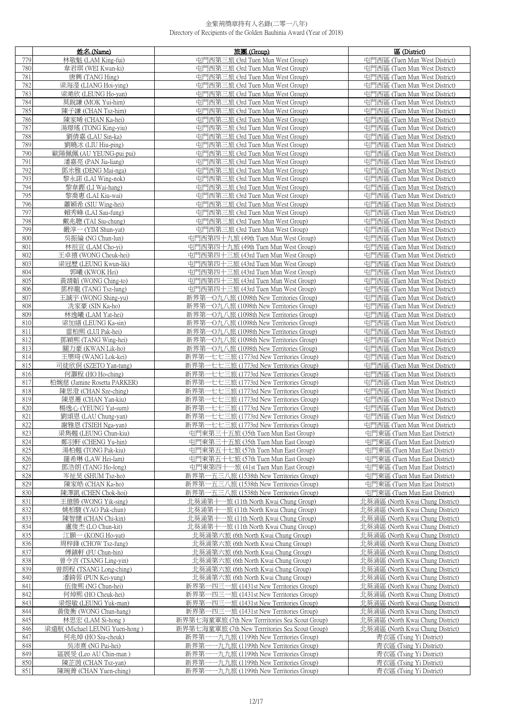|            | 姓名 (Name)                                     | 旅團 (Group)                                                                                | 區 (District)                                                         |
|------------|-----------------------------------------------|-------------------------------------------------------------------------------------------|----------------------------------------------------------------------|
| 779        | 林敬魁 (LAM King-fui)                            | 屯門西第三旅 (3rd Tuen Mun West Group)                                                          | 屯門西區 (Tuen Mun West District)                                        |
| 780        | 韋君琪 (WEI Kwan-ki)                             | 屯門西第三旅 (3rd Tuen Mun West Group)                                                          | 屯門西區 (Tuen Mun West District)                                        |
| 781        | 唐興 (TANG Hing)                                | 屯門西第三旅 (3rd Tuen Mun West Group)                                                          | 屯門西區 (Tuen Mun West District)                                        |
| 782        | 梁海瀅 (LIANG Hoi-ying)                          | 屯門西第三旅 (3rd Tuen Mun West Group)                                                          | 屯門西區 (Tuen Mun West District)                                        |
| 783        | 梁澔欣 (LEUNG Ho-yan)                            | 屯門西第三旅 (3rd Tuen Mun West Group)                                                          | 屯門西區 (Tuen Mun West District)                                        |
| 784        | 莫銳謙 (MOK Yui-him)                             | 屯門西第三旅 (3rd Tuen Mun West Group)                                                          | 屯門西區 (Tuen Mun West District)                                        |
| 785        | 陳子謙 (CHAN Tsz-him)                            | 屯門西第三旅 (3rd Tuen Mun West Group)                                                          | 屯門西區 (Tuen Mun West District)                                        |
| 786        | 陳家晞 (CHAN Ka-hei)                             | 屯門西第三旅 (3rd Tuen Mun West Group)                                                          | 屯門西區 (Tuen Mun West District)                                        |
| 787        | 湯璟瑤 (TONG King-yiu)                           | 屯門西第三旅 (3rd Tuen Mun West Group)                                                          | 屯門西區 (Tuen Mun West District)                                        |
| 788<br>789 | 劉倩嘉 (LAU Sin-ka)                              | 屯門西第三旅 (3rd Tuen Mun West Group)<br>屯門西第三旅 (3rd Tuen Mun West Group)                      | 屯門西區 (Tuen Mun West District)<br>屯門西區 (Tuen Mun West District)       |
| 790        | 劉曉冰 (LIU Hiu-ping)<br>歐陽佩佩 (AU YEUNG-pui pui) | 屯門西第三旅 (3rd Tuen Mun West Group)                                                          | 屯門西區 (Tuen Mun West District)                                        |
| 791        | 潘嘉亮 (PAN Jia-liang)                           | 屯門西第三旅 (3rd Tuen Mun West Group)                                                          | 屯門西區 (Tuen Mun West District)                                        |
| 792        | 鄧米雅 (DENG Mai-nga)                            | 屯門西第三旅 (3rd Tuen Mun West Group)                                                          | 屯門西區 (Tuen Mun West District)                                        |
| 793        | 黎永諾 (LAI Wing-nok)                            | 屯門西第三旅 (3rd Tuen Mun West Group)                                                          | 屯門西區 (Tuen Mun West District)                                        |
| 794        | 黎韋鏗 (LI Wai-hang)                             | 屯門西第三旅 (3rd Tuen Mun West Group)                                                          | 屯門西區 (Tuen Mun West District)                                        |
| 795        | 黎喬惠 (LAI Kiu-wai)                             | 屯門西第三旅 (3rd Tuen Mun West Group)                                                          | 屯門西區 (Tuen Mun West District)                                        |
| 796        | 蕭穎希 (SIU Wing-hei)                            | 屯門西第三旅 (3rd Tuen Mun West Group)                                                          | 屯門西區 (Tuen Mun West District)                                        |
| 797        | 賴秀峰 (LAI Sau-fung)                            | 屯門西第三旅 (3rd Tuen Mun West Group)                                                          | 屯門西區 (Tuen Mun West District)                                        |
| 798        | 戴兆聰 (TAI Siu-chung)                           | 屯門西第三旅 (3rd Tuen Mun West Group)                                                          | 屯門西區 (Tuen Mun West District)                                        |
| 799        | 嚴淳一 (YIM Shun-yat)                            | 屯門西第三旅 (3rd Tuen Mun West Group)                                                          | 屯門西區 (Tuen Mun West District)                                        |
| 800        | 吳振綸 (NG Chun-lun)                             | 屯門西第四十九旅 (49th Tuen Mun West Group)                                                       | 屯門西區 (Tuen Mun West District)                                        |
| 801<br>802 | 林祖宜 (LAM Cho-vi)<br>王卓禧 (WONG Cheuk-hei)      | 屯門西第四十九旅 (49th Tuen Mun West Group)<br>屯門西第四十三旅 (43rd Tuen Mun West Group)                | 屯門西區 (Tuen Mun West District)<br>屯門西區 (Tuen Mun West District)       |
| 803        | 梁冠歷 (LEUNG Kwun-lik)                          | 屯門西第四十三旅 (43rd Tuen Mun West Group)                                                       | 屯門西區 (Tuen Mun West District)                                        |
| 804        | 郭曦 (KWOK Hei)                                 | 屯門西第四十三旅 (43rd Tuen Mun West Group)                                                       | 屯門西區 (Tuen Mun West District)                                        |
| 805        | 黃靖韜 (WONG Ching-to)                           | 屯門西第四十三旅 (43rd Tuen Mun West Group)                                                       | 屯門西區 (Tuen Mun West District)                                        |
| 806        | 鄧梓龍 (TANG Tsz-lung)                           | 屯門西第四十三旅 (43rd Tuen Mun West Group)                                                       | 屯門西區 (Tuen Mun West District)                                        |
| 807        | 王誠宇 (WONG Shing-yu)                           | 新界第一O九八旅 (1098th New Territories Group)                                                   | 屯門西區 (Tuen Mun West District)                                        |
| 808        | 冼家豪 (SIN Ka-ho)                               | 新界第一O九八旅 (1098th New Territories Group)                                                   | 屯門西區 (Tuen Mun West District)                                        |
| 809        | 林逸曦 (LAM Yat-hei)                             | 新界第一O九八旅 (1098th New Territories Group)                                                   | 屯門西區 (Tuen Mun West District)                                        |
| 810<br>811 | 梁加繕 (LEUNG Ka-sin)<br>雷柏熙 (LUI Pak-hei)       | 新界第一O九八旅 (1098th New Territories Group)<br>新界第一O九八旅 (1098th New Territories Group)        | 屯門西區 (Tuen Mun West District)<br>屯門西區 (Tuen Mun West District)       |
| 812        | 鄧穎熙 (TANG Wing-hei)                           | 新界第一O九八旅 (1098th New Territories Group)                                                   | 屯門西區 (Tuen Mun West District)                                        |
| 813        | 關力豪 (KWAN Lik-ho)                             | 新界第一O九八旅 (1098th New Territories Group)                                                   | 屯門西區 (Tuen Mun West District)                                        |
| 814        | 王樂琦 (WANG Lok-kei)                            | 一七七三旅 (1773rd New Territories Group)<br>新界第-                                              | 屯門西區 (Tuen Mun West District)                                        |
| 815        | 司徒欣侗 (SZETO Yan-tung)                         | 新界第一七七三旅 (1773rd New Territories Group)                                                   | 屯門西區 (Tuen Mun West District)                                        |
| 816        | 何灝程 (HO Ho-ching)                             | 新界第一七七三旅 (1773rd New Territories Group)                                                   | 屯門西區 (Tuen Mun West District)                                        |
| 817        | 柏婉慈 (Jamine Rosetta PARKER)                   | 新界第<br>一七七三旅 (1773rd New Territories Group)<br>新界第-                                       | 屯門西區 (Tuen Mun West District)                                        |
| 818<br>819 | 陳思澄 (CHAN Sze-ching)<br>陳恩蕎 (CHAN Yan-kiu)    | -七七三旅 (1773rd New Territories Group)<br>-七七三旅 (1773rd New Territories Group)<br>新界第       | 屯門西區 (Tuen Mun West District)<br>屯門西區 (Tuen Mun West District)       |
| 820        | 楊逸心 (YEUNG Yat-sum)                           | 新界第一七七三旅 (1773rd New Territories Group)                                                   | 屯門西區 (Tuen Mun West District)                                        |
| 821        | 劉頌恩 (LAU Chung-yan)                           | 新界第-<br>一七七三旅 (1773rd New Territories Group)                                              | 屯門西區 (Tuen Mun West District)                                        |
| 822        | 謝雅恩 (TSIEH Nga-yan)                           | 新界第一七七三旅 (1773rd New Territories Group)                                                   | 屯門西區 (Tuen Mun West District)                                        |
| 823        | 梁雋翹 (LEUNG Chun-kiu)                          | 屯門東第三十五旅 (35th Tuen Mun East Group)                                                       | 屯門東區 (Tuen Mun East District)                                        |
| 824        | 鄭羽軒 (CHENG Yu-hin)                            | 屯門東第三十五旅 (35th Tuen Mun East Group)                                                       | 屯門東區 (Tuen Mun East District)                                        |
| 825<br>826 | 湯柏翹 (TONG Pak-kiu)<br>羅希琳 (LAW Hei-lam)       | 屯門東第五十七旅 (57th Tuen Mun East Group)<br>屯門東第五十七旅 (57th Tuen Mun East Group)                | 屯門東區 (Tuen Mun East District)<br>屯門東區 (Tuen Mun East District)       |
| 827        | 鄧浩朗 (TANG Ho-long)                            | 屯門東第四十一旅 (41st Tuen Mun East Group)                                                       | 屯門東區 (Tuen Mun East District)                                        |
| 828        | 岑祉昊 (SHUM Tsz-ho)                             | 新界第一五三八旅 (1538th New Territories Group)                                                   | 屯門東區 (Tuen Mun East District)                                        |
| 829        | 陳家皓 (CHAN Ka-ho)                              | 新界第一五三八旅 (1538th New Territories Group)                                                   | 屯門東區 (Tuen Mun East District)                                        |
| 830        | 陳澤凱 (CHEN Chok-hoi)                           | 新界第一五三八旅 (1538th New Territories Group)                                                   | 屯門東區 (Tuen Mun East District)                                        |
| 831        | 王億勝 (WONG Yik-sing)                           | 北葵涌第十一旅 (11th North Kwai Chung Group)                                                     | 北葵涌區 (North Kwai Chung District)                                     |
| 832<br>833 | 姚柏駿 (YAO Pak-chun)<br>陳智健 (CHAN Chi-kin)      | 北葵涌第十一旅 (11th North Kwai Chung Group)<br>北葵涌第十一旅 (11th North Kwai Chung Group)            | 北葵涌區 (North Kwai Chung District)<br>北葵涌區 (North Kwai Chung District) |
| 834        | 盧俊杰 (LO Chun-kit)                             | 北葵涌第十一旅 (11th North Kwai Chung Group)                                                     | 北葵涌區 (North Kwai Chung District)                                     |
| 835        | 江顥一 (KONG Ho-yat)                             | 北葵涌第六旅 (6th North Kwai Chung Group)                                                       | 北葵涌區 (North Kwai Chung District)                                     |
| 836        | 周梓鋒 (CHOW Tsz-fung)                           | 北葵涌第六旅 (6th North Kwai Chung Group)                                                       | 北葵涌區 (North Kwai Chung District)                                     |
| 837        | 傅鎮軒 (FU Chun-hin)                             | 北葵涌第六旅 (6th North Kwai Chung Group)                                                       | 北葵涌區 (North Kwai Chung District)                                     |
| 838        | 曾令言 (TSANG Ling-yin)                          | 北葵涌第六旅 (6th North Kwai Chung Group)                                                       | 北葵涌區 (North Kwai Chung District)                                     |
| 839        | 曾朗程 (TSANG Long-ching)                        | 北葵涌第六旅 (6th North Kwai Chung Group)                                                       | 北葵涌區 (North Kwai Chung District)                                     |
| 840<br>841 | 潘錡蓉 (PUN Kei-yung)<br>伍俊熙 (NG Chun-hei)       | 北葵涌第六旅 (6th North Kwai Chung Group)<br>新界第一四三一旅 (1431st New Territories Group)            | 北葵涌區 (North Kwai Chung District)<br>北葵涌區 (North Kwai Chung District) |
| 842        | 何焯熙 (HO Cheuk-hei)                            | -四三一旅 (1431st New Territories Group)<br>新界第                                               | 北葵涌區 (North Kwai Chung District)                                     |
| 843        | 梁煜敏 (LEUNG Yuk-man)                           | 新界第一四三一旅 (1431st New Territories Group)                                                   | 北葵涌區 (North Kwai Chung District)                                     |
| 844        | 黃俊衡 (WONG Chun-hang)                          | 新界第一四三一旅 (1431st New Territories Group)                                                   | 北葵涌區 (North Kwai Chung District)                                     |
| 845        | 林思宏 (LAM Si-hong)                             | 新界第七海童軍旅 (7th New Terrritories Sea Scout Group)                                           | 北葵涌區 (North Kwai Chung District)                                     |
| 846        | 梁遠航 (Michael LEUNG Yuen-hong)                 | 新界第七海童軍旅 (7th New Terrritories Sea Scout Group)                                           | 北葵涌區 (North Kwai Chung District)                                     |
| 847        | 何兆焯 (HO Siu-cheuk)                            | 新界第-<br>一一九九旅 (1199th New Territories Group)                                              | 青衣區 (Tsing Yi District)                                              |
| 848<br>849 | 吳沛熹 (NG Pui-hei)<br>區展旻 (Leo AU Chin-man)     | 新界第<br>-一九九旅 (1199th New Territories Group)<br>新界第<br>一九九旅 (1199th New Territories Group) | 青衣區 (Tsing Yi District)<br>青衣區 (Tsing Yi District)                   |
| 850        | 陳芷茵 (CHAN Tsz-yan)                            | -九九旅 (1199th New Territories Group)<br>新界第                                                | 青衣區 (Tsing Yi District)                                              |
| 851        | 陳琬菁 (CHAN Yuen-ching)                         | 新界第一一九九旅 (1199th New Territories Group)                                                   | 青衣區 (Tsing Yi District)                                              |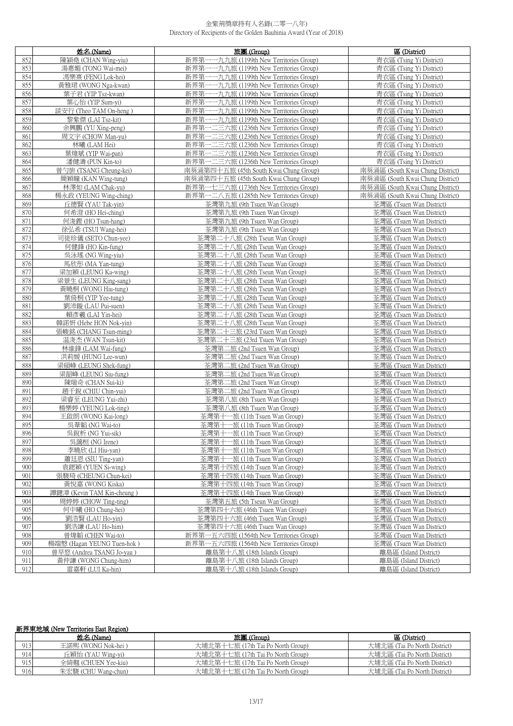|     | 姓名 (Name)                  | 旅團 (Group)                                   | 區 (District)                     |
|-----|----------------------------|----------------------------------------------|----------------------------------|
| 852 | 陳穎堯 (CHAN Wing-yiu)        | 新界第<br>-九九旅 (1199th New Territories Group)   | 青衣區 (Tsing Yi District)          |
| 853 | 湯惠媚 (TONG Wai-mei)         | 新界第<br>一一九九旅 (1199th New Territories Group)  | 青衣區 (Tsing Yi District)          |
| 854 | 馮樂熹 (FENG Lok-hei)         | 新界第一一九九旅 (1199th New Territories Group)      | 青衣區 (Tsing Yi District)          |
| 855 | 黃雅珺 (WONG Nga-kwan)        | 新界第-<br>一一九九旅 (1199th New Territories Group) | 青衣區 (Tsing Yi District)          |
| 856 | 葉子君 (YIP Tsz-kwan)         | 新界第一一九九旅 (1199th New Territories Group)      | 青衣區 (Tsing Yi District)          |
| 857 | 葉心怡 (YIP Sum-vi)           | 新界第-<br>一一九九旅 (1199th New Territories Group) | 青衣區 (Tsing Yi District)          |
| 858 | 談安行 (Theo TAM On-heng)     | 新界第<br>一一九九旅 (1199th New Territories Group)  | 青衣區 (Tsing Yi District)          |
| 859 | 黎紫傑 (LAI Tsz-kit)          | 新界第-<br>一一九九旅 (1199th New Territories Group) | 青衣區 (Tsing Yi District)          |
| 860 | 余興鵬 (YU Xing-peng)         | 新界第-<br>一二三六旅 (1236th New Territories Group) | 青衣區 (Tsing Yi District)          |
| 861 | 周文字 (CHOW Man-yu)          | 新界第一二三六旅 (1236th New Territories Group)      | 青衣區 (Tsing Yi District)          |
| 862 | 林曦 (LAM Hei)               | 一二三六旅 (1236th New Territories Group)<br>新界第- | 青衣區 (Tsing Yi District)          |
| 863 | 葉煒斌 (YIP Wai-pan)          | 新界第一二三六旅 (1236th New Territories Group)      | 青衣區 (Tsing Yi District)          |
| 864 | 潘健濤 (PUN Kin-to)           | 新界第<br>一二三六旅 (1236th New Territories Group)  | 青衣區 (Tsing Yi District)          |
| 865 | 曾勺旂 (TSANG Cheung-kei)     | 南葵涌第四十五旅 (45th South Kwai Chung Group)       | 南葵涌區 (South Kwai Chung District) |
| 866 | 簡穎瞳 (KAN Wing-tung)        | 南葵涌第四十五旅 (45th South Kwai Chung Group)       | 南葵涌區 (South Kwai Chung District) |
| 867 | 林澤如 (LAM Chak-yu)          | 新界第一七三六旅 (1736th New Territories Group)      | 南葵涌區 (South Kwai Chung District) |
| 868 | 楊永政 (YEUNG Wing-ching)     | 新界第一二八五旅 (1285th New Territories Group)      | 南葵涌區 (South Kwai Chung District) |
| 869 | 丘德賢 (YAU Tak-yin)          | 荃灣第九旅 (9th Tsuen Wan Group)                  | 荃灣區 (Tsuen Wan District)         |
| 870 | 何希澄 (HO Hei-ching)         | 荃灣第九旅 (9th Tsuen Wan Group)                  | 荃灣區 (Tsuen Wan District)         |
| 871 | 何浚鏗 (HO Tsun-hang)         | 荃灣第九旅 (9th Tsuen Wan Group)                  | 荃灣區 (Tsuen Wan District)         |
| 872 | 徐弘希 (TSUI Wang-hei)        | 荃灣第九旅 (9th Tsuen Wan Group)                  | 荃灣區 (Tsuen Wan District)         |
| 873 | 司徒珍儀 (SETO Chun-yee)       | 荃灣第二十八旅 (28th Tseun Wan Group)               | 荃灣區 (Tsuen Wan District)         |
| 874 | 何健鋒 (HO Kin-fung)          | 荃灣第二十八旅 (28th Tseun Wan Group)               | 荃灣區 (Tsuen Wan District)         |
| 875 | 吳泳瑤 (NG Wing-yiu)          | 荃灣第二十八旅 (28th Tseun Wan Group)               | 荃灣區 (Tsuen Wan District)         |
| 876 | 馬欣彤 (MA Yan-tung)          | 荃灣第二十八旅 (28th Tseun Wan Group)               | 荃灣區 (Tsuen Wan District)         |
| 877 | 梁加穎 (LEUNG Ka-wing)        | 荃灣第二十八旅 (28th Tseun Wan Group)               | 荃灣區 (Tsuen Wan District)         |
| 878 | 梁景生 (LEUNG King-sang)      | 荃灣第二十八旅 (28th Tseun Wan Group)               | 荃灣區 (Tsuen Wan District)         |
| 879 | 黃曉桐 (WONG Hiu-tung)        | 荃灣第二十八旅 (28th Tseun Wan Group)               | 荃灣區 (Tsuen Wan District)         |
| 880 | 葉倚桐 (YIP Yee-tung)         | 荃灣第二十八旅 (28th Tseun Wan Group)               | 荃灣區 (Tsuen Wan District)         |
| 881 | 劉沛鏇 (LAU Pui-suen)         | 荃灣第二十八旅 (28th Tseun Wan Group)               | 荃灣區 (Tsuen Wan District)         |
| 882 | 賴彥羲 (LAI Yin-hei)          | 荃灣第二十八旅 (28th Tseun Wan Group)               | 荃灣區 (Tsuen Wan District)         |
| 883 | 韓諾妍 (Hebe HON Nok-yin)     | 荃灣第二十八旅 (28th Tseun Wan Group)               | 荃灣區 (Tsuen Wan District)         |
| 884 | 張峻銘 (CHANG Tsun-ming)      | 荃灣第二十三旅 (23rd Tsuen Wan Group)               | 荃灣區 (Tsuen Wan District)         |
| 885 | 温浚杰 (WAN Tsun-kit)         | 荃灣第二十三旅 (23rd Tsuen Wan Group)               | 荃灣區 (Tsuen Wan District)         |
| 886 | 林維鋒 (LAM Wai-fung)         | 荃灣第二旅 (2nd Tsuen Wan Group)                  | 荃灣區 (Tsuen Wan District)         |
| 887 | 洪莉媛 (HUNG Lee-wun)         | 荃灣第二旅 (2nd Tsuen Wan Group)                  | 荃灣區 (Tsuen Wan District)         |
| 888 | 梁碩峰 (LEUNG Shek-fung)      | 荃灣第二旅 (2nd Tsuen Wan Group)                  | 荃灣區 (Tsuen Wan District)         |
| 889 | 梁韶峰 (LEUNG Siu-fung)       | 荃灣第二旅 (2nd Tsuen Wan Group)                  | 荃灣區 (Tsuen Wan District)         |
| 890 | 陳瑞奇 (CHAN Sui-ki)          | 荃灣第二旅 (2nd Tsuen Wan Group)                  | 荃灣區 (Tsuen Wan District)         |
| 891 | 趙千銳 (CHIU Chin-yui)        | 荃灣第二旅 (2nd Tsuen Wan Group)                  | 荃灣區 (Tsuen Wan District)         |
| 892 | 梁睿至 (LEUNG Yui-zhi)        | 荃灣第八旅 (8th Tsuen Wan Group)                  | 荃灣區 (Tsuen Wan District)         |
| 893 | 楊樂婷 (YEUNG Lok-ting)       | 荃灣第八旅 (8th Tsuen Wan Group)                  | 荃灣區 (Tsuen Wan District)         |
| 894 | 王啟朗 (WONG Kai-long)        | 荃灣第十一旅 (11th Tsuen Wan Group)                | 荃灣區 (Tsuen Wan District)         |
| 895 | 吳葦韜 (NG Wai-to)            | 荃灣第十一旅 (11th Tsuen Wan Group)                | 荃灣區 (Tsuen Wan District)         |
| 896 | 吳銳析 (NG Yui-sik)           | 荃灣第十一旅 (11th Tsuen Wan Group)                | 荃灣區 (Tsuen Wan District)         |
| 897 | 吳藹桓 (NG Irene)             | 荃灣第十一旅 (11th Tsuen Wan Group)                | 荃灣區 (Tsuen Wan District)         |
| 898 | 李曉欣 (LI Hiu-van)           | 荃灣第十一旅 (11th Tsuen Wan Group)                | 荃灣區 (Tsuen Wan District)         |
| 899 | 蕭廷恩 (SIU Ting-yan)         | 荃灣第十一旅 (11th Tsuen Wan Group)                | 荃灣區 (Tsuen Wan District)         |
| 900 | 袁鍶穎 (YUEN Si-wing)         | 荃灣第十四旅 (14th Tsuen Wan Group)                | 荃灣區 (Tsuen Wan District)         |
| 901 | 張駿琦 (CHEUNG Chun-kei)      | 荃灣第十四旅 (14th Tsuen Wan Group)                | 荃灣區 (Tsuen Wan District)         |
| 902 | 黃悅嘉 (WONG Kiska)           | 荃灣第十四旅 (14th Tsuen Wan Group)                | 荃灣區 (Tsuen Wan District)         |
| 903 | 譚鍵漳 (Kevin TAM Kin-cheung) | 荃灣第十四旅 (14th Tsuen Wan Group)                | 荃灣區 (Tsuen Wan District)         |
| 904 | 周婷婷 (CHOW Ting-ting)       | 荃灣第五旅 (5th Tseun Wan Group)                  | 荃灣區 (Tsuen Wan District)         |
| 905 | 何中曦 (HO Chung-hei)         | 荃灣第四十六旅 (46th Tsuen Wan Group)               | 荃灣區 (Tsuen Wan District)         |
| 906 | 劉浩賢 (LAU Ho-yin)           | 荃灣第四十六旅 (46th Tsuen Wan Group)               | 荃灣區 (Tsuen Wan District)         |
| 907 | 劉浩謙 (LAU Ho-him)           | 荃灣第四十六旅 (46th Tsuen Wan Group)               | 荃灣區 (Tsuen Wan District)         |
| 908 | 曾煒韜 (CHEN Wai-to)          | 新界第一五六四旅 (1564th New Territories Group)      | 荃灣區 (Tsuen Wan District)         |
| 909 | 楊端慤 (Hagan YEUNG Tuen-hok) | 新界第一五六四旅 (1564th New Territories Group)      | 荃灣區 (Tsuen Wan District)         |
| 910 | 曾早悠 (Andrea TSANG Jo-yau)  | 離島第十八旅 (18th Islands Group)                  | 離島區 (Island District)            |
| 911 | 黃仲謙 (WONG Chung-him)       | 離島第十八旅 (18th Islands Group)                  | 離島區 (Island District)            |
| 912 | 雷嘉軒 (LUI Ka-hin)           | 離島第十八旅 (18th Islands Group)                  | 離島區 (Island District)            |

# 新界東地域 (New Territories East Region)

|     | 姓名 (Name)           | 旅團 (Group)                        | 區 (District)                 |
|-----|---------------------|-----------------------------------|------------------------------|
| 913 | 王諾熙 (WONG Nok-hei ) | 大埔北第十七旅 (17th Tai Po North Group) | 大埔北區 (Tai Po North District) |
| 914 | 丘穎怡 (YAU Wing-yi)   | 大埔北第十七旅 (17th Tai Po North Group) | 大埔北區 (Tai Po North District) |
| 915 | 全綺翹 (CHUEN Yee-kiu) | 大埔北第十七旅 (17th Tai Po North Group) | 大埔北區 (Tai Po North District) |
| 916 | 朱宏駿 (CHU Wang-chun) | 大埔北第十七旅 (17th Tai Po North Group) | 大埔北區 (Tai Po North District) |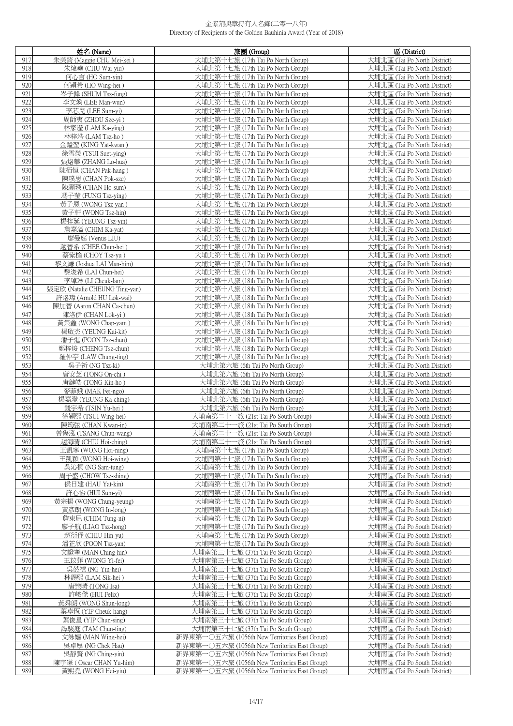|            | 姓名 (Name)                                     | 旅團 (Group)                                                                                     | 區 (District)                                                 |
|------------|-----------------------------------------------|------------------------------------------------------------------------------------------------|--------------------------------------------------------------|
| 917        | 朱美錡 (Maggie CHU Mei-kei)                      | 大埔北第十七旅 (17th Tai Po North Group)                                                              | 大埔北區 (Tai Po North District)                                 |
| 918        | 朱煒堯 (CHU Wai-yiu)                             | 大埔北第十七旅 (17th Tai Po North Group)                                                              | 大埔北區 (Tai Po North District)                                 |
| 919        | 何心言 (HO Sum-yin)                              | 大埔北第十七旅 (17th Tai Po North Group)                                                              | 大埔北區 (Tai Po North District)                                 |
| 920        | 何穎希 (HO Wing-hei)                             | 大埔北第十七旅 (17th Tai Po North Group)                                                              | 大埔北區 (Tai Po North District)                                 |
| 921        | 岑子鋒 (SHUM Tsz-fung)                           | 大埔北第十七旅 (17th Tai Po North Group)                                                              | 大埔北區 (Tai Po North District)                                 |
| 922<br>923 | 李文煥 (LEE Man-wun)<br>李芯兒 (LEE Sum-vi)         | 大埔北第十七旅 (17th Tai Po North Group)<br>大埔北第十七旅 (17th Tai Po North Group)                         | 大埔北區 (Tai Po North District)<br>大埔北區 (Tai Po North District) |
| 924        | 周師夷 (ZHOU Sze-vi)                             | 大埔北第十七旅 (17th Tai Po North Group)                                                              | 大埔北區 (Tai Po North District)                                 |
| 925        | 林家瀅 (LAM Ka-ying)                             | 大埔北第十七旅 (17th Tai Po North Group)                                                              | 大埔北區 (Tai Po North District)                                 |
| 926        | 林梓浩 (LAM Tsz-ho)                              | 大埔北第十七旅 (17th Tai Po North Group)                                                              | 大埔北區 (Tai Po North District)                                 |
| 927        | 金鎰堃 (KING Yat-kwan)                           | 大埔北第十七旅 (17th Tai Po North Group)                                                              | 大埔北區 (Tai Po North District)                                 |
| 928        | 徐雪榮 (TSUI Suet-ving)                          | 大埔北第十七旅 (17th Tai Po North Group)                                                              | 大埔北區 (Tai Po North District)                                 |
| 929        | 張烙華 (ZHANG Lo-hua)                            | 大埔北第十七旅 (17th Tai Po North Group)                                                              | 大埔北區 (Tai Po North District)                                 |
| 930        | 陳栢恒 (CHAN Pak-hang)                           | 大埔北第十七旅 (17th Tai Po North Group)                                                              | 大埔北區 (Tai Po North District)                                 |
| 931        | 陳璞思 (CHAN Pok-sze)                            | 大埔北第十七旅 (17th Tai Po North Group)                                                              | 大埔北區 (Tai Po North District)                                 |
| 932<br>933 | 陳灝琛 (CHAN Ho-sum)<br>馮子莹 (FUNG Tsz-ving)      | 大埔北第十七旅 (17th Tai Po North Group)<br>大埔北第十七旅 (17th Tai Po North Group)                         | 大埔北區 (Tai Po North District)<br>大埔北區 (Tai Po North District) |
| 934        | 黃子恩 (WONG Tsz-yan)                            | 大埔北第十七旅 (17th Tai Po North Group)                                                              | 大埔北區 (Tai Po North District)                                 |
| 935        | 黃子軒 (WONG Tsz-hin)                            | 大埔北第十七旅 (17th Tai Po North Group)                                                              | 大埔北區 (Tai Po North District)                                 |
| 936        | 楊梓延 (YEUNG Tsz-vin)                           | 大埔北第十七旅 (17th Tai Po North Group)                                                              | 大埔北區 (Tai Po North District)                                 |
| 937        | 詹嘉溢 (CHIM Ka-yat)                             | 大埔北第十七旅 (17th Tai Po North Group)                                                              | 大埔北區 (Tai Po North District)                                 |
| 938        | 廖曼庭 (Venus LIU)                               | 大埔北第十七旅 (17th Tai Po North Group)                                                              | 大埔北區 (Tai Po North District)                                 |
| 939        | 趙晉希 (CHEE Chun-hei)                           | 大埔北第十七旅 (17th Tai Po North Group)                                                              | 大埔北區 (Tai Po North District)                                 |
| 940        | 蔡紫榆 (CHOY Tsz-yu)                             | 大埔北第十七旅 (17th Tai Po North Group)                                                              | 大埔北區 (Tai Po North District)                                 |
| 941        | 黎文謙 (Joshua LAI Man-him)                      | 大埔北第十七旅 (17th Tai Po North Group)                                                              | 大埔北區 (Tai Po North District)                                 |
| 942<br>943 | 黎浚希 (LAI Chun-hei)<br>李琸琳 (LI Cheuk-lam)      | 大埔北第十七旅 (17th Tai Po North Group)<br>大埔北第十八旅 (18th Tai Po North Group)                         | 大埔北區 (Tai Po North District)<br>大埔北區 (Tai Po North District) |
| 944        | 張定欣 (Natalie CHEUNG Ting-yan)                 | 大埔北第十八旅 (18th Tai Po North Group)                                                              | 大埔北區 (Tai Po North District)                                 |
| 945        | 許洛瑋 (Arnold HU Lok-wai)                       | 大埔北第十八旅 (18th Tai Po North Group)                                                              | 大埔北區 (Tai Po North District)                                 |
| 946        | 陳加晉 (Aaron CHAN Ca-chun)                      | 大埔北第十八旅 (18th Tai Po North Group)                                                              | 大埔北區 (Tai Po North District)                                 |
| 947        | 陳洛伊 (CHAN Lok-yi)                             | 大埔北第十八旅 (18th Tai Po North Group)                                                              | 大埔北區 (Tai Po North District)                                 |
| 948        | 黃集鑫 (WONG Chap-yam)                           | 大埔北第十八旅 (18th Tai Po North Group)                                                              | 大埔北區 (Tai Po North District)                                 |
| 949        | 楊啟杰 (YEUNG Kai-kit)                           | 大埔北第十八旅 (18th Tai Po North Group)                                                              | 大埔北區 (Tai Po North District)                                 |
| 950        | 潘子進 (POON Tsz-chun)                           | 大埔北第十八旅 (18th Tai Po North Group)                                                              | 大埔北區 (Tai Po North District)                                 |
| 951<br>952 | 鄭梓焌 (CHENG Tsz-chun)<br>羅仲亭 (LAW Chung-ting)  | 大埔北第十八旅 (18th Tai Po North Group)<br>大埔北第十八旅 (18th Tai Po North Group)                         | 大埔北區 (Tai Po North District)<br>大埔北區 (Tai Po North District) |
| 953        | 吳子祈 (NG Tsz-ki)                               | 大埔北第六旅 (6th Tai Po North Group)                                                                | 大埔北區 (Tai Po North District)                                 |
| 954        | 唐安芝 (TONG On-chi)                             | 大埔北第六旅 (6th Tai Po North Group)                                                                | 大埔北區 (Tai Po North District)                                 |
| 955        | 唐鍵皓 (TONG Kin-ho)                             | 大埔北第六旅 (6th Tai Po North Group)                                                                | 大埔北區 (Tai Po North District)                                 |
| 956        | 麥菲娥 (MAK Fei-ngo)                             | 大埔北第六旅 (6th Tai Po North Group)                                                                | 大埔北區 (Tai Po North District)                                 |
| 957        | 楊嘉澄 (YEUNG Ka-ching)                          | 大埔北第六旅 (6th Tai Po North Group)                                                                | 大埔北區 (Tai Po North District)                                 |
| 958        | 錢宇希 (TSIN Yu-hei)                             | 大埔北第六旅 (6th Tai Po North Group)                                                                | 大埔北區 (Tai Po North District)                                 |
| 959        | 徐穎熙 (TSUI Wing-hei)                           | 大埔南第二十一旅 (21st Tai Po South Group)                                                             | 大埔南區 (Tai Po South District)                                 |
| 960        | 陳筠弦 (CHAN Kwan-in)                            | 大埔南第二十一旅 (21st Tai Po South Group)                                                             | 大埔南區 (Tai Po South District)                                 |
| 961<br>962 | 曾雋泓 (TSANG Chun-wang)<br>趙海晴 (CHIU Hoi-ching) | 大埔南第二十一旅 (21st Tai Po South Group)<br>大埔南第二十一旅 (21st Tai Po South Group)                       | 大埔南區 (Tai Po South District)<br>大埔南區 (Tai Po South District) |
| 963        | 王凱寧 (WONG Hoi-ning)                           | 大埔南第十七旅 (17th Tai Po South Group)                                                              | 大埔南區 (Tai Po South District)                                 |
| 964        | 王凱穎 (WONG Hoi-wing)                           | 大埔南第十七旅 (17th Tai Po South Group)                                                              | 大埔南區 (Tai Po South District)                                 |
| 965        | 吳沁桐 (NG Sam-tung)                             | 大埔南第十七旅 (17th Tai Po South Group)                                                              | 大埔南區 (Tai Po South District)                                 |
| 966        | 周子盛 (CHOW Tsz-shing)                          | 大埔南第十七旅 (17th Tai Po South Group)                                                              | 大埔南區 (Tai Po South District)                                 |
| 967        | 侯日建 (HAU Yat-kin)                             | 大埔南第十七旅 (17th Tai Po South Group)                                                              | 大埔南區 (Tai Po South District)                                 |
| 968        | 許心怡 (HUI Sum-yi)                              | 大埔南第十七旅 (17th Tai Po South Group)                                                              | 大埔南區 (Tai Po South District)                                 |
| 969<br>970 | 黃宗揚 (WONG Chung-yeung)<br>黃彥朗 (WONG In-long)  | 大埔南第十七旅 (17th Tai Po South Group)<br>大埔南第十七旅 (17th Tai Po South Group)                         | 大埔南區 (Tai Po South District)<br>大埔南區 (Tai Po South District) |
| 971        | 詹東尼 (CHIM Tung-ni)                            | 大埔南第十七旅 (17th Tai Po South Group)                                                              | 大埔南區 (Tai Po South District)                                 |
| 972        | 廖子航 (LIAO Tsz-hong)                           | 大埔南第十七旅 (17th Tai Po South Group)                                                              | 大埔南區 (Tai Po South District)                                 |
| 973        | 趙衍仔 (CHIU Hin-yu)                             | 大埔南第十七旅 (17th Tai Po South Group)                                                              | 大埔南區 (Tai Po South District)                                 |
| 974        | 潘芷欣 (POON Tsz-yan)                            | 大埔南第十七旅 (17th Tai Po South Group)                                                              | 大埔南區 (Tai Po South District)                                 |
| 975        | 文證搴 (MAN Ching-hin)                           | 大埔南第三十七旅 (37th Tai Po South Group)                                                             | 大埔南區 (Tai Po South District)                                 |
| 976        | 王苡菲 (WONG Yi-fei)                             | 大埔南第三十七旅 (37th Tai Po South Group)                                                             | 大埔南區 (Tai Po South District)                                 |
| 977        | 吳然禧 (NG Yin-hei)                              | 大埔南第三十七旅 (37th Tai Po South Group)                                                             | 大埔南區 (Tai Po South District)                                 |
| 978<br>979 | 林錫熙 (LAM Sik-hei)<br>唐樂晴 (TONG Isa)           | 大埔南第三十七旅 (37th Tai Po South Group)<br>大埔南第三十七旅 (37th Tai Po South Group)                       | 大埔南區 (Tai Po South District)<br>大埔南區 (Tai Po South District) |
| 980        | 許峻傑 (HUI Felix)                               | 大埔南第三十七旅 (37th Tai Po South Group)                                                             | 大埔南區 (Tai Po South District)                                 |
| 981        | 黃舜朗 (WONG Shun-long)                          | 大埔南第三十七旅 (37th Tai Po South Group)                                                             | 大埔南區 (Tai Po South District)                                 |
| 982        | 葉卓恆 (YIP Cheuk-hang)                          | 大埔南第三十七旅 (37th Tai Po South Group)                                                             | 大埔南區 (Tai Po South District)                                 |
| 983        | 葉俊星 (YIP Chun-sing)                           | 大埔南第三十七旅 (37th Tai Po South Group)                                                             | 大埔南區 (Tai Po South District)                                 |
| 984        | 譚駿庭 (TAM Chun-ting)                           | 大埔南第三十七旅 (37th Tai Po South Group)                                                             | 大埔南區 (Tai Po South District)                                 |
| 985        | 文詠嬉 (MAN Wing-hei)                            | 新界東第一〇五六旅 (1056th New Territories East Group)                                                  | 大埔南區 (Tai Po South District)                                 |
| 986        | 吳卓厚 (NG Chek Hau)                             | 新界東第一〇五六旅 (1056th New Territories East Group)                                                  | 大埔南區 (Tai Po South District)                                 |
| 987<br>988 | 吳靜賢 (NG Ching-yin)<br>陳宇謙 (Oscar CHAN Yu-him) | 新界東第一〇五六旅 (1056th New Territories East Group)                                                  | 大埔南區 (Tai Po South District)                                 |
| 989        | 黃熙堯 (WONG Hei-yiu)                            | 新界東第一〇五六旅 (1056th New Territories East Group)<br>新界東第一〇五六旅 (1056th New Territories East Group) | 大埔南區 (Tai Po South District)<br>大埔南區 (Tai Po South District) |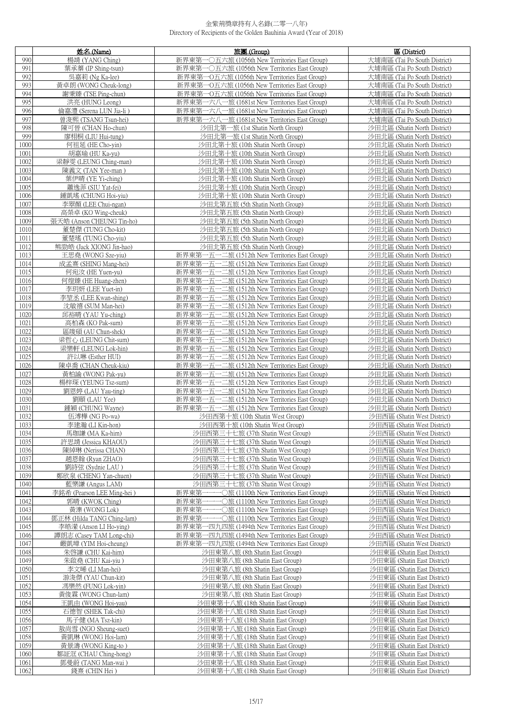|              | 姓名(Name)                                         | 旅團 (Group)                                                                                     | 區 (District)                                                 |
|--------------|--------------------------------------------------|------------------------------------------------------------------------------------------------|--------------------------------------------------------------|
| 990          | 楊靖 (YANG Ching)                                  | 新界東第一〇五六旅 (1056th New Territories East Group)                                                  | 大埔南區 (Tai Po South District)                                 |
| 991          | 葉承蓁 (IP Shing-tsun)                              | 新界東第一〇五六旅 (1056th New Territories East Group)                                                  | 大埔南區 (Tai Po South District)                                 |
| 992          | 吳嘉莉 (Ng Ka-lee)                                  | 新界東第一O五六旅 (1056th New Territories East Group)                                                  | 大埔南區 (Tai Po South District)                                 |
| 993          | 黃卓朗 (WONG Cheuk-long)                            | 新界東第一O五六旅 (1056th New Territories East Group)                                                  | 大埔南區 (Tai Po South District)                                 |
| 994          | 謝秉臻 (TSE Ping-chun)                              | 新界東第一O五六旅 (1056th New Territories East Group)                                                  | 大埔南區 (Tai Po South District)                                 |
| 995          | 洪亮 (HUNG Leong)                                  | 新界東第一六八一旅 (1681st New Territories East Group)                                                  | 大埔南區 (Tai Po South District)                                 |
| 996          | 倫嘉澧 (Serena LUN Jia-li)                          | 新界東第一六八一旅 (1681st New Territories East Group)                                                  | 大埔南區 (Tai Po South District)                                 |
| 997          | 曾浚熙 (TSANG Tsun-hei)                             | 新界東第一六八一旅 (1681st New Territories East Group)                                                  | 大埔南區 (Tai Po South District)                                 |
| 998<br>999   | 陳可晉 (CHAN Ho-chun)                               | 沙田北第一旅 (1st Shatin North Group)                                                                | 沙田北區 (Shatin North District)                                 |
| 1000         | 廖栩桐 (LIU Hui-tung)<br>何祖延 (HE Cho-vin)           | 沙田北第一旅 (1st Shatin North Group)<br>沙田北第十旅 (10th Shatin North Group)                            | 沙田北區 (Shatin North District)<br>沙田北區 (Shatin North District) |
| 1001         | 胡嘉瑜 (HU Ka-yu)                                   | 沙田北第十旅 (10th Shatin North Group)                                                               | 沙田北區 (Shatin North District)                                 |
| 1002         | 梁靜雯 (LEUNG Ching-man)                            | 沙田北第十旅 (10th Shatin North Group)                                                               | 沙田北區 (Shatin North District)                                 |
| 1003         | 陳義文 (TAN Yee-man)                                | 沙田北第十旅 (10th Shatin North Group)                                                               | 沙田北區 (Shatin North District)                                 |
| 1004         | 葉伊晴 (YE Yi-ching)                                | 沙田北第十旅 (10th Shatin North Group)                                                               | 沙田北區 (Shatin North District)                                 |
| 1005         | 蕭逸菲 (SIU Yat-fei)                                | 沙田北第十旅 (10th Shatin North Group)                                                               | 沙田北區 (Shatin North District)                                 |
| 1006         | 鍾凱瑤 (CHUNG Hoi-yiu)                              | 沙田北第十旅 (10th Shatin North Group)                                                               | 沙田北區 (Shatin North District)                                 |
| 1007         | 李翠顏 (LEE Chui-ngan)                              | 沙田北第五旅 (5th Shatin North Group)                                                                | 沙田北區 (Shatin North District)                                 |
| 1008         | 高榮卓 (KO Wing-cheuk)                              | 沙田北第五旅 (5th Shatin North Group)                                                                | 沙田北區 (Shatin North District)                                 |
| 1009         | 張天皓 (Anson CHEUNG Tin-ho)                        | 沙田北第五旅 (5th Shatin North Group)                                                                | 沙田北區 (Shatin North District)                                 |
| 1010         | 董楚傑 (TUNG Cho-kit)                               | 沙田北第五旅 (5th Shatin North Group)                                                                | 沙田北區 (Shatin North District)                                 |
| 1011         | 董楚瑤 (TUNG Cho-yiu)                               | 沙田北第五旅 (5th Shatin North Group)                                                                | 沙田北區 (Shatin North District)                                 |
| 1012         | 熊勁皓 (Jack XIONG Jin-hao)                         | 沙田北第五旅 (5th Shatin North Group)                                                                | 沙田北區 (Shatin North District)                                 |
| 1013<br>1014 | 王思堯 (WONG Sze-yiu)<br>成孟熹 (SHING Mang-hei)       | 新界東第一五一二旅 (1512th New Territories East Group)<br>新界東第一五一二旅 (1512th New Territories East Group) | 沙田北區 (Shatin North District)<br>沙田北區 (Shatin North District) |
| 1015         | 何宛汝 (HE Yuen-yu)                                 | 新界東第一五一二旅 (1512th New Territories East Group)                                                  | 沙田北區 (Shatin North District)                                 |
| 1016         | 何煌臻 (HE Huang-zhen)                              | 新界東第一五一二旅 (1512th New Territories East Group)                                                  | 沙田北區 (Shatin North District)                                 |
| 1017         | 李玥妍 (LEE Yuet-in)                                | 新界東第一五一二旅 (1512th New Territories East Group)                                                  | 沙田北區 (Shatin North District)                                 |
| 1018         | 李堃丞 (LEE Kwan-shing)                             | 新界東第一五一二旅 (1512th New Territories East Group)                                                  | 沙田北區 (Shatin North District)                                 |
| 1019         | 沈敏禧 (SUM Man-hei)                                | 新界東第一五一二旅 (1512th New Territories East Group)                                                  | 沙田北區 (Shatin North District)                                 |
| 1020         | 邱裕晴 (YAU Yu-ching)                               | 新界東第一五一二旅 (1512th New Territories East Group)                                                  | 沙田北區 (Shatin North District)                                 |
| 1021         | 高柏森 (KO Pak-sum)                                 | 新界東第一五一二旅 (1512th New Territories East Group)                                                  | 沙田北區 (Shatin North District)                                 |
| 1022         | 區竣碩 (AU Chun-shek)                               | 新界東第一五一二旅 (1512th New Territories East Group)                                                  | 沙田北區 (Shatin North District)                                 |
| 1023         | 梁哲心 (LEUNG Chit-sum)                             | 新界東第一五一二旅 (1512th New Territories East Group)                                                  | 沙田北區 (Shatin North District)                                 |
| 1024         | 梁樂軒 (LEUNG Lok-hin)                              | 新界東第一五一二旅 (1512th New Territories East Group)                                                  | 沙田北區 (Shatin North District)                                 |
| 1025         | 許以琳 (Esther HUI)                                 | 新界東第一五一二旅 (1512th New Territories East Group)                                                  | 沙田北區 (Shatin North District)                                 |
| 1026<br>1027 | 陳卓喬 (CHAN Cheuk-kiu)<br>黃柏諭 (WONG Pak-yu)        | 新界東第一五一二旅 (1512th New Territories East Group)<br>新界東第一五一二旅 (1512th New Territories East Group) | 沙田北區 (Shatin North District)<br>沙田北區 (Shatin North District) |
| 1028         | 楊梓琛 (YEUNG Tsz-sum)                              | 新界東第一五一二旅 (1512th New Territories East Group)                                                  | 沙田北區 (Shatin North District)                                 |
| 1029         | 劉恩婷 (LAU Yau-ting)                               | 新界東第一五一二旅 (1512th New Territories East Group)                                                  | 沙田北區 (Shatin North District)                                 |
| 1030         | 劉頤 (LAU Yee)                                     | 新界東第一五一二旅 (1512th New Territories East Group)                                                  | 沙田北區 (Shatin North District)                                 |
| 1031         | 鍾穎 (CHUNG Wayne)                                 | 新界東第一五一二旅 (1512th New Territories East Group)                                                  | 沙田北區 (Shatin North District)                                 |
| 1032         | 伍溥樺 (NG Po-wa)                                   | 沙田西第十旅 (10th Shatin West Group)                                                                | 沙田西區 (Shatin West District)                                  |
| 1033         | 李建瀚 (LI Kin-hon)                                 | 沙田西第十旅 (10th Shatin West Group)                                                                | 沙田西區 (Shatin West District)                                  |
| 1034         | 馬珈謙 (MA Ka-him)                                  | 沙田西第三十七旅 (37th Shatin West Group)                                                              | 沙田西區 (Shatin West District)                                  |
| 1035<br>1036 | 許思靖 (Jessica KHAOU)<br>陳綽琳 (Nerissa CHAN)        | 沙田西第三十七旅 (37th Shatin West Group)<br>沙田西第三十七旅 (37th Shatin West Group)                         | 沙田西區 (Shatin West District)<br>沙田西區 (Shatin West District)   |
| 1037         | 趙恩翰 (Ryan ZHAO)                                  | 沙田西第三十七旅 (37th Shatin West Group)                                                              | 沙田西區 (Shatin West District)                                  |
| 1038         | 劉詩弦 (Sydnie LAU)                                 | 沙田西第三十七旅 (37th Shatin West Group)                                                              | 沙田西區 (Shatin West District)                                  |
| 1039         | 鄭欣泉 (CHENG Yan-chuen)                            | 沙田西第三十七旅 (37th Shatin West Group)                                                              | 沙田西區 (Shatin West District)                                  |
| 1040         | 藍樂謙 (Angus LAM)                                  | 沙田西第三十七旅 (37th Shatin West Group)                                                              | 沙田西區 (Shatin West District)                                  |
| 1041         | 李銘希 (Pearson LEE Ming-hei)                       | 新界東第<br>−○旅 (1110th New Territories East Group)                                                | 沙田西區 (Shatin West District)                                  |
| 1042         | 郭晴 (KWOK Ching)                                  | 新界東第·<br>•○旅 (1110th New Territories East Group)                                               | 沙田西區 (Shatin West District)                                  |
| 1043         | 黃濼 (WONG Lok)                                    | 新界東第-<br>−○旅 (1110th New Territories East Group)                                               | 沙田西區 (Shatin West District)                                  |
| 1044         | 鄧正林 (Hilda TANG Ching-lam)                       | 新界東第-<br>----- ○旅 (1110th New Territories East Group)                                          | 沙田西區 (Shatin West District)                                  |
| 1045         | 李皓瀠 (Anson LI Ho-ying)                           | 新界東第一四九四旅 (1494th New Territories East Group)                                                  | 沙田西區 (Shatin West District)                                  |
| 1046<br>1047 | 譚朗志 (Casey TAM Long-chi)<br>嚴凱璋 (YIM Hoi-cheung) | 新界東第一四九四旅 (1494th New Territories East Group)<br>新界東第一四九四旅 (1494th New Territories East Group) | 沙田西區 (Shatin West District)<br>沙田西區 (Shatin West District)   |
| 1048         | 朱啓謙 (CHU Kai-him)                                | 沙田東第八旅 (8th Shatin East Group)                                                                 | 沙田東區 (Shatin East District)                                  |
| 1049         | 朱啟堯 (CHU Kai-yiu)                                | 沙田東第八旅 (8th Shatin East Group)                                                                 | 沙田東區 (Shatin East District)                                  |
| 1050         | 李文晞 (LI Man-hei)                                 | 沙田東第八旅 (8th Shatin East Group)                                                                 | 沙田東區 (Shatin East District)                                  |
| 1051         | 游浚傑 (YAU Chun-kit)                               | 沙田東第八旅 (8th Shatin East Group)                                                                 | 沙田東區 (Shatin East District)                                  |
| 1052         | 馮樂然 (FUNG Lok-yin)                               | 沙田東第八旅 (8th Shatin East Group)                                                                 | 沙田東區 (Shatin East District)                                  |
| 1053         | 黃俊霖 (WONG Chun-lam)                              | 沙田東第八旅 (8th Shatin East Group)                                                                 | 沙田東區 (Shatin East District)                                  |
| 1054         | 王凱由 (WONG Hoi-yau)                               | 沙田東第十八旅 (18th Shatin East Group)                                                               | 沙田東區 (Shatin East District)                                  |
| 1055         | 石德智 (SHEK Tak-chi)                               | 沙田東第十八旅 (18th Shatin East Group)                                                               | 沙田東區 (Shatin East District)                                  |
| 1056         | 馬子健 (MA Tsz-kin)                                 | 沙田東第十八旅 (18th Shatin East Group)                                                               | 沙田東區 (Shatin East District)                                  |
| 1057         | 敖尚雪 (NGO Sheung-suet)<br>黃凱琳 (WONG Hoi-lam)      | 沙田東第十八旅 (18th Shatin East Group)<br>沙田東第十八旅 (18th Shatin East Group)                           | 沙田東區 (Shatin East District)<br>沙田東區 (Shatin East District)   |
| 1058<br>1059 | 黃景濤 (WONG King-to)                               | 沙田東第十八旅 (18th Shatin East Group)                                                               | 沙田東區 (Shatin East District)                                  |
| 1060         | 鄒証洭 (CHAU Ching-hong)                            | 沙田東第十八旅 (18th Shatin East Group)                                                               | 沙田東區 (Shatin East District)                                  |
| 1061         | 鄧曼蔚 (TANG Man-wai)                               | 沙田東第十八旅 (18th Shatin East Group)                                                               | 沙田東區 (Shatin East District)                                  |
| 1062         | 錢熹 (CHIN Hei )                                   | 沙田東第十八旅 (18th Shatin East Group)                                                               | 沙田東區 (Shatin East District)                                  |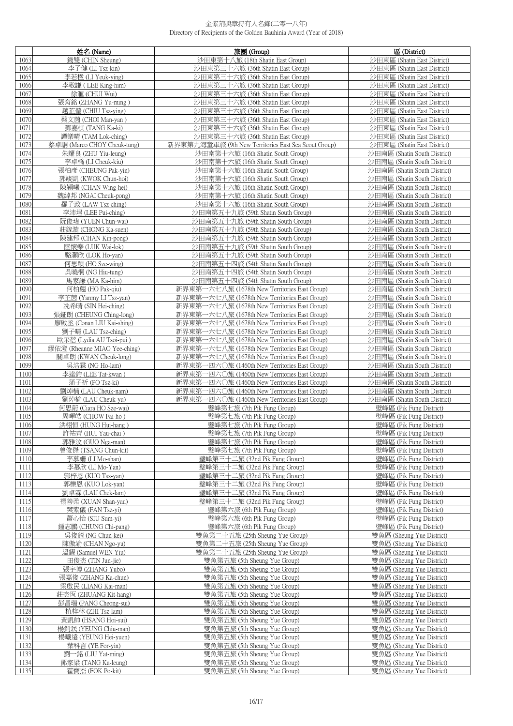|              | 姓名 (Name)                                    | 旅團 (Group)                                                                                | 區 (District)                                                 |
|--------------|----------------------------------------------|-------------------------------------------------------------------------------------------|--------------------------------------------------------------|
| 1063         | 錢雙 (CHIN Sheung)                             | 沙田東第十八旅 (18th Shatin East Group)                                                          | 沙田東區 (Shatin East District)                                  |
| 1064         | 李子健 (LI-Tsz-kin)                             | 沙田東第三十六旅 (36th Shatin East Group)                                                         | 沙田東區 (Shatin East District)                                  |
| 1065         | 李若楹 (LI Yeuk-ying)                           | 沙田東第三十六旅 (36th Shatin East Group)                                                         | 沙田東區 (Shatin East District)                                  |
| 1066         | 李敬謙 (LEE King-him)                           | 沙田東第三十六旅 (36th Shatin East Group)                                                         | 沙田東區 (Shatin East District)                                  |
| 1067         | 徐滙 (CHUI Wui)                                | 沙田東第三十六旅 (36th Shatin East Group)                                                         | 沙田東區 (Shatin East District)                                  |
| 1068         | 張育銘 (ZHANG Yu-ming)                          | 沙田東第三十六旅 (36th Shatin East Group)                                                         | 沙田東區 (Shatin East District)                                  |
| 1069         | 趙芷瑩 (CHIU Tsz-ving)                          | 沙田東第三十六旅 (36th Shatin East Group)                                                         | 沙田東區 (Shatin East District)                                  |
| 1070         | 蔡文茵 (CHOI Man-yan )                          | 沙田東第三十六旅 (36th Shatin East Group)                                                         | 沙田東區 (Shatin East District)                                  |
| 1071         | 鄧嘉棋 (TANG Ka-ki)                             | 沙田東第三十六旅 (36th Shatin East Group)                                                         | 沙田東區 (Shatin East District)                                  |
| 1072         | 譚樂晴 (TAM Lok-ching)                          | 沙田東第三十六旅 (36th Shatin East Group)                                                         | 沙田東區 (Shatin East District)                                  |
| 1073         | 蔡卓駧 (Marco CHOY Cheuk-tung)                  | 新界東第九海童軍旅 (9th New Territories East Sea Scout Group)<br>沙田南第十六旅 (16th Shatin South Group) | 沙田東區 (Shatin East District)<br>沙田南區 (Shatin South District)  |
| 1074<br>1075 | 朱耀良 (ZHU Yiu-leung)<br>李卓橋 (LI Cheuk-kiu)    | 沙田南第十六旅 (16th Shatin South Group)                                                         | 沙田南區 (Shatin South District)                                 |
| 1076         | 張柏彥 (CHEUNG Pak-yin)                         | 沙田南第十六旅 (16th Shatin South Group)                                                         | 沙田南區 (Shatin South District)                                 |
| 1077         | 郭竣凱 (KWOK Chun-hoi)                          | 沙田南第十六旅 (16th Shatin South Group)                                                         | 沙田南區 (Shatin South District)                                 |
| 1078         | 陳穎曦 (CHAN Wing-hei)                          | 沙田南第十六旅 (16th Shatin South Group)                                                         | 沙田南區 (Shatin South District)                                 |
| 1079         | 魏綽邦 (NGAI Cheuk-pong)                        | 沙田南第十六旅 (16th Shatin South Group)                                                         | 沙田南區 (Shatin South District)                                 |
| 1080         | 羅子政 (LAW Tsz-ching)                          | 沙田南第十六旅 (16th Shatin South Group)                                                         | 沙田南區 (Shatin South District)                                 |
| 1081         | 李沛埕 (LEE Pui-ching)                          | 沙田南第五十九旅 (59th Shatin South Group)                                                        | 沙田南區 (Shatin South District)                                 |
| 1082         | 阮俊瑋 (YUEN Chun-wai)                          | 沙田南第五十九旅 (59th Shatin South Group)                                                        | 沙田南區 (Shatin South District)                                 |
| 1083         | 莊鎵漩 (CHONG Ka-suen)                          | 沙田南第五十九旅 (59th Shatin South Group)                                                        | 沙田南區 (Shatin South District)                                 |
| 1084         | 陳建邦 (CHAN Kin-pong)                          | 沙田南第五十九旅 (59th Shatin South Group)                                                        | 沙田南區 (Shatin South District)                                 |
| 1085         | 陸懷樂 (LUK Wai-lok)                            | 沙田南第五十九旅 (59th Shatin South Group)                                                        | 沙田南區 (Shatin South District)                                 |
| 1086         | 駱灝欣 (LOK Ho-yan)                             | 沙田南第五十九旅 (59th Shatin South Group)                                                        | 沙田南區 (Shatin South District)                                 |
| 1087         | 何思穎 (HO Sze-wing)                            | 沙田南第五十四旅 (54th Shatin South Group)                                                        | 沙田南區 (Shatin South District)                                 |
| 1088         | 吳曉桐 (NG Hiu-tung)                            | 沙田南第五十四旅 (54th Shatin South Group)<br>沙田南第五十四旅 (54th Shatin South Group)                  | 沙田南區 (Shatin South District)                                 |
| 1089<br>1090 | 馬家謙 (MA Ka-him)<br>何柏翹 (HO Pak-qiu)          | 新界東第一六七八旅 (1678th New Territories East Group)                                             | 沙田南區 (Shatin South District)<br>沙田南區 (Shatin South District) |
| 1091         | 李芷茵 (Yanmy LI Tsz-yan)                       | 新界東第一六七八旅 (1678th New Territories East Group)                                             | 沙田南區 (Shatin South District)                                 |
| 1092         | 冼希晴 (SIN Hei-ching)                          | 新界東第一六七八旅 (1678th New Territories East Group)                                             | 沙田南區 (Shatin South District)                                 |
| 1093         | 張鉦朗 (CHEUNG Ching-long)                      | 新界東第一六七八旅 (1678th New Territories East Group)                                             | 沙田南區 (Shatin South District)                                 |
| 1094         | 廖啟丞 (Conan LIU Kai-shing)                    | 新界東第一六七八旅 (1678th New Territories East Group)                                             | 沙田南區 (Shatin South District)                                 |
| 1095         | 劉子晴 (LAU Tsz-ching)                          | 新界東第一六七八旅 (1678th New Territories East Group)                                             | 沙田南區 (Shatin South District)                                 |
| 1096         | 歐采蓓 (Lydia AU Tsoi-pui)                      | 新界東第一六七八旅 (1678th New Territories East Group)                                             | 沙田南區 (Shatin South District)                                 |
| 1097         | 繆依澄 (Rheanne MIAO Yee-ching)                 | 新界東第一六七八旅 (1678th New Territories East Group)                                             | 沙田南區 (Shatin South District)                                 |
| 1098         | 關卓朗 (KWAN Cheuk-long)                        | 新界東第一六七八旅 (1678th New Territories East Group)                                             | 沙田南區 (Shatin South District)                                 |
| 1099         | 吳浩霖 (NG Ho-lam)                              | 新界東第一四六〇旅 (1460th New Territories East Group)                                             | 沙田南區 (Shatin South District)                                 |
| 1100         | 李達鈞 (LEE Tat-kwan)                           | 新界東第一四六〇旅 (1460th New Territories East Group)                                             | 沙田南區 (Shatin South District)                                 |
| 1101         | 蒲子祈 (PO Tsz-ki)                              | 新界東第一四六〇旅 (1460th New Territories East Group)                                             | 沙田南區 (Shatin South District)                                 |
| 1102         | 劉焯楠 (LAU Cheuk-nam)                          | 新界東第一四六〇旅 (1460th New Territories East Group)                                             | 沙田南區 (Shatin South District)                                 |
| 1103<br>1104 | 劉焯榆 (LAU Cheuk-yu)<br>何思蔚 (Ciara HO Sze-wai) | 新界東第一四六〇旅 (1460th New Territories East Group)<br>璧峰第七旅 (7th Pik Fung Group)               | 沙田南區 (Shatin South District)<br>壁峰區 (Pik Fung District)      |
| 1105         | 周暉皓 (CHOW Fai-ho)                            | 璧峰第七旅 (7th Pik Fung Group)                                                                | 壁峰區 (Pik Fung District)                                      |
| 1106         | 洪栩恒 (HUNG Hui-hang)                          | 璧峰第七旅 (7th Pik Fung Group)                                                                | 壁峰區 (Pik Fung District)                                      |
| 1107         | 許祐齊 (HUI Yau-chai )                          | 璧峰第七旅 (7th Pik Fung Group)                                                                | 壁峰區 (Pik Fung District)                                      |
| 1108         | 郭雅汶 (GUO Nga-man)                            | 璧峰第七旅 (7th Pik Fung Group)                                                                | 壁峰區 (Pik Fung District)                                      |
| 1109         | 曾俊傑 (TSANG Chun-kit)                         | 璧峰第七旅 (7th Pik Fung Group)                                                                | 壁峰區 (Pik Fung District)                                      |
| 1110         | 李慕姍 (LI Mo-shan)                             | 璧峰第三十二旅 (32nd Pik Fung Group)                                                             | 壁峰區 (Pik Fung District)                                      |
| 1111         | 李慕欣 (LI Mo-Yan)                              | 璧峰第三十二旅 (32nd Pik Fung Group)                                                             | 壁峰區 (Pik Fung District)                                      |
| 1112         | 郭梓恩 (KUO Tsz-van)                            | 壁峰第三十二旅 (32nd Pik Fung Group)                                                             | 壁峰區 (Pik Fung District)                                      |
| 1113         | 郭櫟恩 (KUO Lok-yan)                            | 璧峰第三十二旅 (32nd Pik Fung Group)                                                             | 壁峰區 (Pik Fung District)                                      |
| 1114         | 劉卓霖 (LAU Chek-lam)                           | 璧峰第三十二旅 (32nd Pik Fung Group)                                                             | 壁峰區 (Pik Fung District)                                      |
| 1115<br>1116 | 禤善柔 (XUAN Shan-yau)<br>樊紫儀 (FAN Tsz-yi)      | 璧峰第三十二旅 (32nd Pik Fung Group)<br>璧峰第六旅 (6th Pik Fung Group)                               | 壁峰區 (Pik Fung District)<br>壁峰區 (Pik Fung District)           |
| 1117         | 蕭心怡 (SIU Sum-yi)                             | 璧峰第六旅 (6th Pik Fung Group)                                                                | 壁峰區 (Pik Fung District)                                      |
| 1118         | 鍾志鵬 (CHUNG Chi-pang)                         | 璧峰第六旅 (6th Pik Fung Group)                                                                | 壁峰區 (Pik Fung District)                                      |
| 1119         | 吳俊錡 (NG Chun-kei)                            | 雙魚第二十五旅 (25th Sheung Yue Group)                                                           | 雙魚區 (Sheung Yue District)                                    |
| 1120         | 陳傲渝 (CHAN Ngo-yu)                            | 雙魚第二十五旅 (25th Sheung Yue Group)                                                           | 雙魚區 (Sheung Yue District)                                    |
| 1121         | 溫耀 (Samuel WEN Yiu)                          | 雙魚第二十五旅 (25th Sheung Yue Group)                                                           | 雙魚區 (Sheung Yue District)                                    |
| 1122         | 田俊杰 (TIN Jun-jie)                            | 雙魚第五旅 (5th Sheung Yue Group)                                                              | 雙魚區 (Sheung Yue District)                                    |
| 1123         | 張宇博 (ZHANG Yubo)                             | 雙魚第五旅 (5th Sheung Yue Group)                                                              | 雙魚區 (Sheung Yue District)                                    |
| 1124         | 張嘉俊 (ZHANG Ka-chun)                          | 雙魚第五旅 (5th Sheung Yue Group)                                                              | 雙魚區 (Sheung Yue District)                                    |
| 1125         | 梁啟民 (LIANG Kai-man)                          | 雙魚第五旅 (5th Sheung Yue Group)                                                              | 雙魚區 (Sheung Yue District)                                    |
| 1126         | 莊杰恆 (ZHUANG Kit-hang)                        | 雙魚第五旅 (5th Sheung Yue Group)                                                              | 雙魚區 (Sheung Yue District)                                    |
| 1127<br>1128 | 彭昌瑞 (PANG Cheong-sui)<br>植梓林 (ZHI Tsz-lam)   | 雙魚第五旅 (5th Sheung Yue Group)<br>雙魚第五旅 (5th Sheung Yue Group)                              | 雙魚區 (Sheung Yue District)<br>雙魚區 (Sheung Yue District)       |
| 1129         | 黃凱帥 (HSANG Hoi-sui)                          | 雙魚第五旅 (5th Sheung Yue Group)                                                              | 雙魚區 (Sheung Yue District)                                    |
| 1130         | 楊釗泯 (YEUNG Chiu-man)                         | 雙魚第五旅 (5th Sheung Yue Group)                                                              | 雙魚區 (Sheung Yue District)                                    |
| 1131         | 楊曦遠 (YEUNG Hei-yuen)                         | 雙魚第五旅 (5th Sheung Yue Group)                                                              | 雙魚區 (Sheung Yue District)                                    |
| 1132         | 葉科言 (YE For-vin)                             | 雙魚第五旅 (5th Sheung Yue Group)                                                              | 雙魚區 (Sheung Yue District)                                    |
| 1133         | 劉一銘 (LIU Yat-ming)                           | 雙魚第五旅 (5th Sheung Yue Group)                                                              | 雙魚區 (Sheung Yue District)                                    |
| 1134         | 鄧家粱 (TANG Ka-leung)                          | 雙魚第五旅 (5th Sheung Yue Group)                                                              | 雙魚區 (Sheung Yue District)                                    |
| 1135         | 霍寶杰 (FOK Po-kit)                             | 雙魚第五旅 (5th Sheung Yue Group)                                                              | 雙魚區 (Sheung Yue District)                                    |